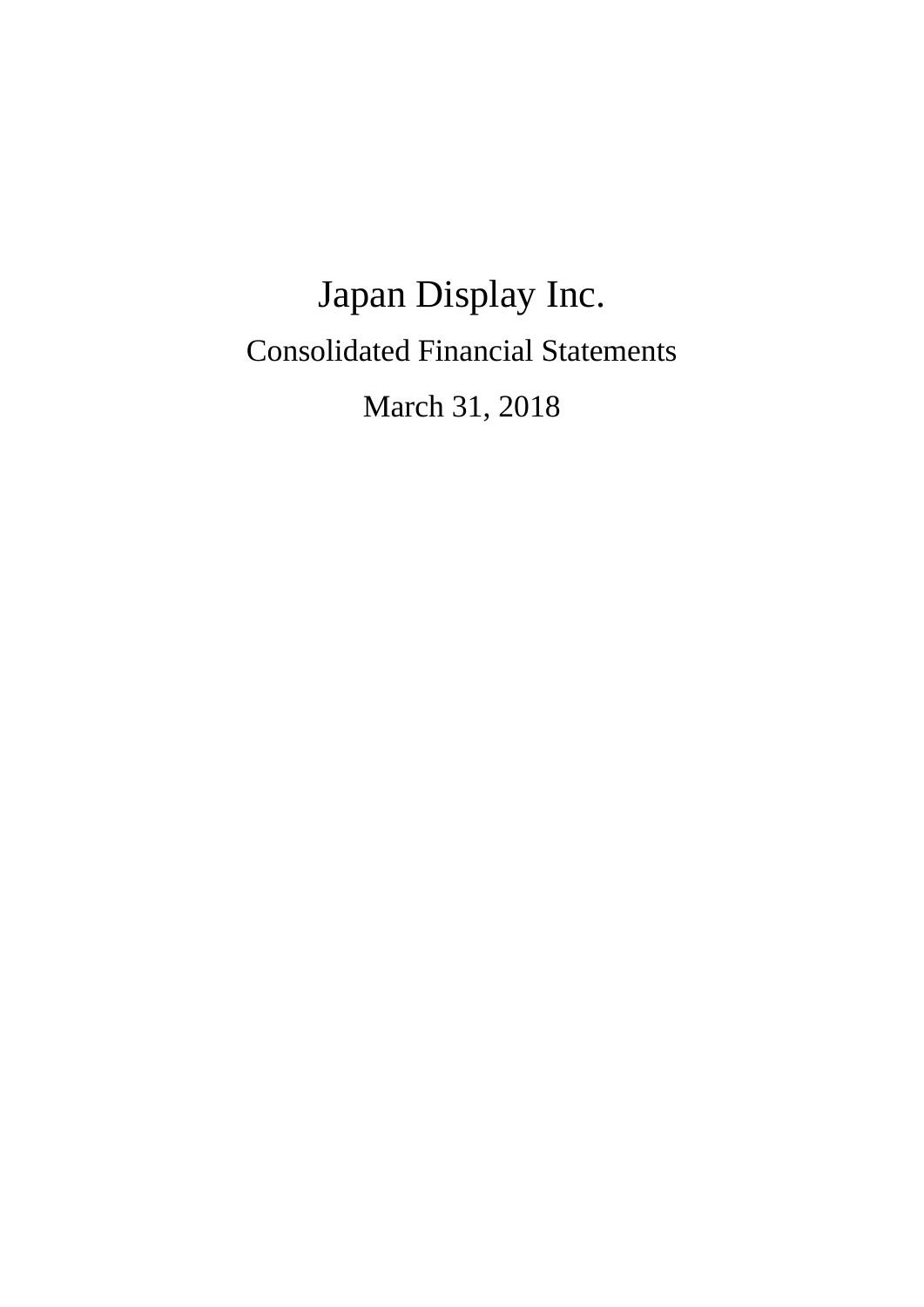# Japan Display Inc. Consolidated Financial Statements March 31, 2018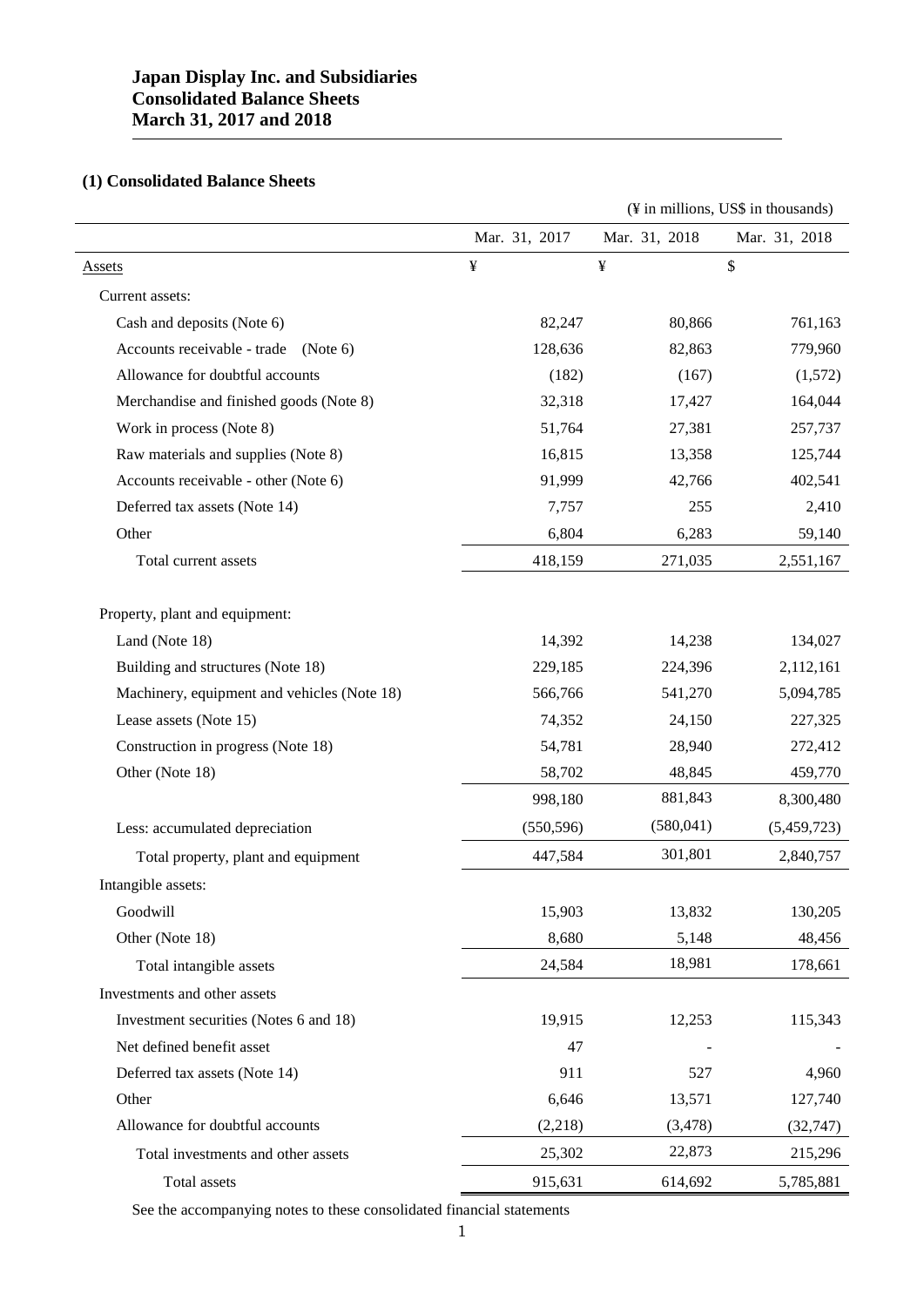# **Japan Display Inc. and Subsidiaries Consolidated Balance Sheets March 31, 2017 and 2018**

# **(1) Consolidated Balance Sheets**

|                                             |               |               | (¥ in millions, US\$ in thousands) |
|---------------------------------------------|---------------|---------------|------------------------------------|
|                                             | Mar. 31, 2017 | Mar. 31, 2018 | Mar. 31, 2018                      |
| <b>Assets</b>                               | ¥             | ¥             | \$                                 |
| Current assets:                             |               |               |                                    |
| Cash and deposits (Note 6)                  | 82,247        | 80,866        | 761,163                            |
| Accounts receivable - trade<br>(Note 6)     | 128,636       | 82,863        | 779,960                            |
| Allowance for doubtful accounts             | (182)         | (167)         | (1,572)                            |
| Merchandise and finished goods (Note 8)     | 32,318        | 17,427        | 164,044                            |
| Work in process (Note 8)                    | 51,764        | 27,381        | 257,737                            |
| Raw materials and supplies (Note 8)         | 16,815        | 13,358        | 125,744                            |
| Accounts receivable - other (Note 6)        | 91,999        | 42,766        | 402,541                            |
| Deferred tax assets (Note 14)               | 7,757         | 255           | 2,410                              |
| Other                                       | 6,804         | 6,283         | 59,140                             |
| Total current assets                        | 418,159       | 271,035       | 2,551,167                          |
| Property, plant and equipment:              |               |               |                                    |
| Land (Note 18)                              | 14,392        | 14,238        | 134,027                            |
| Building and structures (Note 18)           | 229,185       | 224,396       | 2,112,161                          |
| Machinery, equipment and vehicles (Note 18) | 566,766       | 541,270       | 5,094,785                          |
| Lease assets (Note 15)                      | 74,352        | 24,150        | 227,325                            |
| Construction in progress (Note 18)          | 54,781        | 28,940        | 272,412                            |
| Other (Note 18)                             | 58,702        | 48,845        | 459,770                            |
|                                             | 998,180       | 881,843       | 8,300,480                          |
| Less: accumulated depreciation              | (550, 596)    | (580, 041)    | (5,459,723)                        |
| Total property, plant and equipment         | 447,584       | 301,801       | 2,840,757                          |
| Intangible assets:                          |               |               |                                    |
| Goodwill                                    | 15,903        | 13,832        | 130,205                            |
| Other (Note 18)                             | 8,680         | 5,148         | 48,456                             |
| Total intangible assets                     | 24,584        | 18,981        | 178,661                            |
| Investments and other assets                |               |               |                                    |
| Investment securities (Notes 6 and 18)      | 19,915        | 12,253        | 115,343                            |
| Net defined benefit asset                   | 47            |               |                                    |
| Deferred tax assets (Note 14)               | 911           | 527           | 4,960                              |
| Other                                       | 6,646         | 13,571        | 127,740                            |
| Allowance for doubtful accounts             | (2,218)       | (3, 478)      | (32, 747)                          |
| Total investments and other assets          | 25,302        | 22,873        | 215,296                            |
| Total assets                                | 915,631       | 614,692       | 5,785,881                          |
|                                             |               |               |                                    |

See the accompanying notes to these consolidated financial statements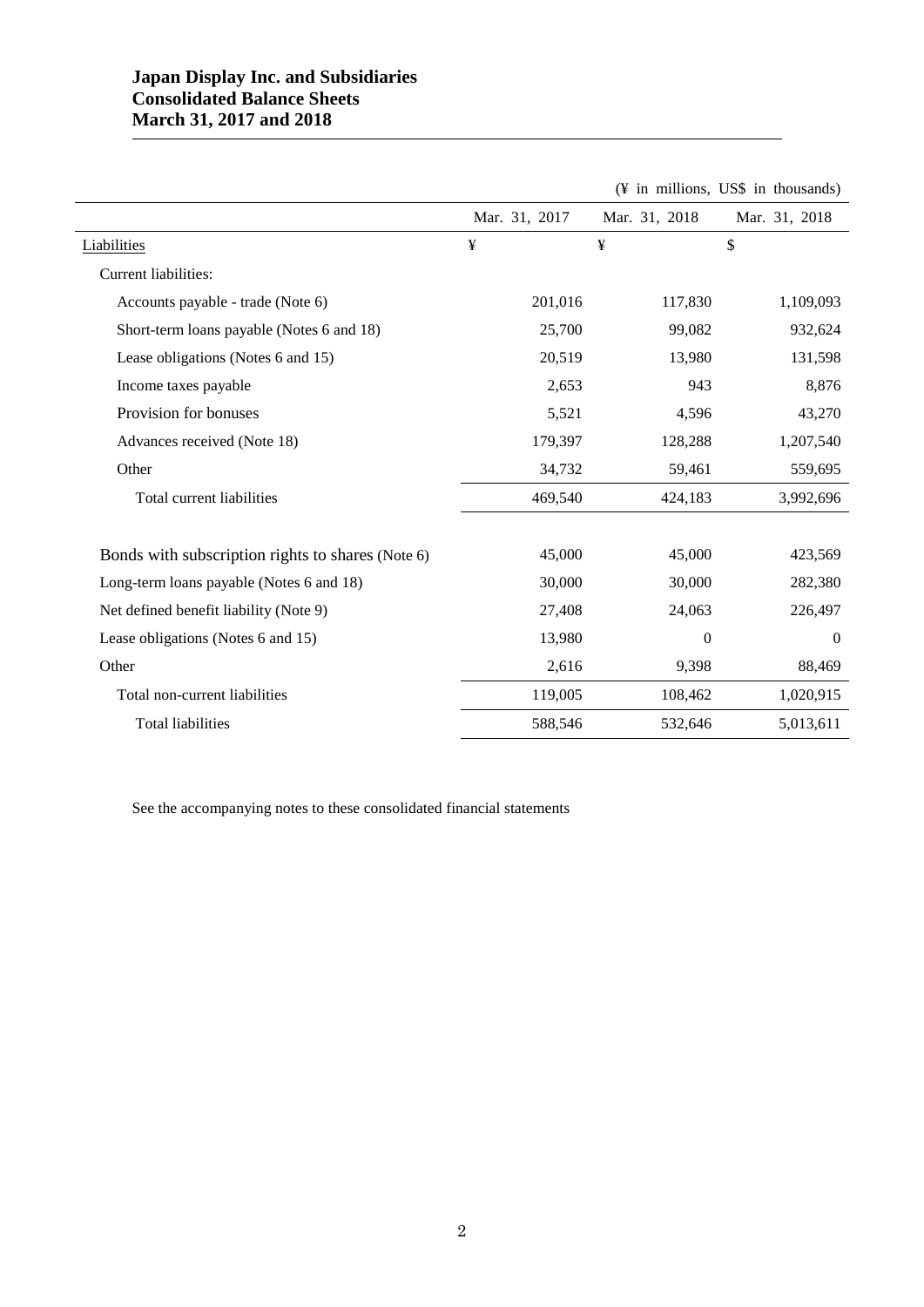# **Japan Display Inc. and Subsidiaries Consolidated Balance Sheets March 31, 2017 and 2018**

|                                                   |               |                  | (¥ in millions, US\$ in thousands) |
|---------------------------------------------------|---------------|------------------|------------------------------------|
|                                                   | Mar. 31, 2017 | Mar. 31, 2018    | Mar. 31, 2018                      |
| Liabilities                                       | ¥             | ¥                | \$                                 |
| Current liabilities:                              |               |                  |                                    |
| Accounts payable - trade (Note 6)                 | 201,016       | 117,830          | 1,109,093                          |
| Short-term loans payable (Notes 6 and 18)         | 25,700        | 99,082           | 932,624                            |
| Lease obligations (Notes 6 and 15)                | 20,519        | 13,980           | 131,598                            |
| Income taxes payable                              | 2,653         | 943              | 8,876                              |
| Provision for bonuses                             | 5,521         | 4,596            | 43,270                             |
| Advances received (Note 18)                       | 179,397       | 128,288          | 1,207,540                          |
| Other                                             | 34,732        | 59,461           | 559,695                            |
| Total current liabilities                         | 469,540       | 424,183          | 3,992,696                          |
|                                                   |               |                  |                                    |
| Bonds with subscription rights to shares (Note 6) | 45,000        | 45,000           | 423,569                            |
| Long-term loans payable (Notes 6 and 18)          | 30,000        | 30,000           | 282,380                            |
| Net defined benefit liability (Note 9)            | 27,408        | 24,063           | 226,497                            |
| Lease obligations (Notes 6 and 15)                | 13,980        | $\boldsymbol{0}$ | $\mathbf{0}$                       |
| Other                                             | 2,616         | 9,398            | 88,469                             |
| Total non-current liabilities                     | 119,005       | 108,462          | 1,020,915                          |
| Total liabilities                                 | 588,546       | 532,646          | 5,013,611                          |

See the accompanying notes to these consolidated financial statements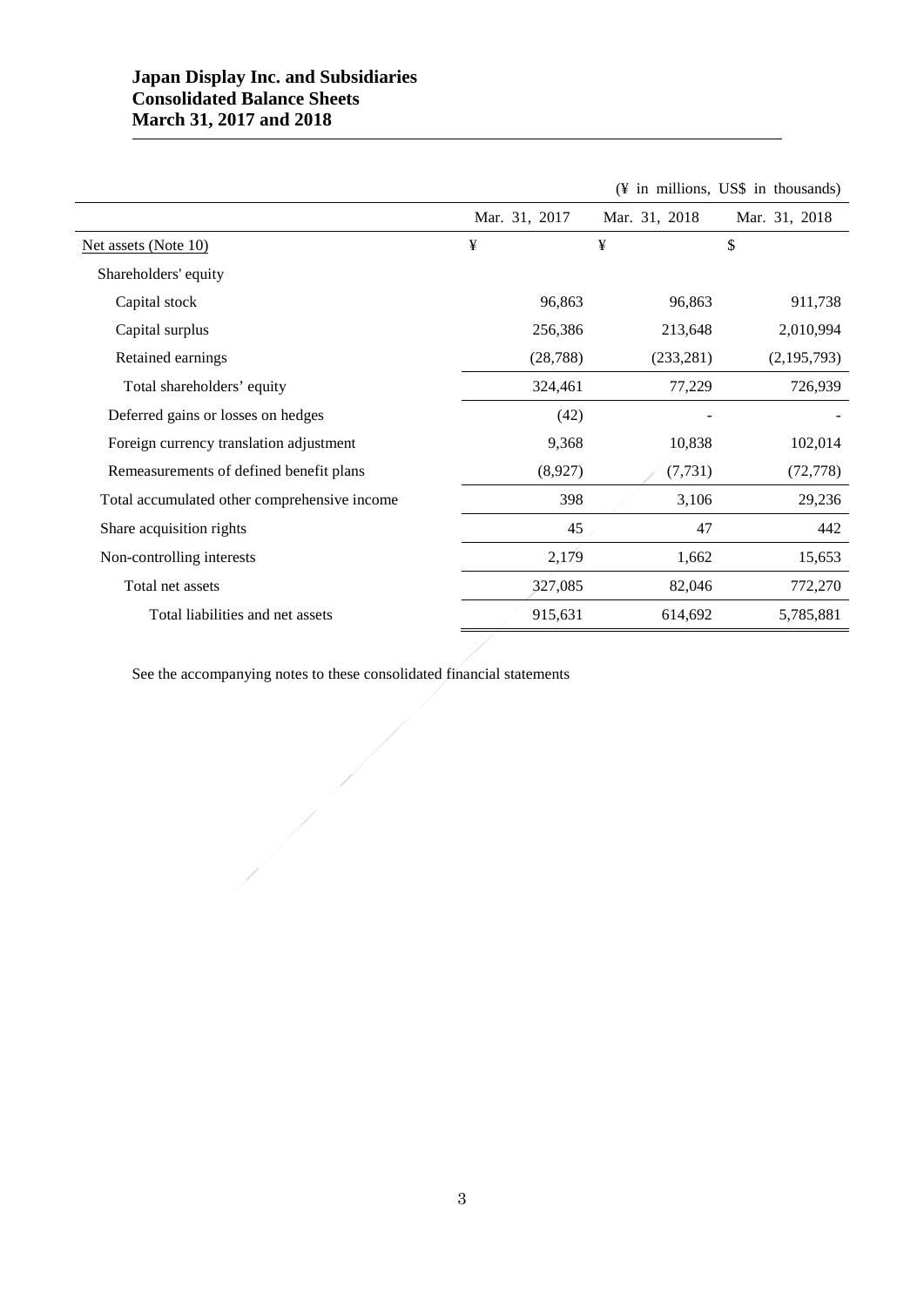# **Japan Display Inc. and Subsidiaries Consolidated Balance Sheets March 31, 2017 and 2018**

l.

|                                              |               |               | (¥ in millions, US\$ in thousands) |
|----------------------------------------------|---------------|---------------|------------------------------------|
|                                              | Mar. 31, 2017 | Mar. 31, 2018 | Mar. 31, 2018                      |
| Net assets (Note 10)                         | ¥             | ¥             | \$                                 |
| Shareholders' equity                         |               |               |                                    |
| Capital stock                                | 96,863        | 96,863        | 911,738                            |
| Capital surplus                              | 256,386       | 213,648       | 2,010,994                          |
| Retained earnings                            | (28, 788)     | (233, 281)    | (2,195,793)                        |
| Total shareholders' equity                   | 324,461       | 77,229        | 726,939                            |
| Deferred gains or losses on hedges           | (42)          |               |                                    |
| Foreign currency translation adjustment      | 9,368         | 10,838        | 102,014                            |
| Remeasurements of defined benefit plans      | (8,927)       | (7, 731)      | (72, 778)                          |
| Total accumulated other comprehensive income | 398           | 3,106         | 29,236                             |
| Share acquisition rights                     | 45            | 47            | 442                                |
| Non-controlling interests                    | 2,179         | 1,662         | 15,653                             |
| Total net assets                             | 327,085       | 82,046        | 772,270                            |
| Total liabilities and net assets             | 915,631       | 614,692       | 5,785,881                          |

See the accompanying notes to these consolidated financial statements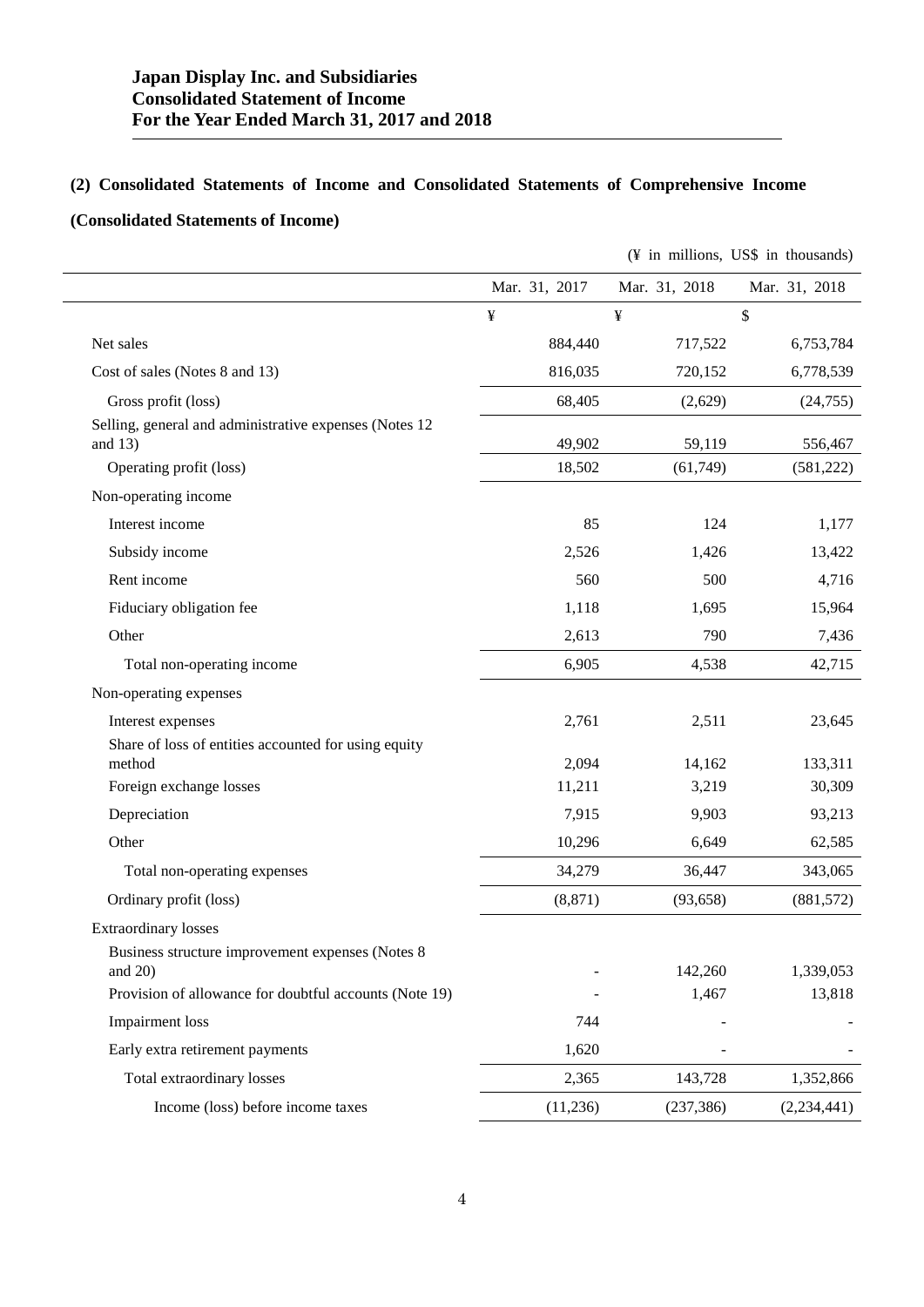# **(2) Consolidated Statements of Income and Consolidated Statements of Comprehensive Income**

# **(Consolidated Statements of Income)**

|                                                                    |               |               | (¥ in millions, US\$ in thousands) |
|--------------------------------------------------------------------|---------------|---------------|------------------------------------|
|                                                                    | Mar. 31, 2017 | Mar. 31, 2018 | Mar. 31, 2018                      |
|                                                                    | ¥             | ¥             | \$                                 |
| Net sales                                                          | 884,440       | 717,522       | 6,753,784                          |
| Cost of sales (Notes 8 and 13)                                     | 816,035       | 720,152       | 6,778,539                          |
| Gross profit (loss)                                                | 68,405        | (2,629)       | (24, 755)                          |
| Selling, general and administrative expenses (Notes 12)<br>and 13) | 49,902        | 59,119        | 556,467                            |
| Operating profit (loss)                                            | 18,502        | (61, 749)     | (581, 222)                         |
| Non-operating income                                               |               |               |                                    |
| Interest income                                                    | 85            | 124           | 1,177                              |
| Subsidy income                                                     | 2,526         | 1,426         | 13,422                             |
| Rent income                                                        | 560           | 500           | 4,716                              |
| Fiduciary obligation fee                                           | 1,118         | 1,695         | 15,964                             |
| Other                                                              | 2,613         | 790           | 7,436                              |
| Total non-operating income                                         | 6,905         | 4,538         | 42,715                             |
| Non-operating expenses                                             |               |               |                                    |
| Interest expenses                                                  | 2,761         | 2,511         | 23,645                             |
| Share of loss of entities accounted for using equity<br>method     | 2,094         | 14,162        | 133,311                            |
| Foreign exchange losses                                            | 11,211        | 3,219         | 30,309                             |
| Depreciation                                                       | 7,915         | 9,903         | 93,213                             |
| Other                                                              | 10,296        | 6,649         | 62,585                             |
| Total non-operating expenses                                       | 34,279        | 36,447        | 343,065                            |
| Ordinary profit (loss)                                             | (8, 871)      | (93, 658)     | (881, 572)                         |
| <b>Extraordinary losses</b>                                        |               |               |                                    |
| Business structure improvement expenses (Notes 8<br>and $20$ )     |               | 142,260       | 1,339,053                          |
| Provision of allowance for doubtful accounts (Note 19)             |               | 1,467         | 13,818                             |
| <b>Impairment</b> loss                                             | 744           |               |                                    |
| Early extra retirement payments                                    | 1,620         |               |                                    |
| Total extraordinary losses                                         | 2,365         | 143,728       | 1,352,866                          |
| Income (loss) before income taxes                                  | (11,236)      | (237, 386)    | (2,234,441)                        |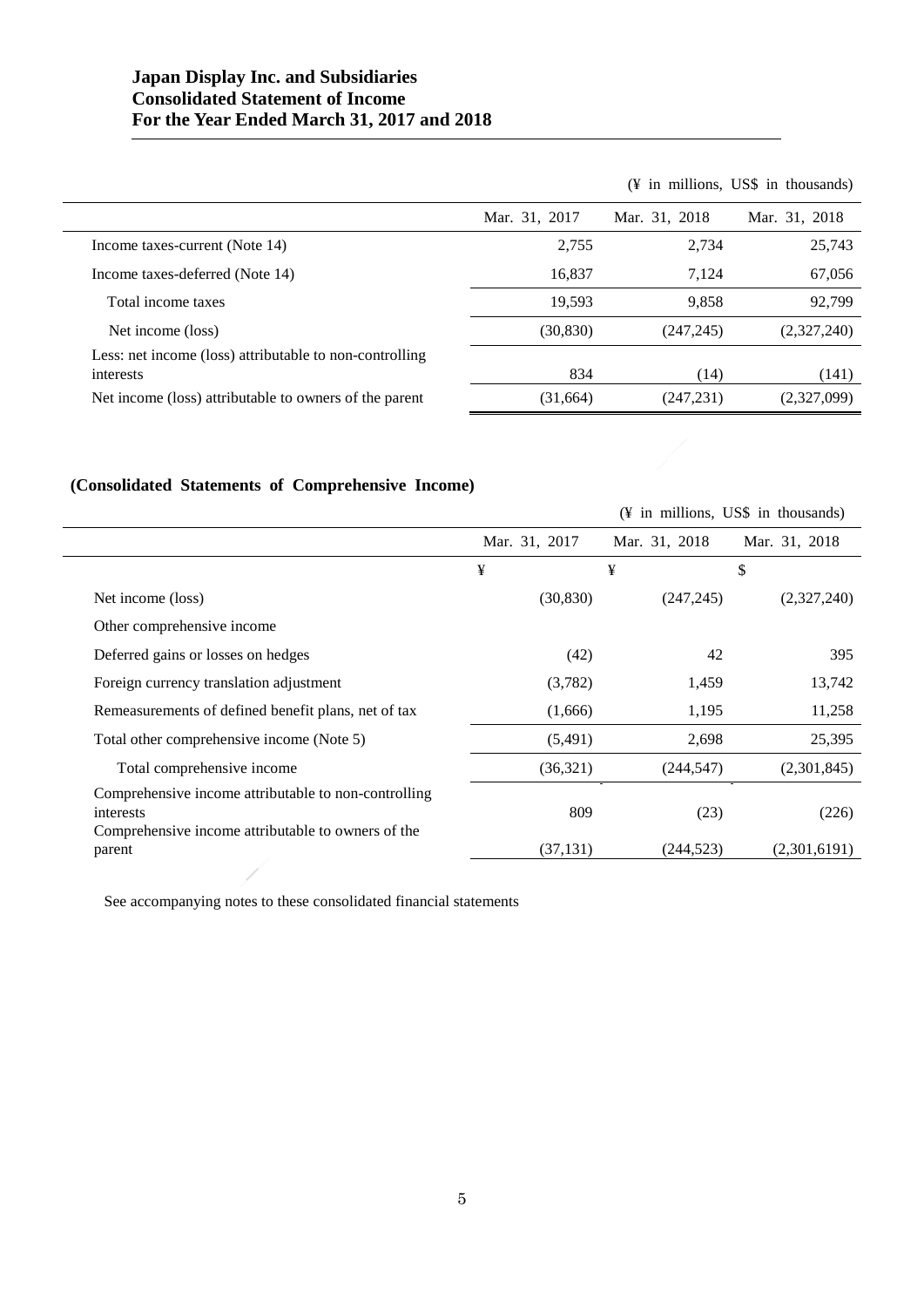# **Japan Display Inc. and Subsidiaries Consolidated Statement of Income For the Year Ended March 31, 2017 and 2018**

|                                                                      |               |               | $(\frac{4}{3})$ in millions, US\$ in thousands) |
|----------------------------------------------------------------------|---------------|---------------|-------------------------------------------------|
|                                                                      | Mar. 31, 2017 | Mar. 31, 2018 | Mar. 31, 2018                                   |
| Income taxes-current (Note 14)                                       | 2,755         | 2,734         | 25,743                                          |
| Income taxes-deferred (Note 14)                                      | 16,837        | 7.124         | 67,056                                          |
| Total income taxes                                                   | 19,593        | 9,858         | 92,799                                          |
| Net income (loss)                                                    | (30, 830)     | (247, 245)    | (2,327,240)                                     |
| Less: net income (loss) attributable to non-controlling<br>interests | 834           | (14)          | (141)                                           |
| Net income (loss) attributable to owners of the parent               | (31,664)      | (247, 231)    | (2,327,099)                                     |

# **(Consolidated Statements of Comprehensive Income)**

|                                                                                                                         |               |               | (\garef{Y} in millions, US\$ in thousands) |
|-------------------------------------------------------------------------------------------------------------------------|---------------|---------------|--------------------------------------------|
|                                                                                                                         | Mar. 31, 2017 | Mar. 31, 2018 | Mar. 31, 2018                              |
|                                                                                                                         | ¥             | ¥             | \$                                         |
| Net income (loss)                                                                                                       | (30, 830)     | (247, 245)    | (2,327,240)                                |
| Other comprehensive income                                                                                              |               |               |                                            |
| Deferred gains or losses on hedges                                                                                      | (42)          | 42            | 395                                        |
| Foreign currency translation adjustment                                                                                 | (3,782)       | 1,459         | 13,742                                     |
| Remeasurements of defined benefit plans, net of tax                                                                     | (1,666)       | 1,195         | 11,258                                     |
| Total other comprehensive income (Note 5)                                                                               | (5,491)       | 2,698         | 25,395                                     |
| Total comprehensive income                                                                                              | (36,321)      | (244, 547)    | (2,301,845)                                |
| Comprehensive income attributable to non-controlling<br>interests<br>Comprehensive income attributable to owners of the | 809           | (23)          | (226)                                      |
| parent                                                                                                                  | (37, 131)     | (244, 523)    | (2,301,6191)                               |

See accompanying notes to these consolidated financial statements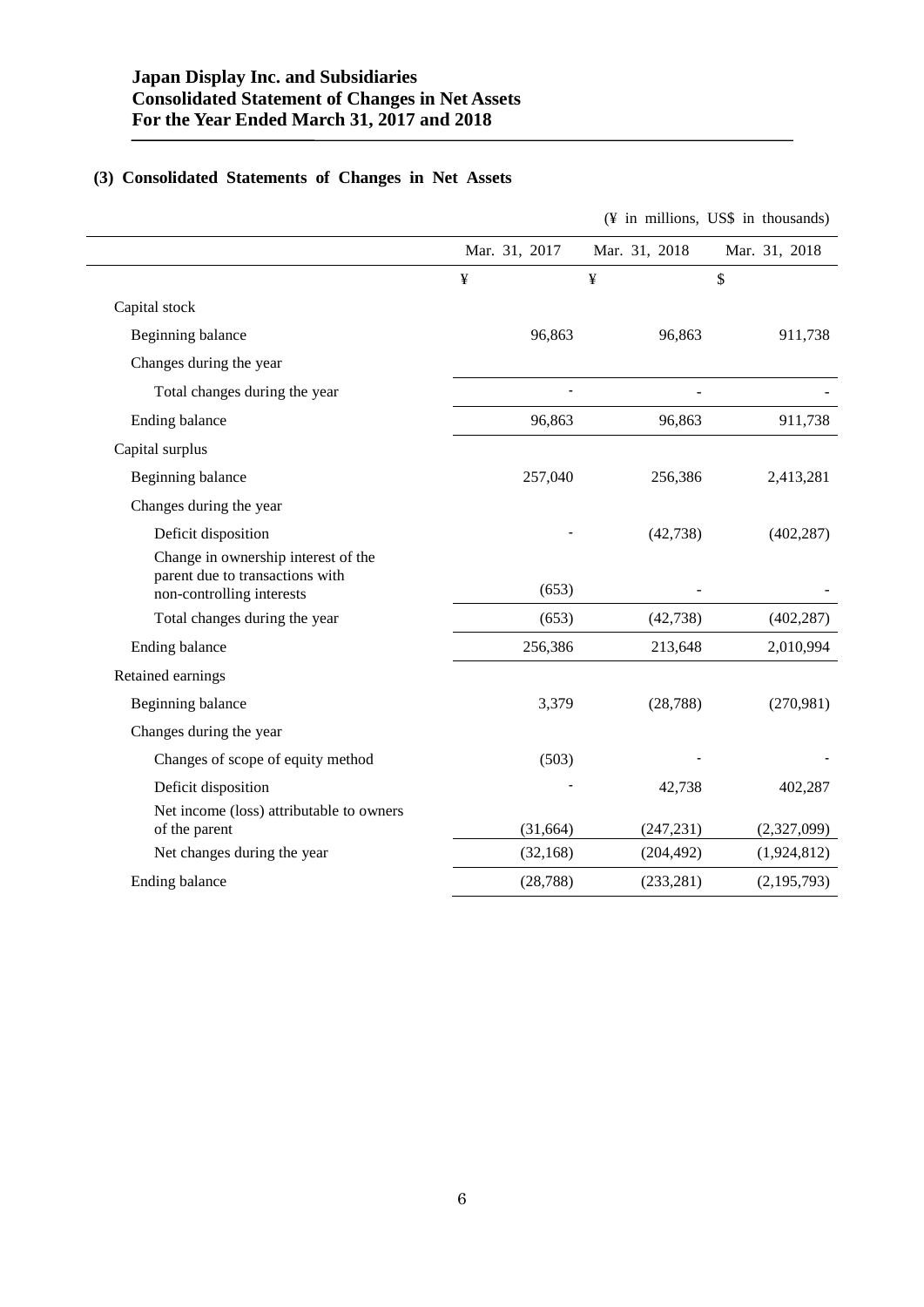# **(3) Consolidated Statements of Changes in Net Assets**

|                                                                                                     |               |               | (¥ in millions, US\$ in thousands) |
|-----------------------------------------------------------------------------------------------------|---------------|---------------|------------------------------------|
|                                                                                                     | Mar. 31, 2017 | Mar. 31, 2018 | Mar. 31, 2018                      |
|                                                                                                     | ¥             | ¥             | \$                                 |
| Capital stock                                                                                       |               |               |                                    |
| Beginning balance                                                                                   | 96,863        | 96,863        | 911,738                            |
| Changes during the year                                                                             |               |               |                                    |
| Total changes during the year                                                                       |               |               |                                    |
| Ending balance                                                                                      | 96,863        | 96,863        | 911,738                            |
| Capital surplus                                                                                     |               |               |                                    |
| Beginning balance                                                                                   | 257,040       | 256,386       | 2,413,281                          |
| Changes during the year                                                                             |               |               |                                    |
| Deficit disposition                                                                                 |               | (42, 738)     | (402, 287)                         |
| Change in ownership interest of the<br>parent due to transactions with<br>non-controlling interests | (653)         |               |                                    |
| Total changes during the year                                                                       | (653)         | (42, 738)     | (402, 287)                         |
| Ending balance                                                                                      | 256,386       | 213,648       | 2,010,994                          |
| Retained earnings                                                                                   |               |               |                                    |
| Beginning balance                                                                                   | 3,379         | (28, 788)     | (270,981)                          |
| Changes during the year                                                                             |               |               |                                    |
| Changes of scope of equity method                                                                   | (503)         |               |                                    |
| Deficit disposition                                                                                 |               | 42,738        | 402,287                            |
| Net income (loss) attributable to owners<br>of the parent                                           | (31,664)      | (247, 231)    | (2,327,099)                        |
| Net changes during the year                                                                         | (32, 168)     | (204, 492)    | (1,924,812)                        |
| Ending balance                                                                                      | (28, 788)     | (233, 281)    | (2, 195, 793)                      |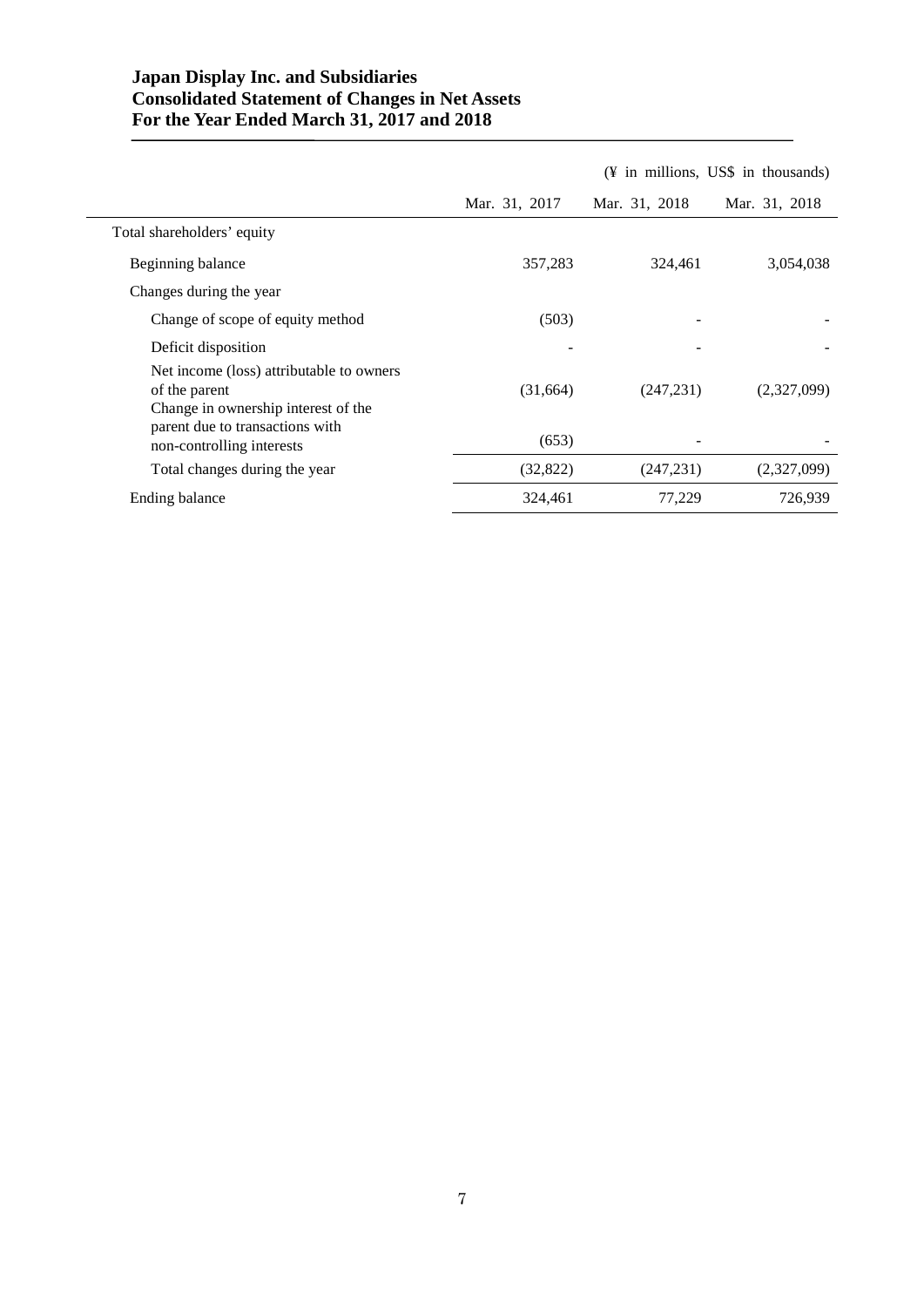# **Japan Display Inc. and Subsidiaries Consolidated Statement of Changes in Net Assets For the Year Ended March 31, 2017 and 2018**

|                                                                                                  |               |               | $(\frac{1}{2})$ in millions, US\$ in thousands) |
|--------------------------------------------------------------------------------------------------|---------------|---------------|-------------------------------------------------|
|                                                                                                  | Mar. 31, 2017 | Mar. 31, 2018 | Mar. 31, 2018                                   |
| Total shareholders' equity                                                                       |               |               |                                                 |
| Beginning balance                                                                                | 357,283       | 324,461       | 3,054,038                                       |
| Changes during the year                                                                          |               |               |                                                 |
| Change of scope of equity method                                                                 | (503)         |               |                                                 |
| Deficit disposition                                                                              |               |               |                                                 |
| Net income (loss) attributable to owners<br>of the parent<br>Change in ownership interest of the | (31,664)      | (247, 231)    | (2,327,099)                                     |
| parent due to transactions with<br>non-controlling interests                                     | (653)         |               |                                                 |
| Total changes during the year                                                                    | (32, 822)     | (247, 231)    | (2,327,099)                                     |
| Ending balance                                                                                   | 324,461       | 77,229        | 726,939                                         |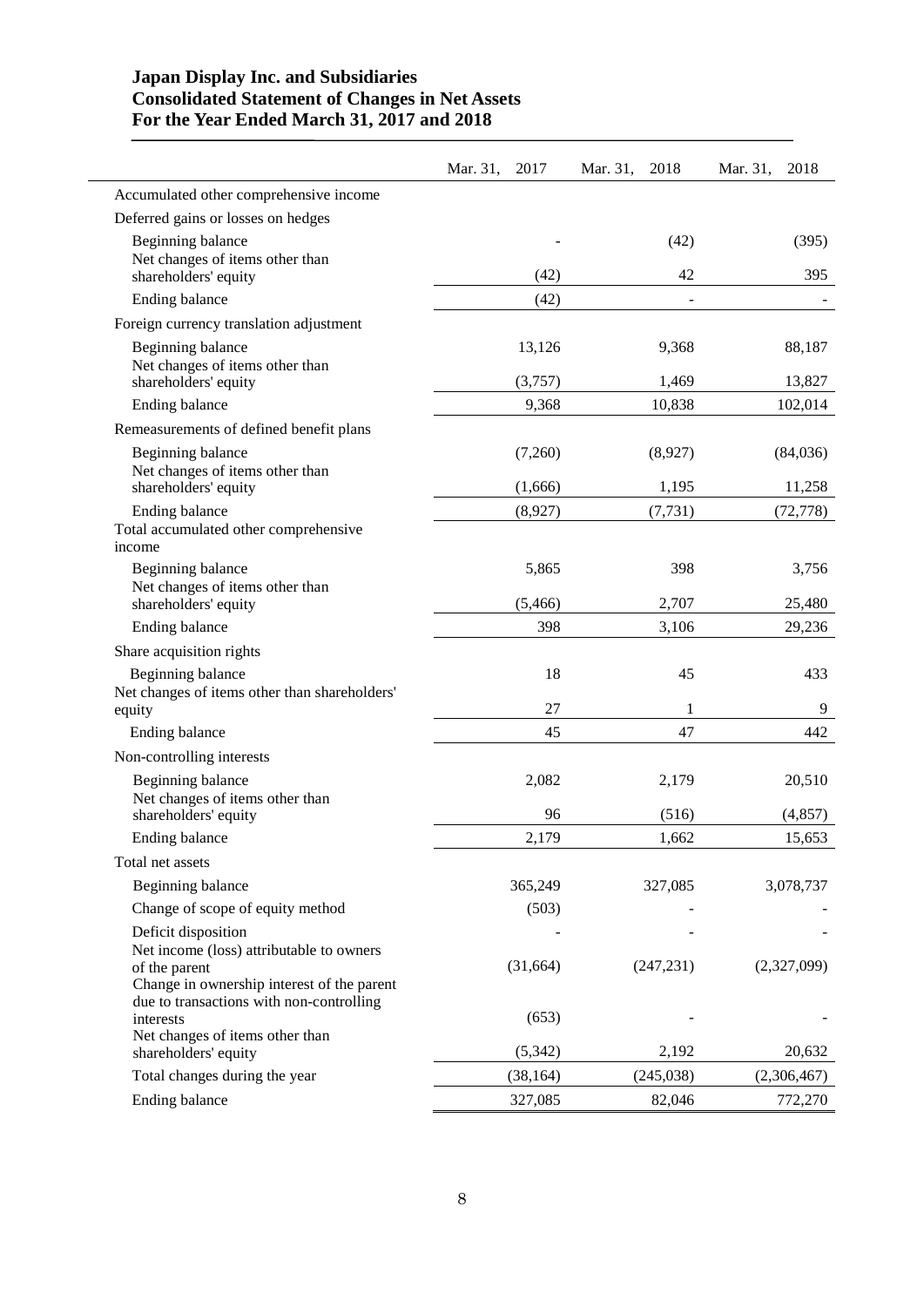# **Japan Display Inc. and Subsidiaries Consolidated Statement of Changes in Net Assets For the Year Ended March 31, 2017 and 2018**

|                                                                                                                                        | Mar. 31,<br>2017 | Mar. 31,<br>2018 | Mar. 31,<br>2018 |
|----------------------------------------------------------------------------------------------------------------------------------------|------------------|------------------|------------------|
| Accumulated other comprehensive income                                                                                                 |                  |                  |                  |
| Deferred gains or losses on hedges                                                                                                     |                  |                  |                  |
| Beginning balance                                                                                                                      |                  | (42)             | (395)            |
| Net changes of items other than<br>shareholders' equity                                                                                | (42)             | 42               | 395              |
| Ending balance                                                                                                                         | (42)             | ÷                |                  |
| Foreign currency translation adjustment                                                                                                |                  |                  |                  |
| Beginning balance<br>Net changes of items other than                                                                                   | 13,126           | 9,368            | 88,187           |
| shareholders' equity                                                                                                                   | (3,757)          | 1,469            | 13,827           |
| Ending balance                                                                                                                         | 9,368            | 10,838           | 102,014          |
| Remeasurements of defined benefit plans                                                                                                |                  |                  |                  |
| Beginning balance<br>Net changes of items other than                                                                                   | (7,260)          | (8,927)          | (84,036)         |
| shareholders' equity                                                                                                                   | (1,666)          | 1,195            | 11,258           |
| Ending balance                                                                                                                         | (8,927)          | (7, 731)         | (72, 778)        |
| Total accumulated other comprehensive<br>income                                                                                        |                  |                  |                  |
| Beginning balance<br>Net changes of items other than                                                                                   | 5,865            | 398              | 3,756            |
| shareholders' equity                                                                                                                   | (5,466)          | 2,707            | 25,480           |
| Ending balance                                                                                                                         | 398              | 3,106            | 29,236           |
| Share acquisition rights                                                                                                               |                  |                  |                  |
| Beginning balance<br>Net changes of items other than shareholders'                                                                     | 18               | 45               | 433              |
| equity                                                                                                                                 | 27               | 1                | 9                |
| Ending balance                                                                                                                         | 45               | 47               | 442              |
| Non-controlling interests                                                                                                              |                  |                  |                  |
| Beginning balance<br>Net changes of items other than                                                                                   | 2,082            | 2,179            | 20,510           |
| shareholders' equity                                                                                                                   | 96               | (516)            | (4, 857)         |
| Ending balance                                                                                                                         | 2,179            | 1,662            | 15,653           |
| Total net assets                                                                                                                       |                  |                  |                  |
| Beginning balance                                                                                                                      | 365,249          | 327,085          | 3,078,737        |
| Change of scope of equity method                                                                                                       | (503)            |                  |                  |
| Deficit disposition                                                                                                                    |                  |                  |                  |
| Net income (loss) attributable to owners<br>of the parent                                                                              | (31,664)         | (247, 231)       | (2,327,099)      |
| Change in ownership interest of the parent<br>due to transactions with non-controlling<br>interests<br>Net changes of items other than | (653)            |                  |                  |
| shareholders' equity                                                                                                                   | (5, 342)         | 2,192            | 20,632           |
| Total changes during the year                                                                                                          | (38, 164)        | (245,038)        | (2,306,467)      |
| Ending balance                                                                                                                         | 327,085          | 82,046           | 772,270          |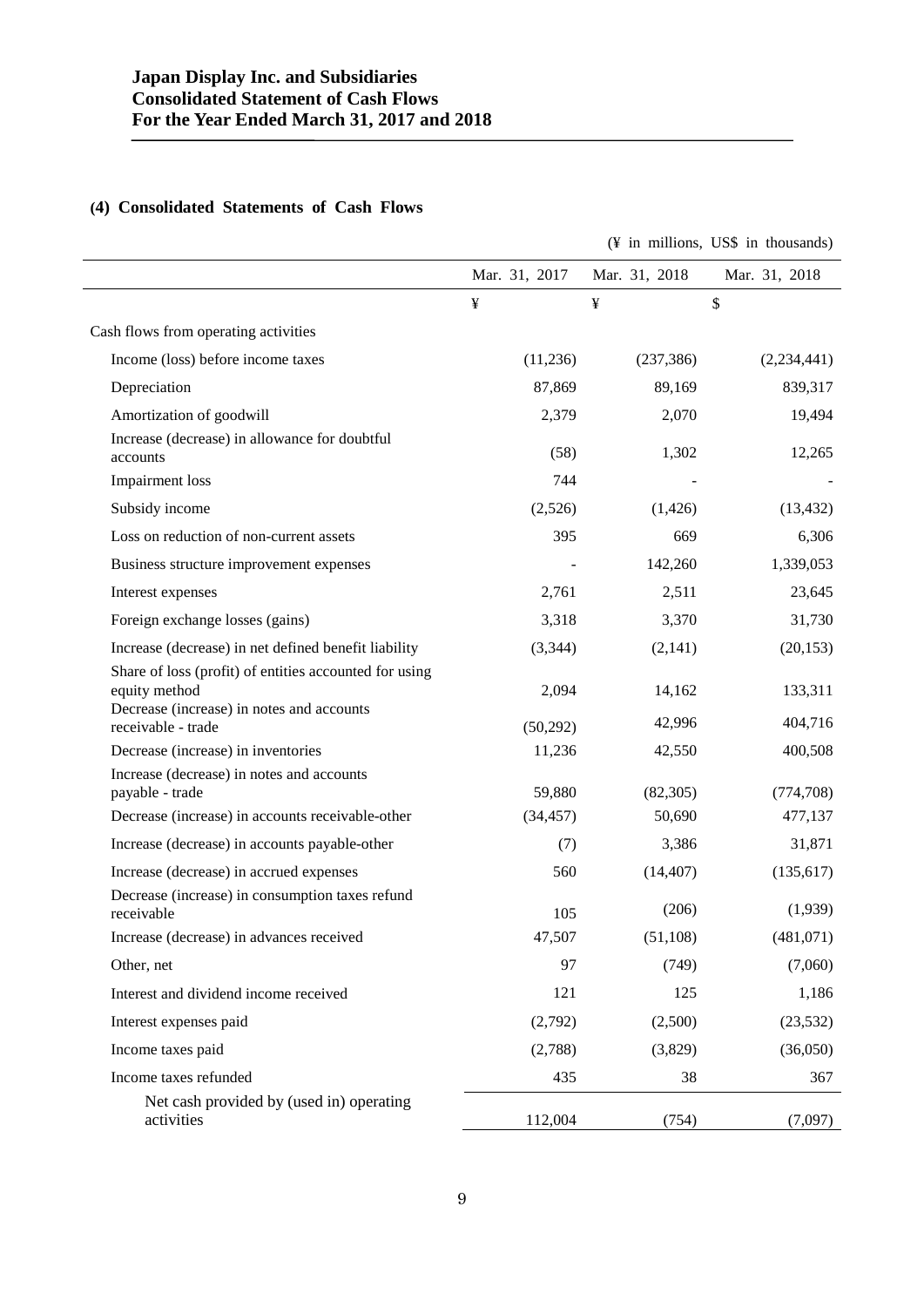# **(4) Consolidated Statements of Cash Flows**

|                                                                         |               | (¥ in millions, US\$ in thousands) |               |  |
|-------------------------------------------------------------------------|---------------|------------------------------------|---------------|--|
|                                                                         | Mar. 31, 2017 | Mar. 31, 2018                      | Mar. 31, 2018 |  |
|                                                                         | ¥             | ¥                                  | \$            |  |
| Cash flows from operating activities                                    |               |                                    |               |  |
| Income (loss) before income taxes                                       | (11,236)      | (237, 386)                         | (2,234,441)   |  |
| Depreciation                                                            | 87,869        | 89,169                             | 839,317       |  |
| Amortization of goodwill                                                | 2,379         | 2,070                              | 19,494        |  |
| Increase (decrease) in allowance for doubtful<br>accounts               | (58)          | 1,302                              | 12,265        |  |
| <b>Impairment</b> loss                                                  | 744           |                                    |               |  |
| Subsidy income                                                          | (2,526)       | (1,426)                            | (13, 432)     |  |
| Loss on reduction of non-current assets                                 | 395           | 669                                | 6,306         |  |
| Business structure improvement expenses                                 |               | 142,260                            | 1,339,053     |  |
| Interest expenses                                                       | 2,761         | 2,511                              | 23,645        |  |
| Foreign exchange losses (gains)                                         | 3,318         | 3,370                              | 31,730        |  |
| Increase (decrease) in net defined benefit liability                    | (3, 344)      | (2,141)                            | (20, 153)     |  |
| Share of loss (profit) of entities accounted for using<br>equity method | 2,094         | 14,162                             | 133,311       |  |
| Decrease (increase) in notes and accounts<br>receivable - trade         | (50,292)      | 42,996                             | 404,716       |  |
| Decrease (increase) in inventories                                      | 11,236        | 42,550                             | 400,508       |  |
| Increase (decrease) in notes and accounts<br>payable - trade            | 59,880        | (82, 305)                          | (774, 708)    |  |
| Decrease (increase) in accounts receivable-other                        | (34, 457)     | 50,690                             | 477,137       |  |
| Increase (decrease) in accounts payable-other                           | (7)           | 3,386                              | 31,871        |  |
| Increase (decrease) in accrued expenses                                 | 560           | (14, 407)                          | (135, 617)    |  |
| Decrease (increase) in consumption taxes refund<br>receivable           | 105           | (206)                              | (1,939)       |  |
| Increase (decrease) in advances received                                | 47,507        | (51,108)                           | (481,071)     |  |
| Other, net                                                              | 97            | (749)                              | (7,060)       |  |
| Interest and dividend income received                                   | 121           | 125                                | 1,186         |  |
| Interest expenses paid                                                  | (2,792)       | (2,500)                            | (23, 532)     |  |
| Income taxes paid                                                       | (2,788)       | (3,829)                            | (36,050)      |  |
| Income taxes refunded                                                   | 435           | 38                                 | 367           |  |
| Net cash provided by (used in) operating<br>activities                  | 112,004       | (754)                              | (7,097)       |  |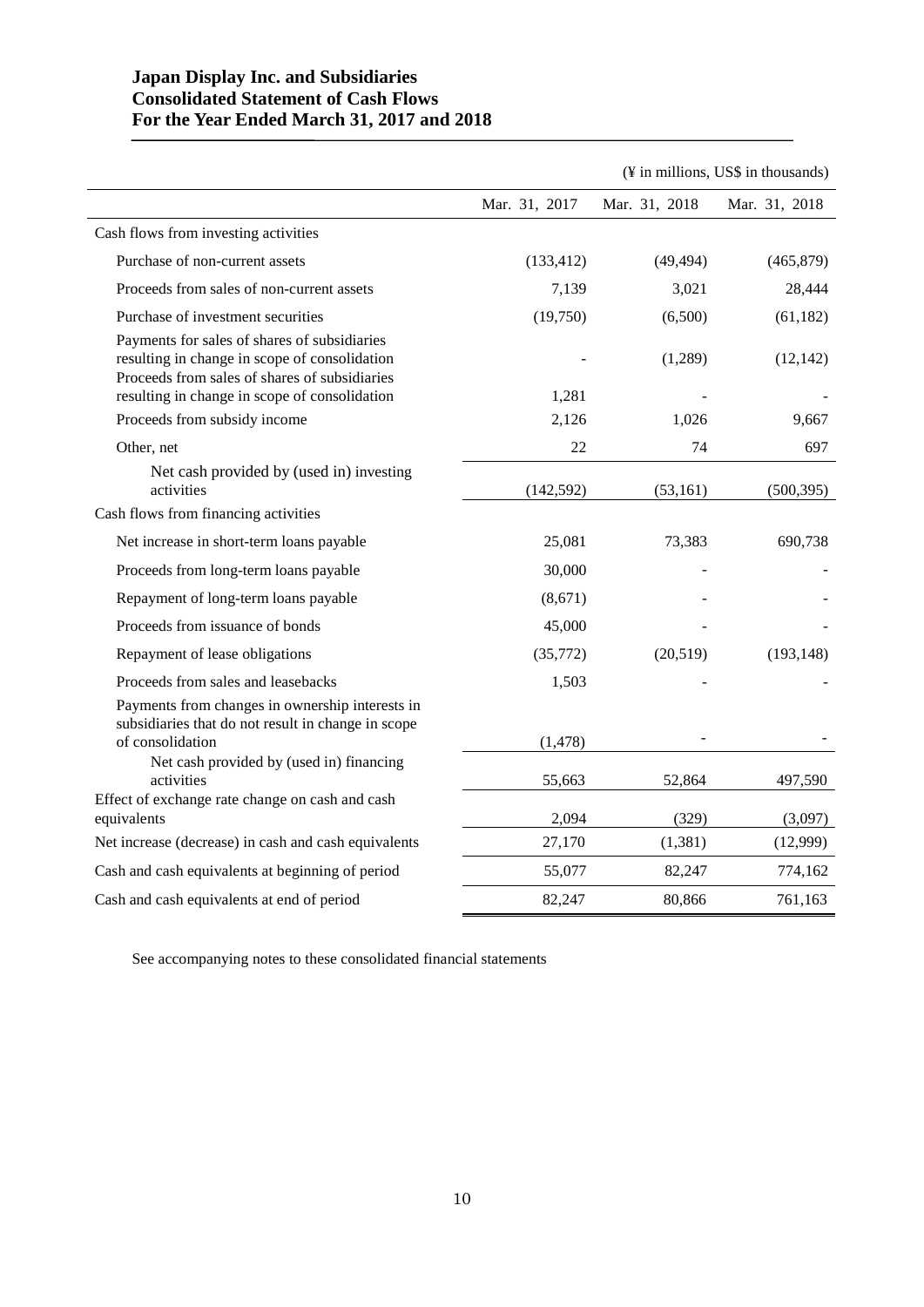# **Japan Display Inc. and Subsidiaries Consolidated Statement of Cash Flows For the Year Ended March 31, 2017 and 2018**

|                                                                                                                                                |               |               | (¥ in millions, US\$ in thousands) |
|------------------------------------------------------------------------------------------------------------------------------------------------|---------------|---------------|------------------------------------|
|                                                                                                                                                | Mar. 31, 2017 | Mar. 31, 2018 | Mar. 31, 2018                      |
| Cash flows from investing activities                                                                                                           |               |               |                                    |
| Purchase of non-current assets                                                                                                                 | (133, 412)    | (49, 494)     | (465, 879)                         |
| Proceeds from sales of non-current assets                                                                                                      | 7,139         | 3,021         | 28,444                             |
| Purchase of investment securities                                                                                                              | (19,750)      | (6,500)       | (61, 182)                          |
| Payments for sales of shares of subsidiaries<br>resulting in change in scope of consolidation<br>Proceeds from sales of shares of subsidiaries |               | (1,289)       | (12, 142)                          |
| resulting in change in scope of consolidation                                                                                                  | 1,281         |               |                                    |
| Proceeds from subsidy income                                                                                                                   | 2,126         | 1,026         | 9,667                              |
| Other, net                                                                                                                                     | 22            | 74            | 697                                |
| Net cash provided by (used in) investing<br>activities                                                                                         | (142, 592)    | (53, 161)     | (500, 395)                         |
| Cash flows from financing activities                                                                                                           |               |               |                                    |
| Net increase in short-term loans payable                                                                                                       | 25,081        | 73,383        | 690,738                            |
| Proceeds from long-term loans payable                                                                                                          | 30,000        |               |                                    |
| Repayment of long-term loans payable                                                                                                           | (8,671)       |               |                                    |
| Proceeds from issuance of bonds                                                                                                                | 45,000        |               |                                    |
| Repayment of lease obligations                                                                                                                 | (35,772)      | (20,519)      | (193, 148)                         |
| Proceeds from sales and leasebacks                                                                                                             | 1,503         |               |                                    |
| Payments from changes in ownership interests in<br>subsidiaries that do not result in change in scope<br>of consolidation                      | (1, 478)      |               |                                    |
| Net cash provided by (used in) financing<br>activities                                                                                         | 55,663        | 52,864        | 497,590                            |
| Effect of exchange rate change on cash and cash<br>equivalents                                                                                 | 2,094         | (329)         | (3,097)                            |
| Net increase (decrease) in cash and cash equivalents                                                                                           | 27,170        | (1,381)       | (12,999)                           |
| Cash and cash equivalents at beginning of period                                                                                               | 55,077        | 82,247        | 774,162                            |
| Cash and cash equivalents at end of period                                                                                                     | 82,247        | 80,866        | 761,163                            |

See accompanying notes to these consolidated financial statements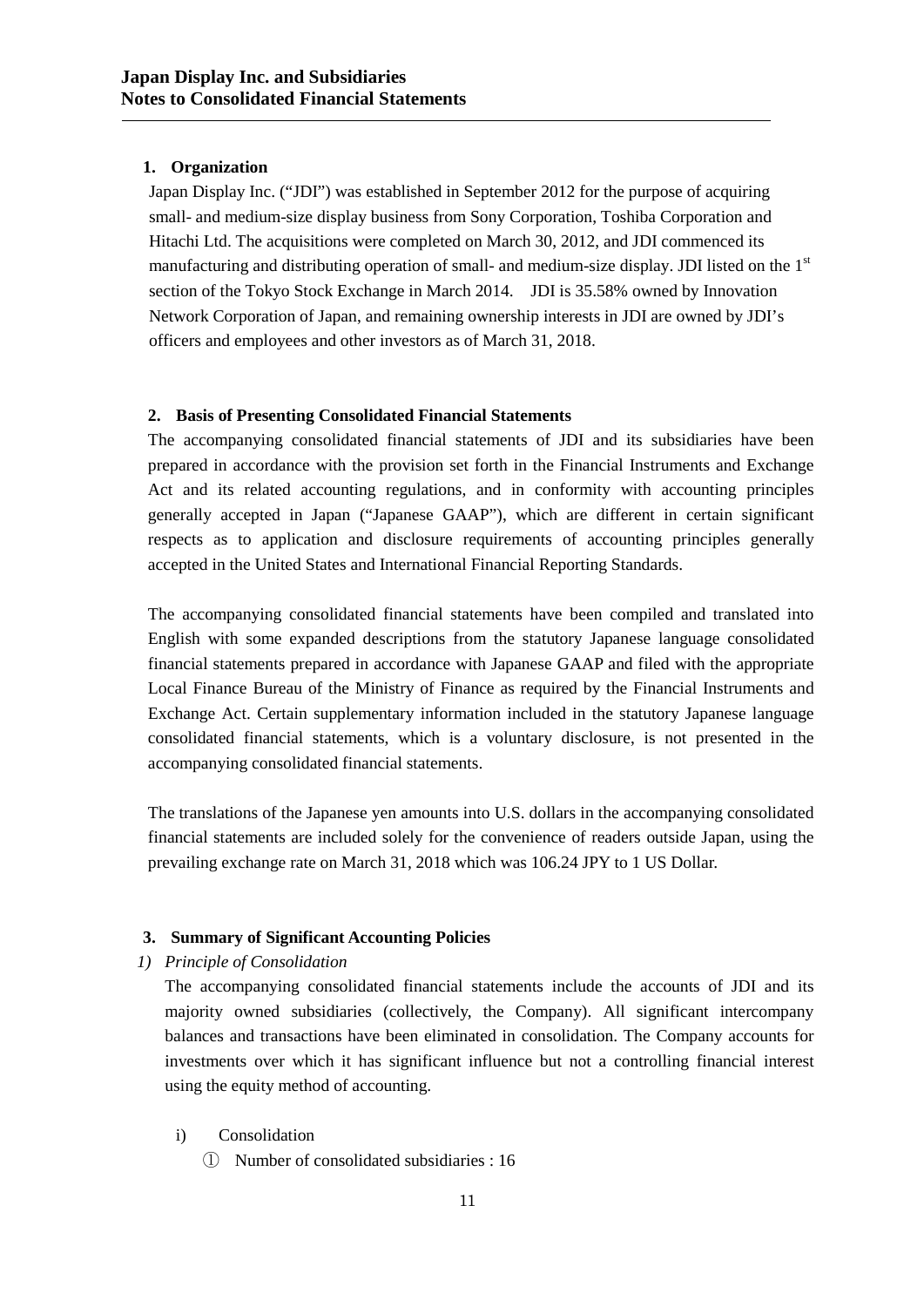# **1. Organization**

Japan Display Inc. ("JDI") was established in September 2012 for the purpose of acquiring small- and medium-size display business from Sony Corporation, Toshiba Corporation and Hitachi Ltd. The acquisitions were completed on March 30, 2012, and JDI commenced its manufacturing and distributing operation of small- and medium-size display. JDI listed on the 1<sup>st</sup> section of the Tokyo Stock Exchange in March 2014. JDI is 35.58% owned by Innovation Network Corporation of Japan, and remaining ownership interests in JDI are owned by JDI's officers and employees and other investors as of March 31, 2018.

# **2. Basis of Presenting Consolidated Financial Statements**

The accompanying consolidated financial statements of JDI and its subsidiaries have been prepared in accordance with the provision set forth in the Financial Instruments and Exchange Act and its related accounting regulations, and in conformity with accounting principles generally accepted in Japan ("Japanese GAAP"), which are different in certain significant respects as to application and disclosure requirements of accounting principles generally accepted in the United States and International Financial Reporting Standards.

The accompanying consolidated financial statements have been compiled and translated into English with some expanded descriptions from the statutory Japanese language consolidated financial statements prepared in accordance with Japanese GAAP and filed with the appropriate Local Finance Bureau of the Ministry of Finance as required by the Financial Instruments and Exchange Act. Certain supplementary information included in the statutory Japanese language consolidated financial statements, which is a voluntary disclosure, is not presented in the accompanying consolidated financial statements.

The translations of the Japanese yen amounts into U.S. dollars in the accompanying consolidated financial statements are included solely for the convenience of readers outside Japan, using the prevailing exchange rate on March 31, 2018 which was 106.24 JPY to 1 US Dollar.

# **3. Summary of Significant Accounting Policies**

*1) Principle of Consolidation*

The accompanying consolidated financial statements include the accounts of JDI and its majority owned subsidiaries (collectively, the Company). All significant intercompany balances and transactions have been eliminated in consolidation. The Company accounts for investments over which it has significant influence but not a controlling financial interest using the equity method of accounting.

- i) Consolidation
	- ① Number of consolidated subsidiaries : 16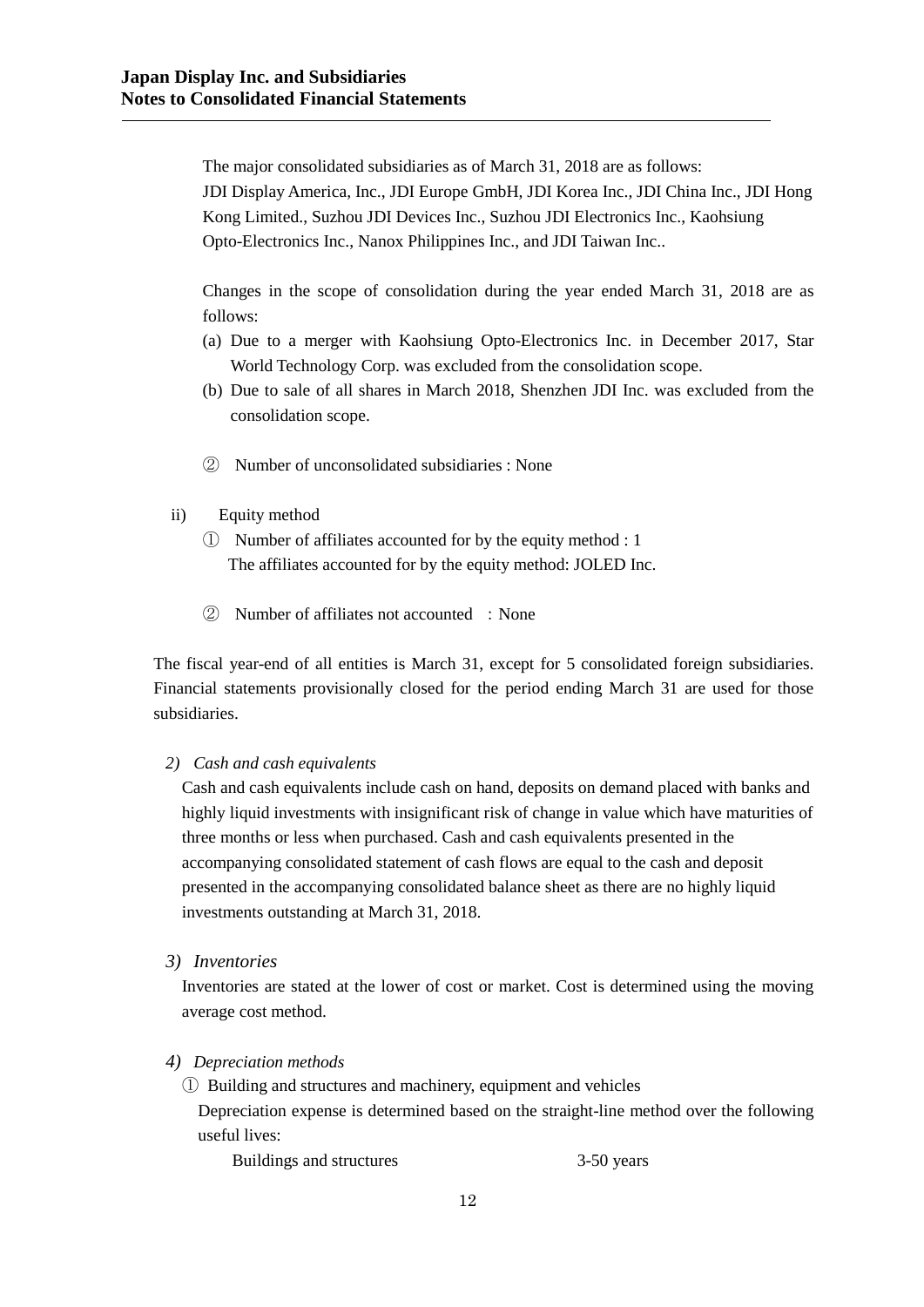The major consolidated subsidiaries as of March 31, 2018 are as follows: JDI Display America, Inc., JDI Europe GmbH, JDI Korea Inc., JDI China Inc., JDI Hong Kong Limited., Suzhou JDI Devices Inc., Suzhou JDI Electronics Inc., Kaohsiung Opto-Electronics Inc., Nanox Philippines Inc., and JDI Taiwan Inc..

Changes in the scope of consolidation during the year ended March 31, 2018 are as follows:

- (a) Due to a merger with Kaohsiung Opto-Electronics Inc. in December 2017, Star World Technology Corp. was excluded from the consolidation scope.
- (b) Due to sale of all shares in March 2018, Shenzhen JDI Inc. was excluded from the consolidation scope.
- ② Number of unconsolidated subsidiaries : None
- ii) Equity method
	- ① Number of affiliates accounted for by the equity method : 1 The affiliates accounted for by the equity method: JOLED Inc.
	- ② Number of affiliates not accounted :None

The fiscal year-end of all entities is March 31, except for 5 consolidated foreign subsidiaries. Financial statements provisionally closed for the period ending March 31 are used for those subsidiaries.

## *2) Cash and cash equivalents*

Cash and cash equivalents include cash on hand, deposits on demand placed with banks and highly liquid investments with insignificant risk of change in value which have maturities of three months or less when purchased. Cash and cash equivalents presented in the accompanying consolidated statement of cash flows are equal to the cash and deposit presented in the accompanying consolidated balance sheet as there are no highly liquid investments outstanding at March 31, 2018.

*3) Inventories*

Inventories are stated at the lower of cost or market. Cost is determined using the moving average cost method.

*4) Depreciation methods*

① Building and structures and machinery, equipment and vehicles

Depreciation expense is determined based on the straight-line method over the following useful lives:

Buildings and structures 3-50 years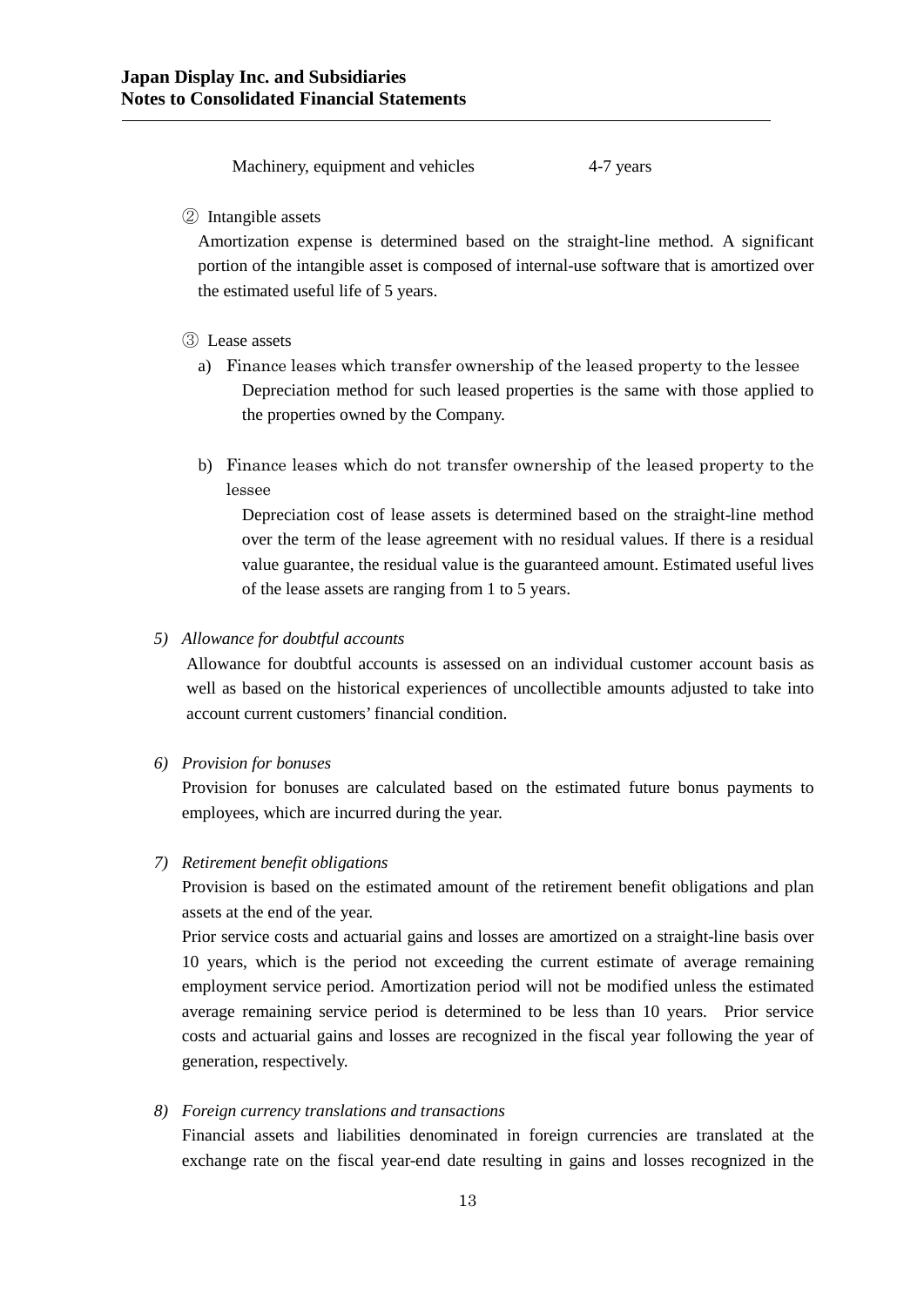Machinery, equipment and vehicles 4-7 years

② Intangible assets

Amortization expense is determined based on the straight-line method. A significant portion of the intangible asset is composed of internal-use software that is amortized over the estimated useful life of 5 years.

## ③ Lease assets

- a) Finance leases which transfer ownership of the leased property to the lessee Depreciation method for such leased properties is the same with those applied to the properties owned by the Company.
- b) Finance leases which do not transfer ownership of the leased property to the lessee

Depreciation cost of lease assets is determined based on the straight-line method over the term of the lease agreement with no residual values. If there is a residual value guarantee, the residual value is the guaranteed amount. Estimated useful lives of the lease assets are ranging from 1 to 5 years.

#### *5) Allowance for doubtful accounts*

Allowance for doubtful accounts is assessed on an individual customer account basis as well as based on the historical experiences of uncollectible amounts adjusted to take into account current customers' financial condition.

*6) Provision for bonuses*

Provision for bonuses are calculated based on the estimated future bonus payments to employees, which are incurred during the year.

*7) Retirement benefit obligations*

Provision is based on the estimated amount of the retirement benefit obligations and plan assets at the end of the year.

Prior service costs and actuarial gains and losses are amortized on a straight-line basis over 10 years, which is the period not exceeding the current estimate of average remaining employment service period. Amortization period will not be modified unless the estimated average remaining service period is determined to be less than 10 years. Prior service costs and actuarial gains and losses are recognized in the fiscal year following the year of generation, respectively.

# *8) Foreign currency translations and transactions*

Financial assets and liabilities denominated in foreign currencies are translated at the exchange rate on the fiscal year-end date resulting in gains and losses recognized in the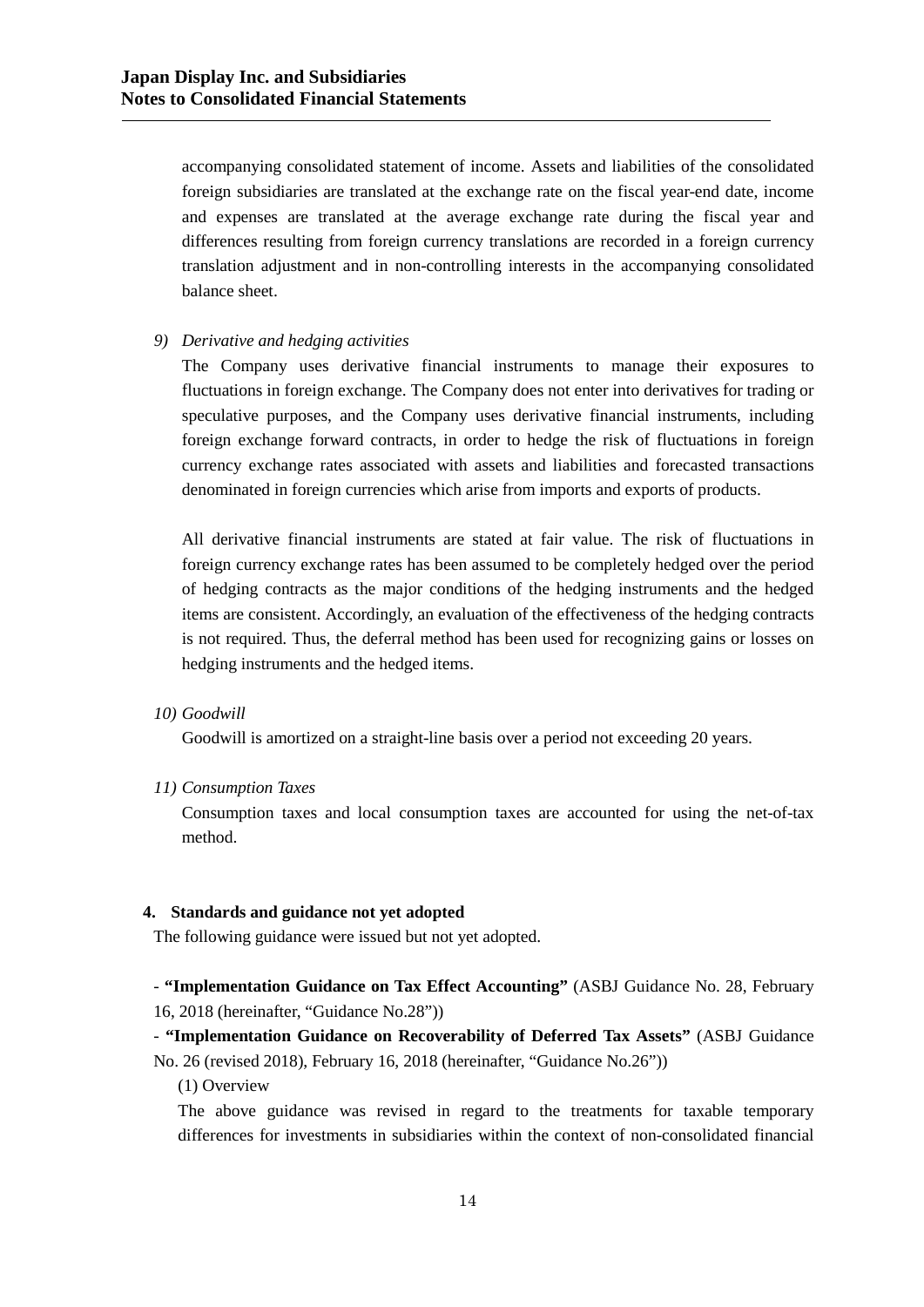accompanying consolidated statement of income. Assets and liabilities of the consolidated foreign subsidiaries are translated at the exchange rate on the fiscal year-end date, income and expenses are translated at the average exchange rate during the fiscal year and differences resulting from foreign currency translations are recorded in a foreign currency translation adjustment and in non-controlling interests in the accompanying consolidated balance sheet.

#### *9) Derivative and hedging activities*

The Company uses derivative financial instruments to manage their exposures to fluctuations in foreign exchange. The Company does not enter into derivatives for trading or speculative purposes, and the Company uses derivative financial instruments, including foreign exchange forward contracts, in order to hedge the risk of fluctuations in foreign currency exchange rates associated with assets and liabilities and forecasted transactions denominated in foreign currencies which arise from imports and exports of products.

All derivative financial instruments are stated at fair value. The risk of fluctuations in foreign currency exchange rates has been assumed to be completely hedged over the period of hedging contracts as the major conditions of the hedging instruments and the hedged items are consistent. Accordingly, an evaluation of the effectiveness of the hedging contracts is not required. Thus, the deferral method has been used for recognizing gains or losses on hedging instruments and the hedged items.

#### *10) Goodwill*

Goodwill is amortized on a straight-line basis over a period not exceeding 20 years.

#### *11) Consumption Taxes*

Consumption taxes and local consumption taxes are accounted for using the net-of-tax method.

## **4. Standards and guidance not yet adopted**

The following guidance were issued but not yet adopted.

- **"Implementation Guidance on Tax Effect Accounting"** (ASBJ Guidance No. 28, February 16, 2018 (hereinafter, "Guidance No.28"))

- **"Implementation Guidance on Recoverability of Deferred Tax Assets"** (ASBJ Guidance No. 26 (revised 2018), February 16, 2018 (hereinafter, "Guidance No.26"))

(1) Overview

The above guidance was revised in regard to the treatments for taxable temporary differences for investments in subsidiaries within the context of non-consolidated financial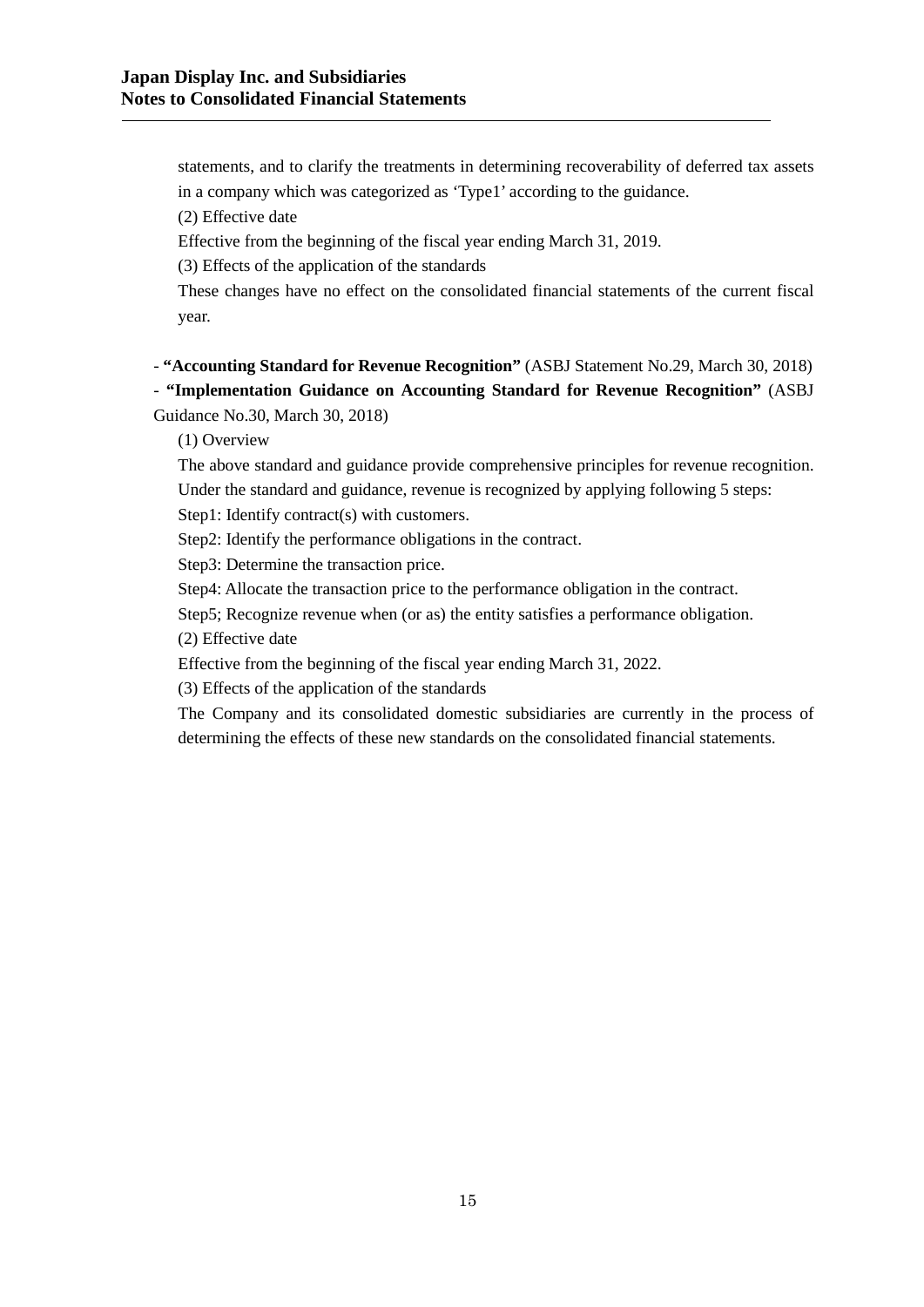statements, and to clarify the treatments in determining recoverability of deferred tax assets in a company which was categorized as 'Type1' according to the guidance.

(2) Effective date

Effective from the beginning of the fiscal year ending March 31, 2019.

(3) Effects of the application of the standards

These changes have no effect on the consolidated financial statements of the current fiscal year.

- **"Accounting Standard for Revenue Recognition"** (ASBJ Statement No.29, March 30, 2018)

- **"Implementation Guidance on Accounting Standard for Revenue Recognition"** (ASBJ Guidance No.30, March 30, 2018)

(1) Overview

The above standard and guidance provide comprehensive principles for revenue recognition. Under the standard and guidance, revenue is recognized by applying following 5 steps:

Step1: Identify contract(s) with customers.

Step2: Identify the performance obligations in the contract.

Step3: Determine the transaction price.

Step4: Allocate the transaction price to the performance obligation in the contract.

Step5; Recognize revenue when (or as) the entity satisfies a performance obligation.

(2) Effective date

Effective from the beginning of the fiscal year ending March 31, 2022.

(3) Effects of the application of the standards

The Company and its consolidated domestic subsidiaries are currently in the process of determining the effects of these new standards on the consolidated financial statements.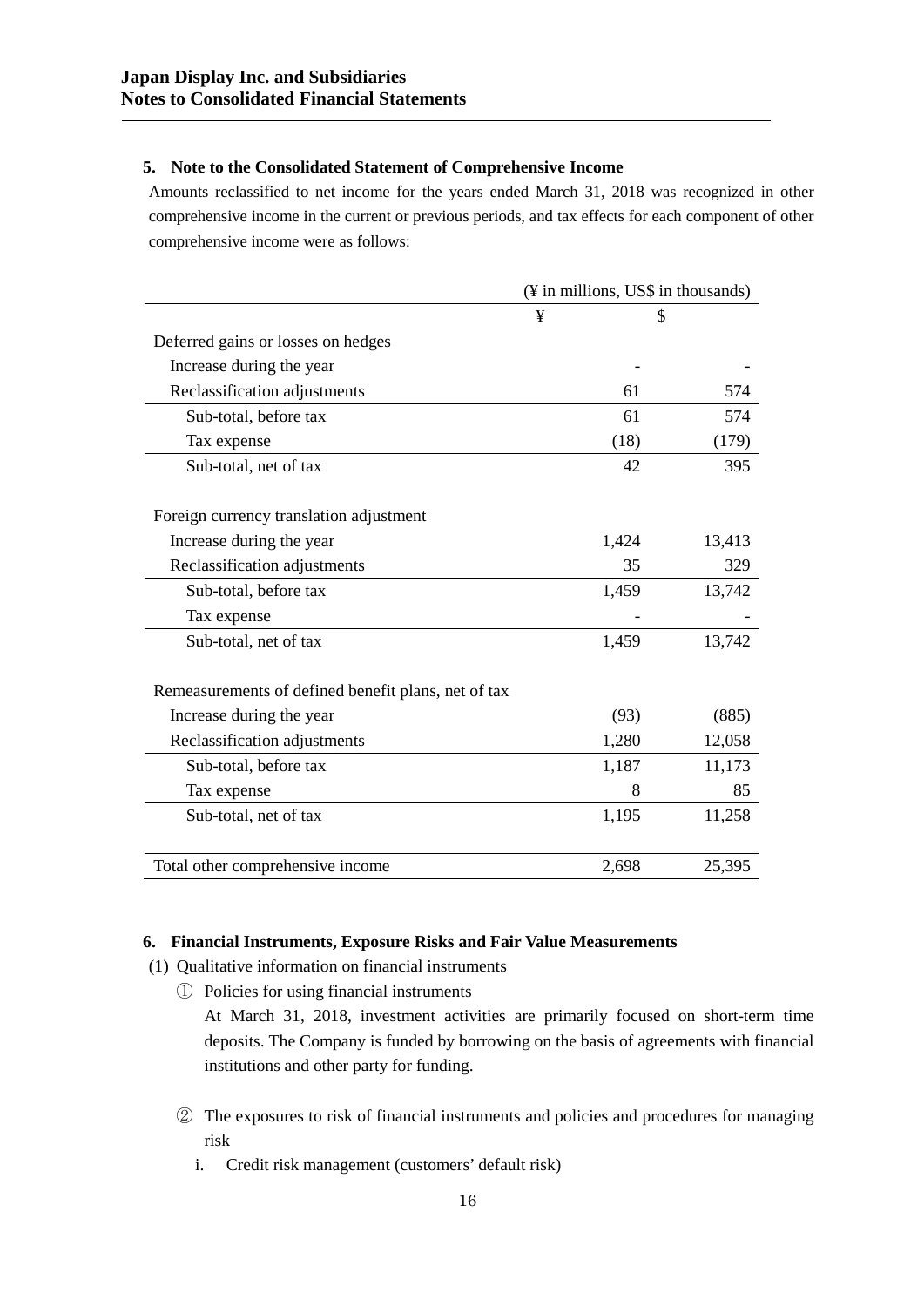## **5. Note to the Consolidated Statement of Comprehensive Income**

Amounts reclassified to net income for the years ended March 31, 2018 was recognized in other comprehensive income in the current or previous periods, and tax effects for each component of other comprehensive income were as follows:

|                                                     | (¥ in millions, US\$ in thousands) |        |
|-----------------------------------------------------|------------------------------------|--------|
|                                                     | ¥                                  | \$     |
| Deferred gains or losses on hedges                  |                                    |        |
| Increase during the year                            |                                    |        |
| Reclassification adjustments                        | 61                                 | 574    |
| Sub-total, before tax                               | 61                                 | 574    |
| Tax expense                                         | (18)                               | (179)  |
| Sub-total, net of tax                               | 42                                 | 395    |
| Foreign currency translation adjustment             |                                    |        |
| Increase during the year                            | 1,424                              | 13,413 |
| Reclassification adjustments                        | 35                                 | 329    |
| Sub-total, before tax                               | 1,459                              | 13,742 |
| Tax expense                                         |                                    |        |
| Sub-total, net of tax                               | 1,459                              | 13,742 |
| Remeasurements of defined benefit plans, net of tax |                                    |        |
| Increase during the year                            | (93)                               | (885)  |
| Reclassification adjustments                        | 1,280                              | 12,058 |
| Sub-total, before tax                               | 1,187                              | 11,173 |
| Tax expense                                         | 8                                  | 85     |
| Sub-total, net of tax                               | 1,195                              | 11,258 |
| Total other comprehensive income                    | 2,698                              | 25,395 |

## **6. Financial Instruments, Exposure Risks and Fair Value Measurements**

- (1) Qualitative information on financial instruments
	- ① Policies for using financial instruments

At March 31, 2018, investment activities are primarily focused on short-term time deposits. The Company is funded by borrowing on the basis of agreements with financial institutions and other party for funding.

- ② The exposures to risk of financial instruments and policies and procedures for managing risk
	- i. Credit risk management (customers' default risk)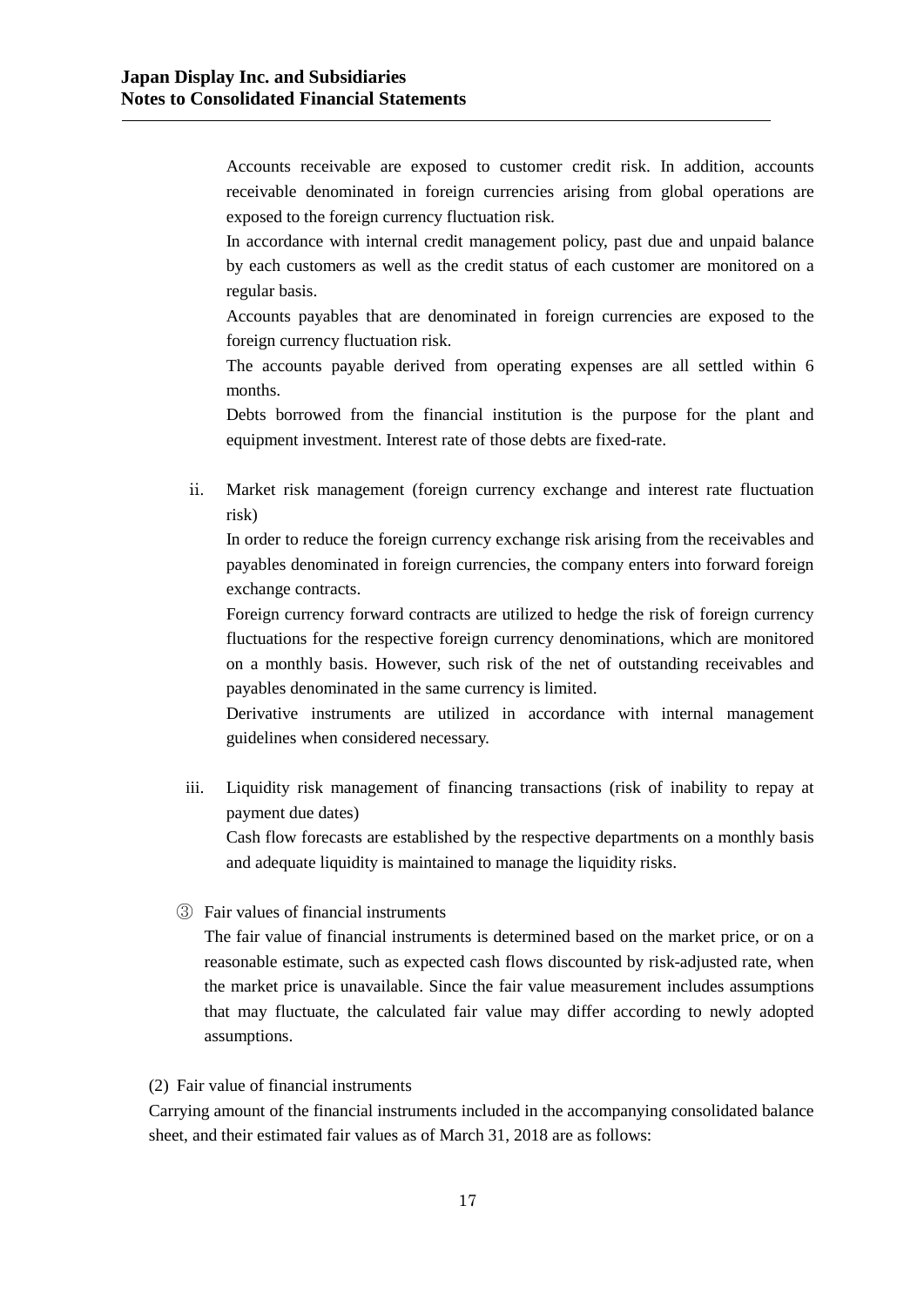Accounts receivable are exposed to customer credit risk. In addition, accounts receivable denominated in foreign currencies arising from global operations are exposed to the foreign currency fluctuation risk.

In accordance with internal credit management policy, past due and unpaid balance by each customers as well as the credit status of each customer are monitored on a regular basis.

Accounts payables that are denominated in foreign currencies are exposed to the foreign currency fluctuation risk.

The accounts payable derived from operating expenses are all settled within 6 months.

Debts borrowed from the financial institution is the purpose for the plant and equipment investment. Interest rate of those debts are fixed-rate.

ii. Market risk management (foreign currency exchange and interest rate fluctuation risk)

In order to reduce the foreign currency exchange risk arising from the receivables and payables denominated in foreign currencies, the company enters into forward foreign exchange contracts.

Foreign currency forward contracts are utilized to hedge the risk of foreign currency fluctuations for the respective foreign currency denominations, which are monitored on a monthly basis. However, such risk of the net of outstanding receivables and payables denominated in the same currency is limited.

Derivative instruments are utilized in accordance with internal management guidelines when considered necessary.

iii. Liquidity risk management of financing transactions (risk of inability to repay at payment due dates)

Cash flow forecasts are established by the respective departments on a monthly basis and adequate liquidity is maintained to manage the liquidity risks.

③ Fair values of financial instruments

The fair value of financial instruments is determined based on the market price, or on a reasonable estimate, such as expected cash flows discounted by risk-adjusted rate, when the market price is unavailable. Since the fair value measurement includes assumptions that may fluctuate, the calculated fair value may differ according to newly adopted assumptions.

# (2) Fair value of financial instruments

Carrying amount of the financial instruments included in the accompanying consolidated balance sheet, and their estimated fair values as of March 31, 2018 are as follows: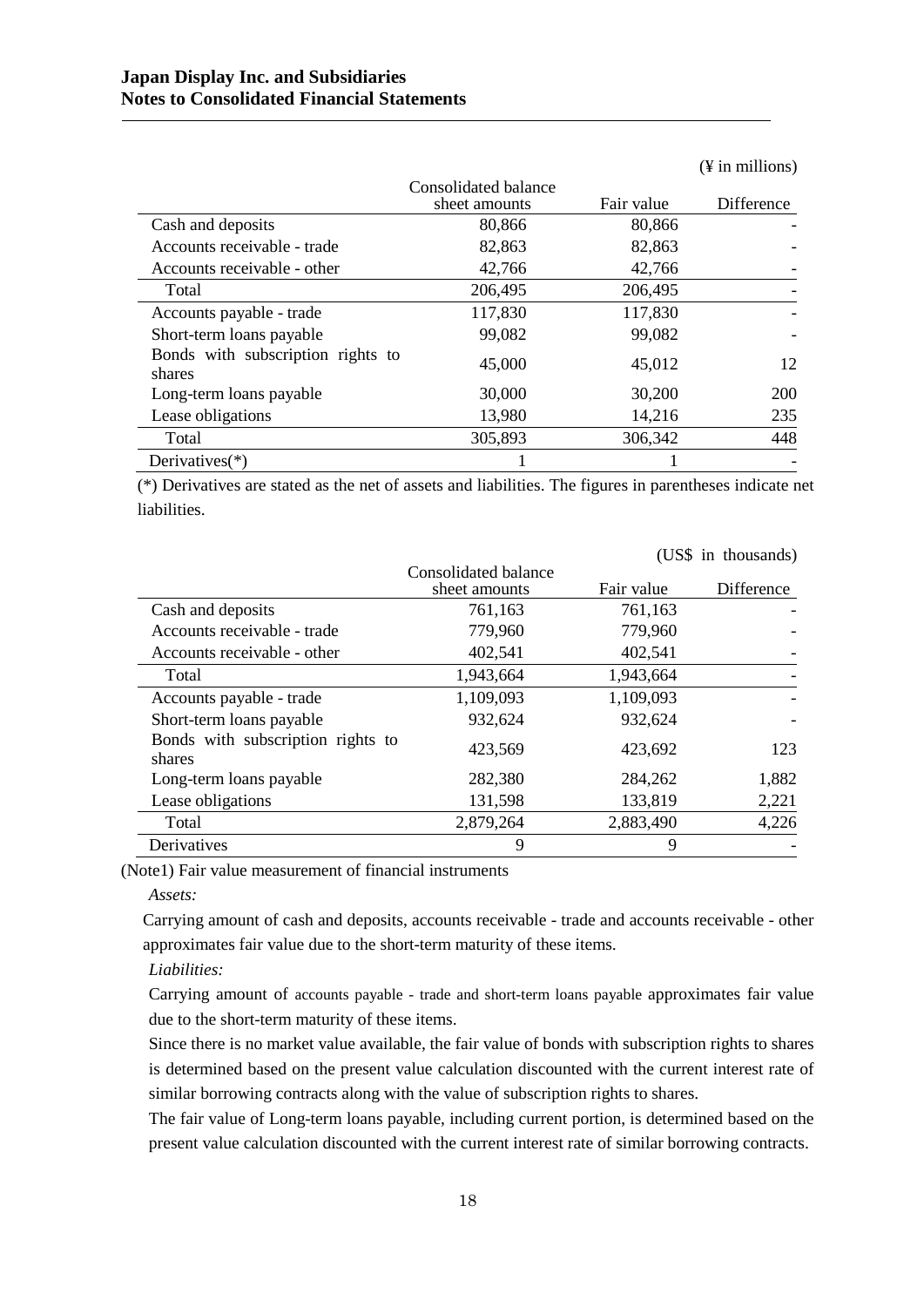|                                             |                                       |            | $(\frac{1}{2}$ in millions) |
|---------------------------------------------|---------------------------------------|------------|-----------------------------|
|                                             | Consolidated balance<br>sheet amounts | Fair value | Difference                  |
| Cash and deposits                           | 80,866                                | 80,866     |                             |
| Accounts receivable - trade                 | 82,863                                | 82,863     |                             |
| Accounts receivable - other                 | 42,766                                | 42,766     |                             |
| Total                                       | 206,495                               | 206,495    |                             |
| Accounts payable - trade                    | 117,830                               | 117,830    |                             |
| Short-term loans payable                    | 99,082                                | 99,082     |                             |
| Bonds with subscription rights to<br>shares | 45,000                                | 45,012     | 12                          |
| Long-term loans payable                     | 30,000                                | 30,200     | <b>200</b>                  |
| Lease obligations                           | 13,980                                | 14,216     | 235                         |
| Total                                       | 305,893                               | 306,342    | 448                         |
| Derivatives $(*)$                           |                                       |            |                             |

(\*) Derivatives are stated as the net of assets and liabilities. The figures in parentheses indicate net liabilities.

|                                             |                                       |            | (US\$ in thousands) |
|---------------------------------------------|---------------------------------------|------------|---------------------|
|                                             | Consolidated balance<br>sheet amounts | Fair value | Difference          |
| Cash and deposits                           | 761,163                               | 761,163    |                     |
| Accounts receivable - trade                 | 779,960                               | 779,960    |                     |
| Accounts receivable - other                 | 402,541                               | 402,541    |                     |
| Total                                       | 1,943,664                             | 1,943,664  |                     |
| Accounts payable - trade                    | 1,109,093                             | 1,109,093  |                     |
| Short-term loans payable                    | 932,624                               | 932,624    |                     |
| Bonds with subscription rights to<br>shares | 423,569                               | 423,692    | 123                 |
| Long-term loans payable                     | 282,380                               | 284,262    | 1,882               |
| Lease obligations                           | 131,598                               | 133,819    | 2,221               |
| Total                                       | 2,879,264                             | 2,883,490  | 4,226               |
| Derivatives                                 | 9                                     | 9          |                     |

(Note1) Fair value measurement of financial instruments

#### *Assets:*

Carrying amount of cash and deposits, accounts receivable - trade and accounts receivable - other approximates fair value due to the short-term maturity of these items.

#### *Liabilities:*

Carrying amount of accounts payable - trade and short-term loans payable approximates fair value due to the short-term maturity of these items.

Since there is no market value available, the fair value of bonds with subscription rights to shares is determined based on the present value calculation discounted with the current interest rate of similar borrowing contracts along with the value of subscription rights to shares.

The fair value of Long-term loans payable, including current portion, is determined based on the present value calculation discounted with the current interest rate of similar borrowing contracts.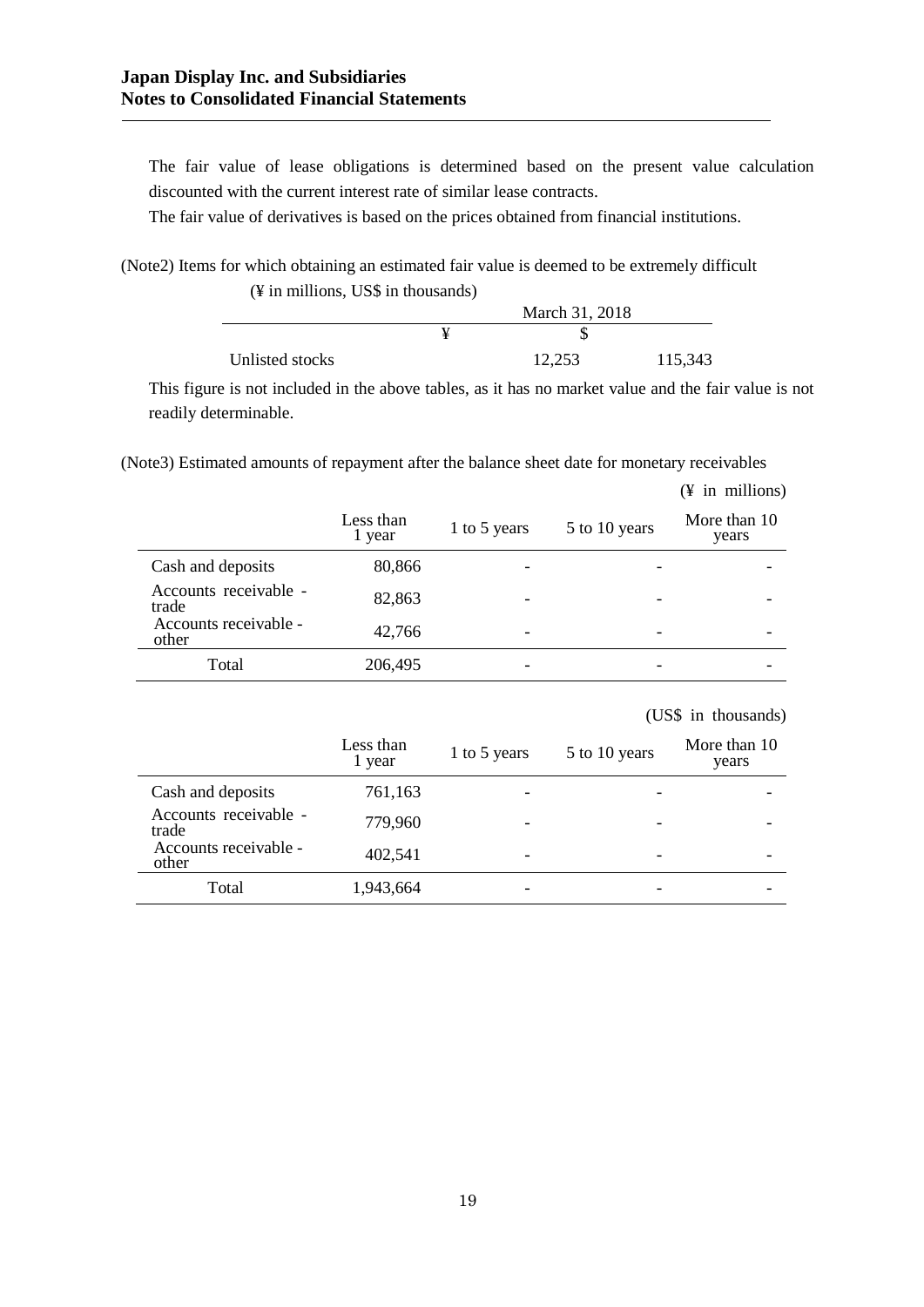The fair value of lease obligations is determined based on the present value calculation discounted with the current interest rate of similar lease contracts.

The fair value of derivatives is based on the prices obtained from financial institutions.

(Note2) Items for which obtaining an estimated fair value is deemed to be extremely difficult (¥ in millions, US\$ in thousands)

|                 |  | March 31, 2018 |         |
|-----------------|--|----------------|---------|
|                 |  |                |         |
| Unlisted stocks |  | 12.253         | 115,343 |

This figure is not included in the above tables, as it has no market value and the fair value is not readily determinable.

(Note3) Estimated amounts of repayment after the balance sheet date for monetary receivables

|                                | Less than<br>1 year | 1 to 5 years             | 5 to 10 years | More than 10<br>years |
|--------------------------------|---------------------|--------------------------|---------------|-----------------------|
| Cash and deposits              | 80,866              |                          |               |                       |
| Accounts receivable -<br>trade | 82,863              |                          |               |                       |
| Accounts receivable -<br>other | 42,766              | $\overline{\phantom{a}}$ |               |                       |
| Total                          | 206,495             |                          |               |                       |

|                    |              |               | (US\$ in thousands)   |
|--------------------|--------------|---------------|-----------------------|
| ess than<br>1 year | 1 to 5 years | 5 to 10 years | More than 10<br>years |
| 761162             |              |               |                       |

(¥ in millions)

|                                | рсээ шан<br>1 year | 1 to 5 years | 5 to 10 years | TATOLO URULLA L<br>years |
|--------------------------------|--------------------|--------------|---------------|--------------------------|
| Cash and deposits              | 761,163            |              |               |                          |
| Accounts receivable -<br>trade | 779,960            |              |               |                          |
| Accounts receivable -<br>other | 402,541            |              |               |                          |
| Total                          | 1,943,664          |              |               |                          |

Less than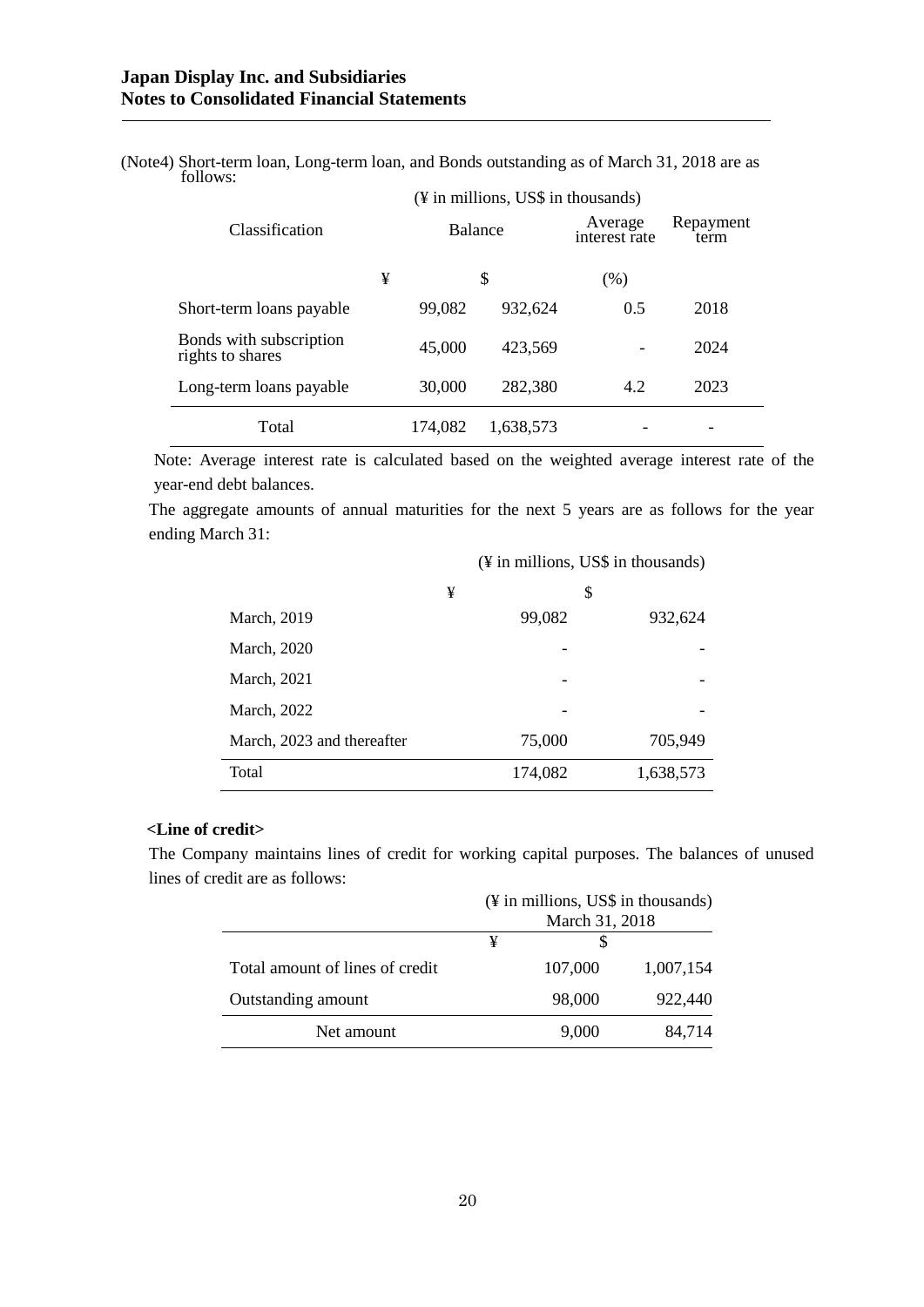| (Note4) Short-term loan, Long-term loan, and Bonds outstanding as of March 31, 2018 are as |  |  |  |
|--------------------------------------------------------------------------------------------|--|--|--|
| follows:                                                                                   |  |  |  |

| $(\frac{1}{2})$ in millions, US\$ in thousands) |         |         |                          |                   |      |
|-------------------------------------------------|---------|---------|--------------------------|-------------------|------|
| Classification                                  | Balance |         | Average<br>interest rate | Repayment<br>term |      |
|                                                 | ¥       |         | \$                       | (%)               |      |
| Short-term loans payable                        |         | 99,082  | 932,624                  | 0.5               | 2018 |
| Bonds with subscription<br>rights to shares     |         | 45,000  | 423,569                  |                   | 2024 |
| Long-term loans payable                         |         | 30,000  | 282,380                  | 4.2               | 2023 |
| Total                                           |         | 174,082 | 1,638,573                |                   |      |

Note: Average interest rate is calculated based on the weighted average interest rate of the year-end debt balances.

The aggregate amounts of annual maturities for the next 5 years are as follows for the year ending March 31:

(¥ in millions, US\$ in thousands)

|                            | ¥       | \$        |
|----------------------------|---------|-----------|
| March, 2019                | 99,082  | 932,624   |
| March, 2020                |         |           |
| March, 2021                |         |           |
| March, 2022                |         |           |
| March, 2023 and thereafter | 75,000  | 705,949   |
| Total                      | 174,082 | 1,638,573 |

# **<Line of credit>**

The Company maintains lines of credit for working capital purposes. The balances of unused lines of credit are as follows:

|                                 | (¥ in millions, US\$ in thousands) |         |           |
|---------------------------------|------------------------------------|---------|-----------|
|                                 | March 31, 2018                     |         |           |
|                                 | ¥                                  |         |           |
| Total amount of lines of credit |                                    | 107,000 | 1,007,154 |
| Outstanding amount              |                                    | 98,000  | 922,440   |
| Net amount                      |                                    | 9,000   | 84.714    |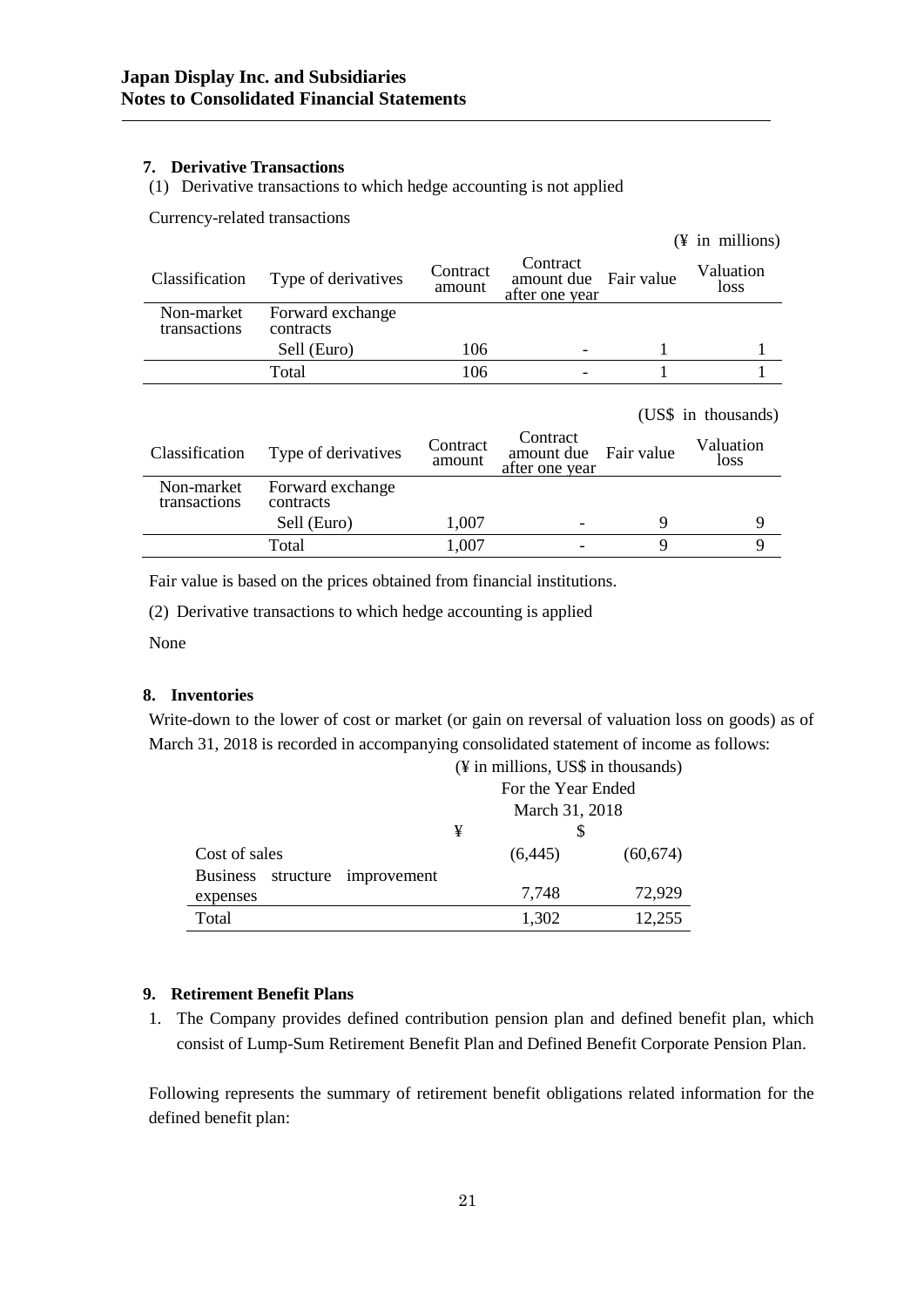## **7. Derivative Transactions**

(1) Derivative transactions to which hedge accounting is not applied

Currency-related transactions

|                               |                    |                                          |            | $(\frac{1}{2}$ in millions) |
|-------------------------------|--------------------|------------------------------------------|------------|-----------------------------|
| Type of derivatives           | Contract<br>amount | Contract<br>amount due<br>after one year | Fair value | Valuation<br>loss           |
| Forward exchange<br>contracts |                    |                                          |            |                             |
| Sell (Euro)                   | 106                |                                          |            |                             |
| Total                         | 106                |                                          |            |                             |
|                               |                    |                                          |            | (US\$ in thousands)         |
| Type of derivatives           | Contract<br>amount | Contract<br>amount due<br>after one year | Fair value | Valuation<br>loss           |
| Forward exchange<br>contracts |                    |                                          |            |                             |
| Sell (Euro)                   | 1,007              |                                          | 9          | 9                           |
| Total                         | 1,007              |                                          | 9          | 9                           |
|                               |                    |                                          |            |                             |

Fair value is based on the prices obtained from financial institutions.

(2) Derivative transactions to which hedge accounting is applied

None

## **8. Inventories**

Write-down to the lower of cost or market (or gain on reversal of valuation loss on goods) as of March 31, 2018 is recorded in accompanying consolidated statement of income as follows:

|                                          |   | For the Year Ended |           |  |
|------------------------------------------|---|--------------------|-----------|--|
|                                          |   | March 31, 2018     |           |  |
|                                          | ¥ |                    |           |  |
| Cost of sales                            |   | (6,445)            | (60, 674) |  |
| <b>Business</b><br>structure improvement |   |                    |           |  |
| expenses                                 |   | 7,748              | 72,929    |  |
| Total                                    |   | 1,302              | 12,255    |  |

#### (¥ in millions, US\$ in thousands)

#### **9. Retirement Benefit Plans**

1. The Company provides defined contribution pension plan and defined benefit plan, which consist of Lump-Sum Retirement Benefit Plan and Defined Benefit Corporate Pension Plan.

Following represents the summary of retirement benefit obligations related information for the defined benefit plan: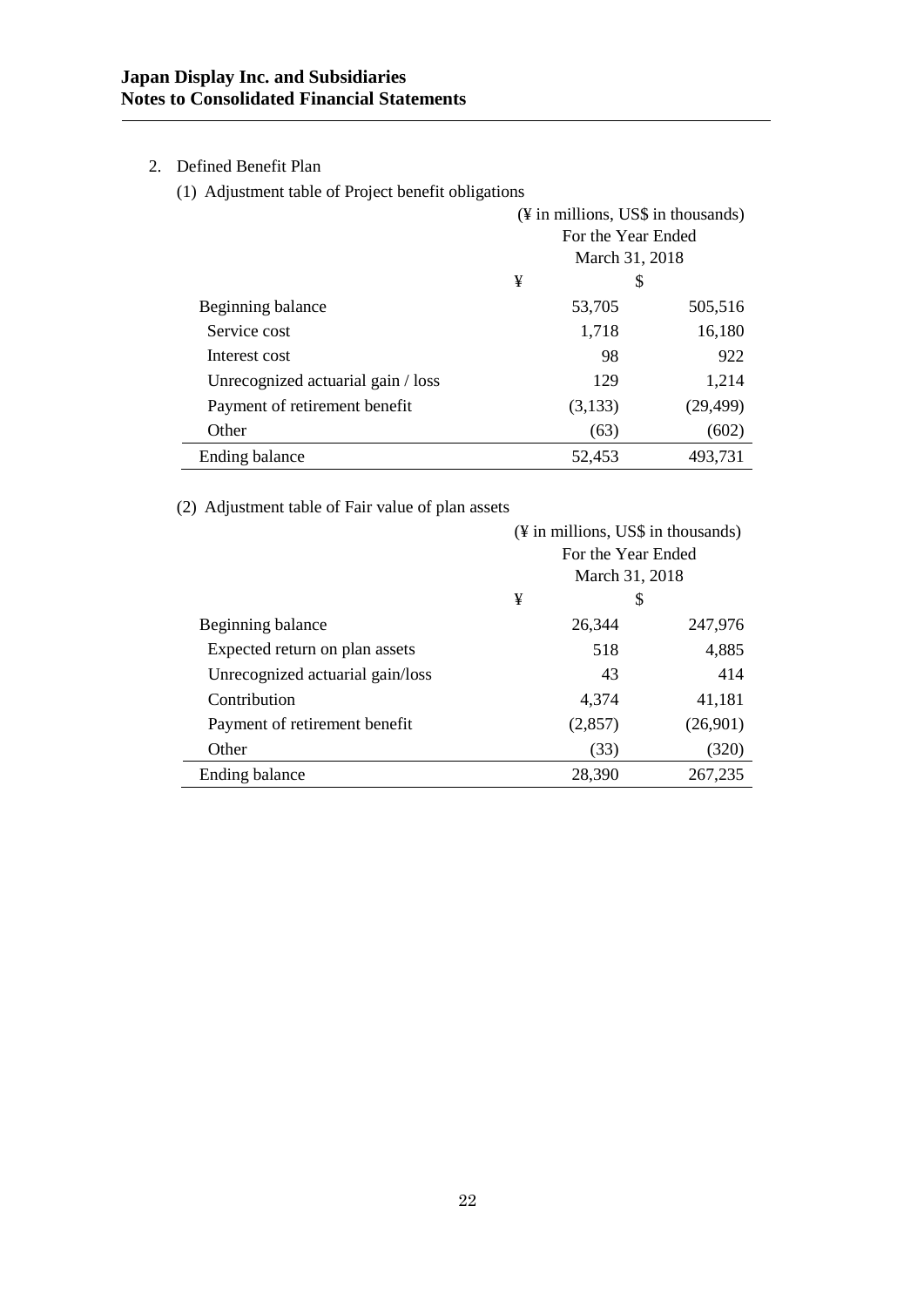# 2. Defined Benefit Plan

(1) Adjustment table of Project benefit obligations

|                                    | (¥ in millions, US\$ in thousands) |         |           |
|------------------------------------|------------------------------------|---------|-----------|
|                                    | For the Year Ended                 |         |           |
|                                    | March 31, 2018                     |         |           |
|                                    | ¥<br>\$                            |         |           |
| Beginning balance                  |                                    | 53,705  | 505,516   |
| Service cost                       |                                    | 1,718   | 16,180    |
| Interest cost                      |                                    | 98      | 922       |
| Unrecognized actuarial gain / loss |                                    | 129     | 1,214     |
| Payment of retirement benefit      |                                    | (3,133) | (29, 499) |
| Other                              |                                    | (63)    | (602)     |
| Ending balance                     |                                    | 52,453  | 493,731   |

(2) Adjustment table of Fair value of plan assets

|                                  | (¥ in millions, US\$ in thousands) |         |          |
|----------------------------------|------------------------------------|---------|----------|
|                                  | For the Year Ended                 |         |          |
|                                  | March 31, 2018                     |         |          |
|                                  | ¥<br>\$                            |         |          |
| Beginning balance                |                                    | 26,344  | 247,976  |
| Expected return on plan assets   |                                    | 518     | 4,885    |
| Unrecognized actuarial gain/loss |                                    | 43      | 414      |
| Contribution                     |                                    | 4,374   | 41,181   |
| Payment of retirement benefit    |                                    | (2,857) | (26,901) |
| Other                            |                                    | (33)    | (320)    |
| Ending balance                   |                                    | 28,390  | 267,235  |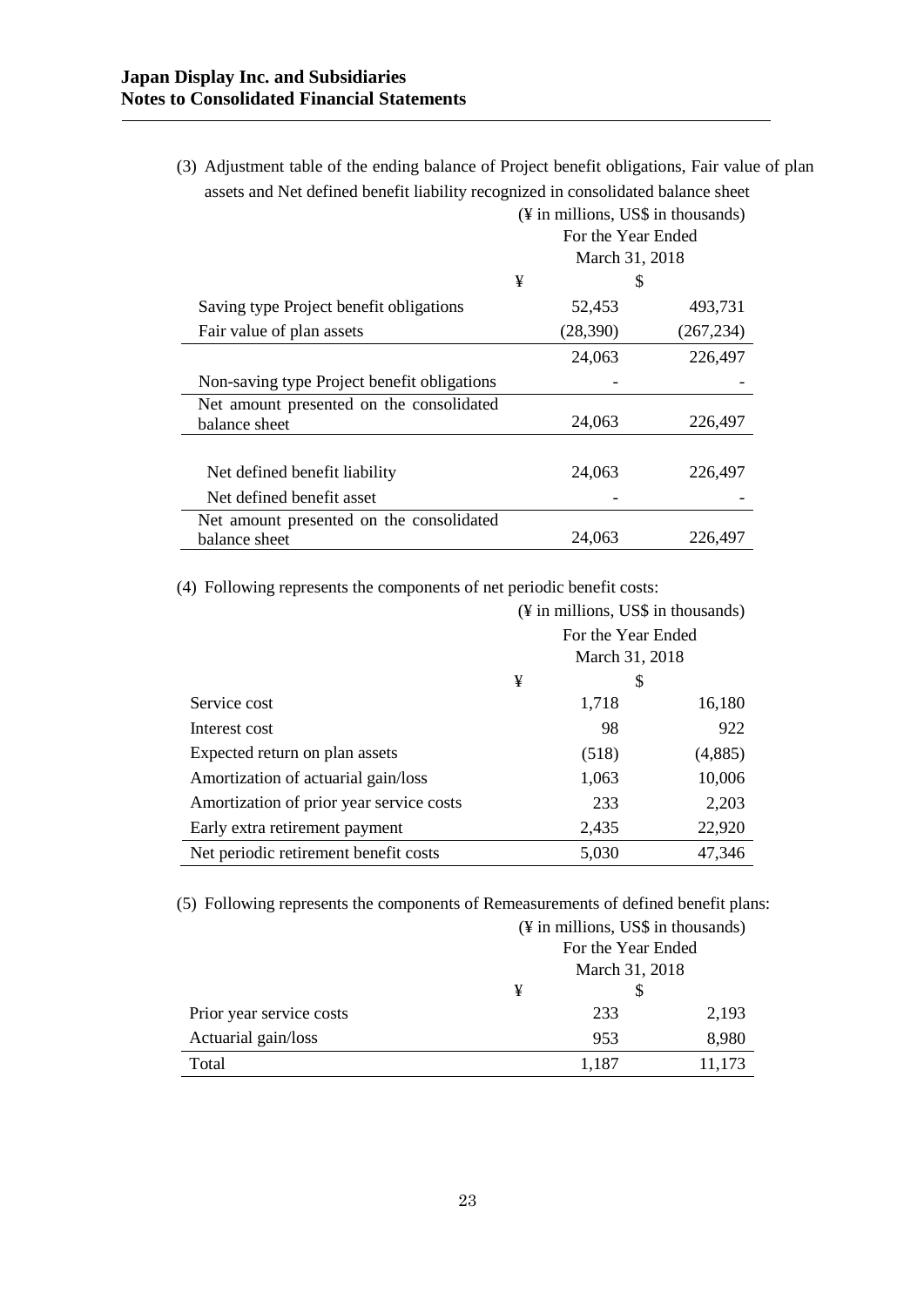(3) Adjustment table of the ending balance of Project benefit obligations, Fair value of plan assets and Net defined benefit liability recognized in consolidated balance sheet

|                                                           | (¥ in millions, US\$ in thousands)<br>For the Year Ended<br>March 31, 2018 |            |  |
|-----------------------------------------------------------|----------------------------------------------------------------------------|------------|--|
|                                                           | ¥                                                                          | S          |  |
| Saving type Project benefit obligations                   | 52,453                                                                     | 493,731    |  |
| Fair value of plan assets                                 | (28,390)                                                                   | (267, 234) |  |
|                                                           | 24,063                                                                     | 226,497    |  |
| Non-saving type Project benefit obligations               |                                                                            |            |  |
| Net amount presented on the consolidated<br>balance sheet | 24,063                                                                     | 226,497    |  |
|                                                           |                                                                            |            |  |
| Net defined benefit liability                             | 24,063                                                                     | 226,497    |  |
| Net defined benefit asset                                 |                                                                            |            |  |
| Net amount presented on the consolidated<br>balance sheet | 24,063                                                                     | 226,497    |  |

(4) Following represents the components of net periodic benefit costs:

|                                          | $(\frac{1}{2})$ in millions, US\$ in thousands) |       |         |  |
|------------------------------------------|-------------------------------------------------|-------|---------|--|
|                                          | For the Year Ended                              |       |         |  |
|                                          | March 31, 2018                                  |       |         |  |
|                                          | ¥<br>\$                                         |       |         |  |
| Service cost                             |                                                 | 1,718 | 16,180  |  |
| Interest cost                            |                                                 | 98    | 922     |  |
| Expected return on plan assets           |                                                 | (518) | (4,885) |  |
| Amortization of actuarial gain/loss      |                                                 | 1,063 | 10,006  |  |
| Amortization of prior year service costs |                                                 | 233   | 2,203   |  |
| Early extra retirement payment           |                                                 | 2,435 | 22,920  |  |
| Net periodic retirement benefit costs    |                                                 | 5,030 | 47,346  |  |

(5) Following represents the components of Remeasurements of defined benefit plans:

|                          | (¥ in millions, US\$ in thousands) |       |        |
|--------------------------|------------------------------------|-------|--------|
|                          | For the Year Ended                 |       |        |
|                          | March 31, 2018                     |       |        |
|                          | ¥                                  |       |        |
| Prior year service costs |                                    | 233   | 2,193  |
| Actuarial gain/loss      |                                    | 953   | 8,980  |
| Total                    |                                    | 1,187 | 11,173 |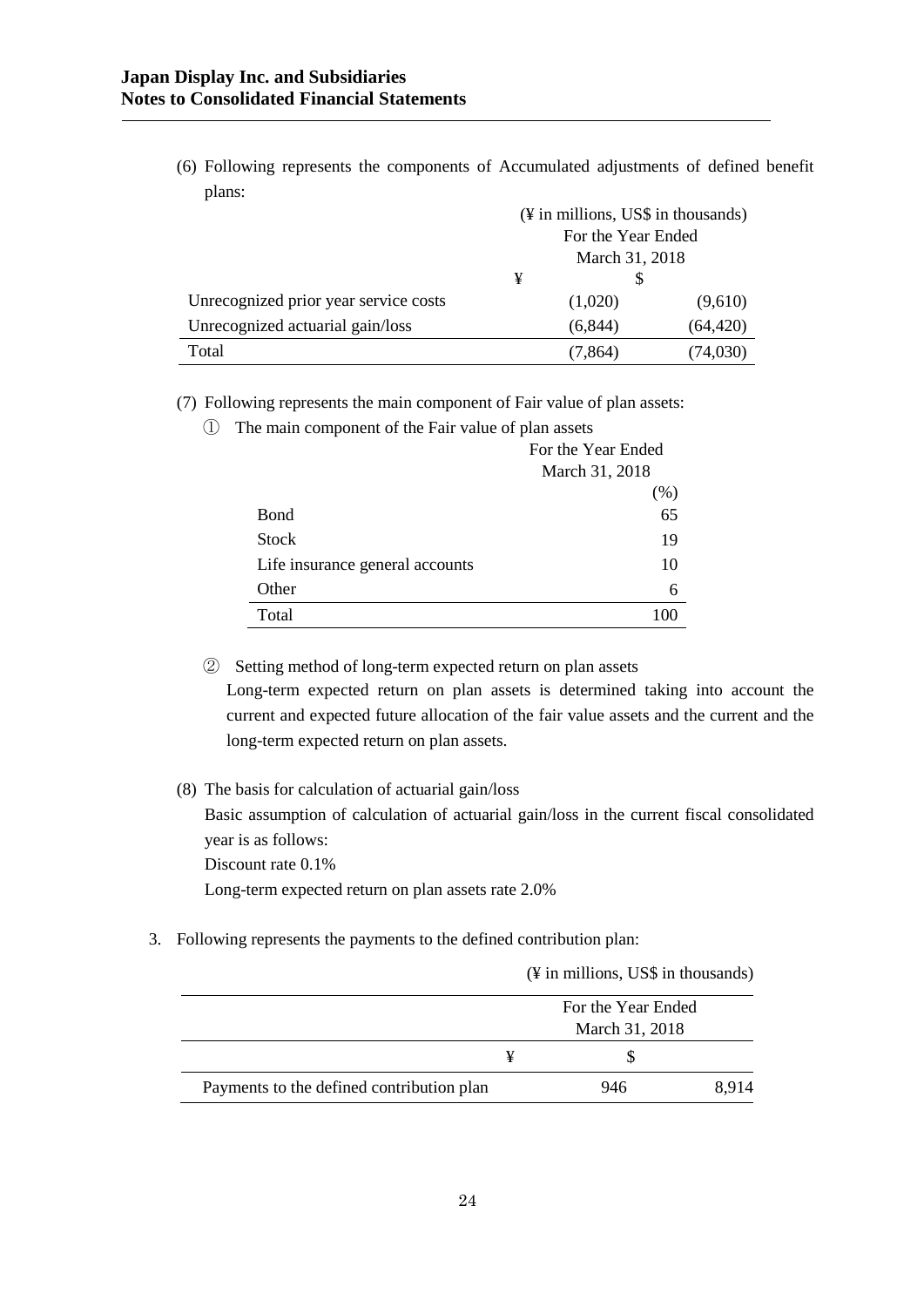(6) Following represents the components of Accumulated adjustments of defined benefit plans:

|                                       | (¥ in millions, US\$ in thousands) |          |           |
|---------------------------------------|------------------------------------|----------|-----------|
|                                       | For the Year Ended                 |          |           |
|                                       | March 31, 2018                     |          |           |
|                                       | ¥                                  |          |           |
| Unrecognized prior year service costs |                                    | (1,020)  | (9,610)   |
| Unrecognized actuarial gain/loss      |                                    | (6, 844) | (64, 420) |
| Total                                 |                                    | (7,864)  | (74,030)  |

(7) Following represents the main component of Fair value of plan assets:

① The main component of the Fair value of plan assets

|                                 | For the Year Ended |  |
|---------------------------------|--------------------|--|
|                                 | March 31, 2018     |  |
|                                 | (% )               |  |
| <b>B</b> ond                    | 65                 |  |
| <b>Stock</b>                    | 19                 |  |
| Life insurance general accounts | 10                 |  |
| Other                           | 6                  |  |
| Total                           |                    |  |

② Setting method of long-term expected return on plan assets Long-term expected return on plan assets is determined taking into account the current and expected future allocation of the fair value assets and the current and the

long-term expected return on plan assets.

(8) The basis for calculation of actuarial gain/loss

Basic assumption of calculation of actuarial gain/loss in the current fiscal consolidated year is as follows:

Discount rate 0.1%

Long-term expected return on plan assets rate 2.0%

3. Following represents the payments to the defined contribution plan:

(¥ in millions, US\$ in thousands)

|                                           |                | For the Year Ended |      |  |
|-------------------------------------------|----------------|--------------------|------|--|
|                                           | March 31, 2018 |                    |      |  |
|                                           |                |                    |      |  |
| Payments to the defined contribution plan | 946            |                    | 8914 |  |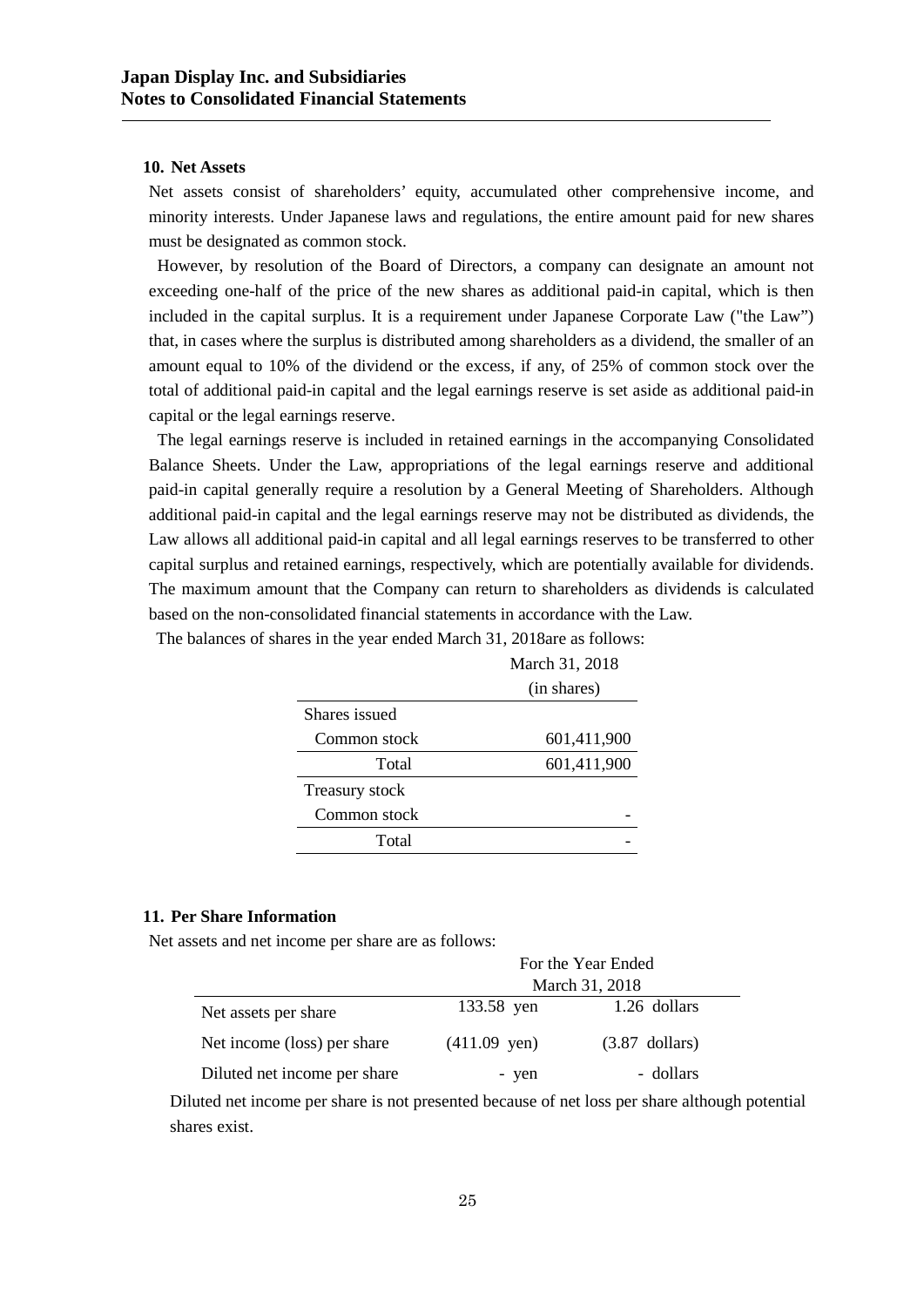#### **10. Net Assets**

Net assets consist of shareholders' equity, accumulated other comprehensive income, and minority interests. Under Japanese laws and regulations, the entire amount paid for new shares must be designated as common stock.

However, by resolution of the Board of Directors, a company can designate an amount not exceeding one-half of the price of the new shares as additional paid-in capital, which is then included in the capital surplus. It is a requirement under Japanese Corporate Law ("the Law") that, in cases where the surplus is distributed among shareholders as a dividend, the smaller of an amount equal to 10% of the dividend or the excess, if any, of 25% of common stock over the total of additional paid-in capital and the legal earnings reserve is set aside as additional paid-in capital or the legal earnings reserve.

The legal earnings reserve is included in retained earnings in the accompanying Consolidated Balance Sheets. Under the Law, appropriations of the legal earnings reserve and additional paid-in capital generally require a resolution by a General Meeting of Shareholders. Although additional paid-in capital and the legal earnings reserve may not be distributed as dividends, the Law allows all additional paid-in capital and all legal earnings reserves to be transferred to other capital surplus and retained earnings, respectively, which are potentially available for dividends. The maximum amount that the Company can return to shareholders as dividends is calculated based on the non-consolidated financial statements in accordance with the Law.

March 31, 2018

(in shares) Shares issued Common stock 601,411,900 Total 601,411,900 Treasury stock Common stock **Total** 

The balances of shares in the year ended March 31, 2018are as follows:

## **11. Per Share Information**

Net assets and net income per share are as follows:

|                              | For the Year Ended |                  |  |  |
|------------------------------|--------------------|------------------|--|--|
|                              | March 31, 2018     |                  |  |  |
| Net assets per share         | 133.58 yen         | 1.26 dollars     |  |  |
| Net income (loss) per share  | $(411.09$ yen)     | $(3.87$ dollars) |  |  |
| Diluted net income per share | - yen              | - dollars        |  |  |

Diluted net income per share is not presented because of net loss per share although potential shares exist.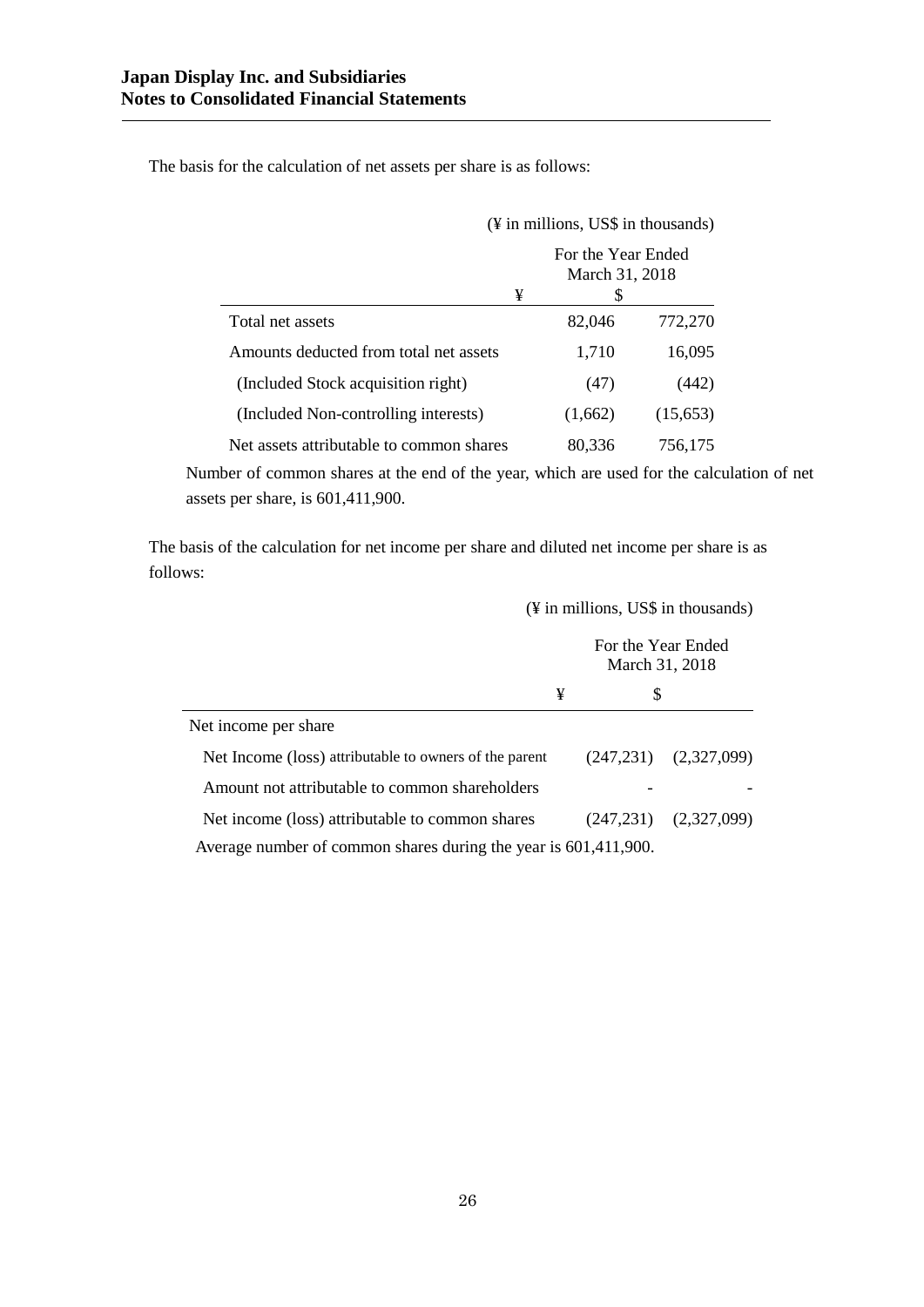The basis for the calculation of net assets per share is as follows:

|                                          | (¥ in millions, US\$ in thousands)        |          |  |
|------------------------------------------|-------------------------------------------|----------|--|
| ¥                                        | For the Year Ended<br>March 31, 2018<br>S |          |  |
| Total net assets                         | 82,046                                    | 772,270  |  |
| Amounts deducted from total net assets   | 1,710                                     | 16,095   |  |
| (Included Stock acquisition right)       | (47)                                      | (442)    |  |
| (Included Non-controlling interests)     | (1,662)                                   | (15,653) |  |
| Net assets attributable to common shares | 80,336                                    | 756,175  |  |

Number of common shares at the end of the year, which are used for the calculation of net assets per share, is 601,411,900.

The basis of the calculation for net income per share and diluted net income per share is as follows:

(¥ in millions, US\$ in thousands)

|                                                                 | For the Year Ended<br>March 31, 2018 |   |                           |
|-----------------------------------------------------------------|--------------------------------------|---|---------------------------|
| ¥                                                               |                                      | S |                           |
| Net income per share                                            |                                      |   |                           |
| Net Income (loss) attributable to owners of the parent          |                                      |   | $(247,231)$ $(2,327,099)$ |
| Amount not attributable to common shareholders                  |                                      |   |                           |
| Net income (loss) attributable to common shares                 |                                      |   | $(247,231)$ $(2,327,099)$ |
| Average number of common shares during the year is 601,411,900. |                                      |   |                           |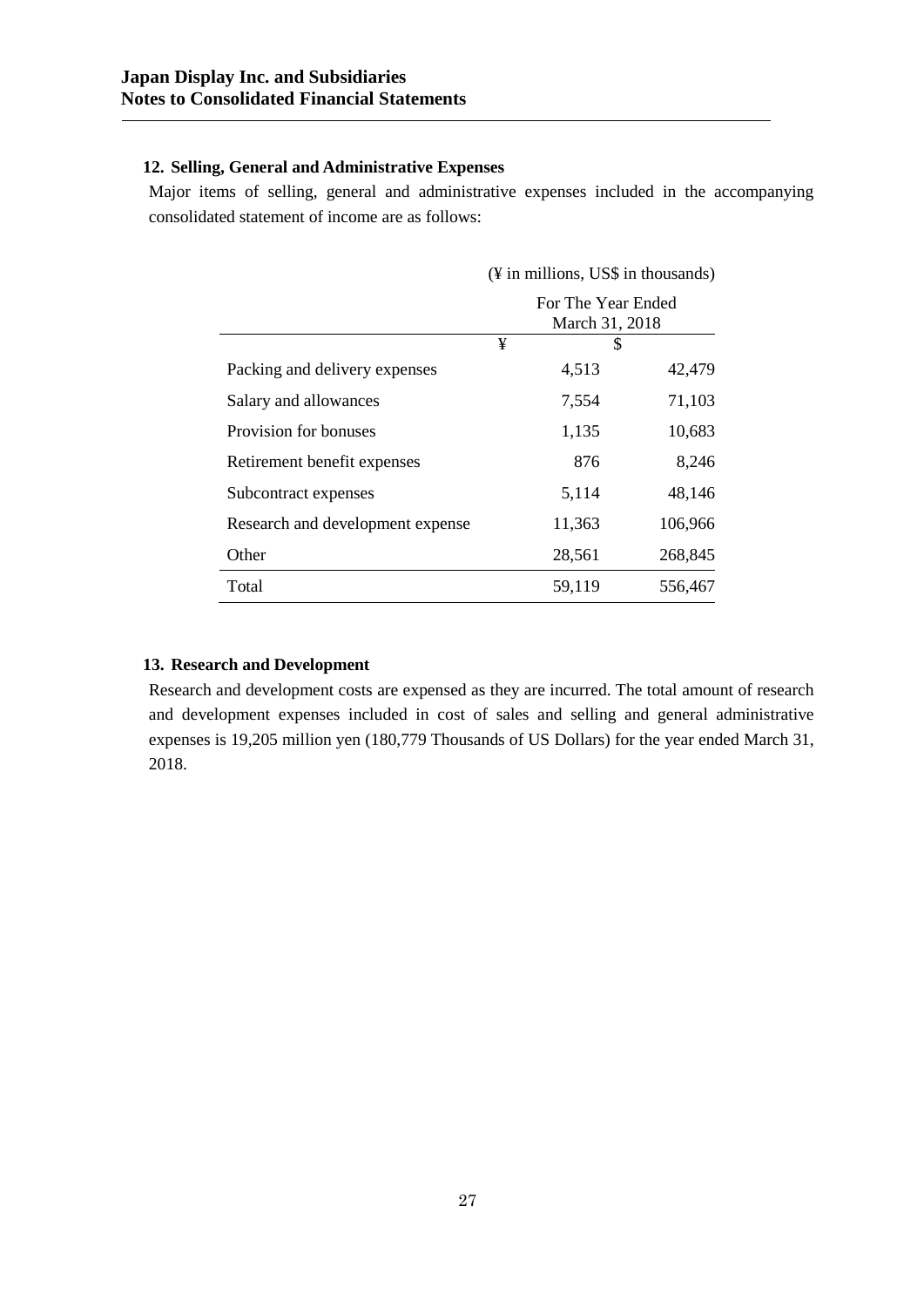# **12. Selling, General and Administrative Expenses**

Major items of selling, general and administrative expenses included in the accompanying consolidated statement of income are as follows:

|                                  | (¥ in millions, US\$ in thousands)   |                 |  |  |
|----------------------------------|--------------------------------------|-----------------|--|--|
|                                  | For The Year Ended<br>March 31, 2018 |                 |  |  |
|                                  | ¥                                    | \$              |  |  |
| Packing and delivery expenses    |                                      | 4,513<br>42,479 |  |  |
| Salary and allowances            |                                      | 71,103<br>7,554 |  |  |
| Provision for bonuses            |                                      | 10,683<br>1,135 |  |  |
| Retirement benefit expenses      |                                      | 876<br>8,246    |  |  |
| Subcontract expenses             |                                      | 5,114<br>48,146 |  |  |
| Research and development expense | 11,363                               | 106,966         |  |  |
| Other                            | 28,561                               | 268,845         |  |  |
| Total                            | 59,119                               | 556,467         |  |  |

# **13. Research and Development**

Research and development costs are expensed as they are incurred. The total amount of research and development expenses included in cost of sales and selling and general administrative expenses is 19,205 million yen (180,779 Thousands of US Dollars) for the year ended March 31, 2018.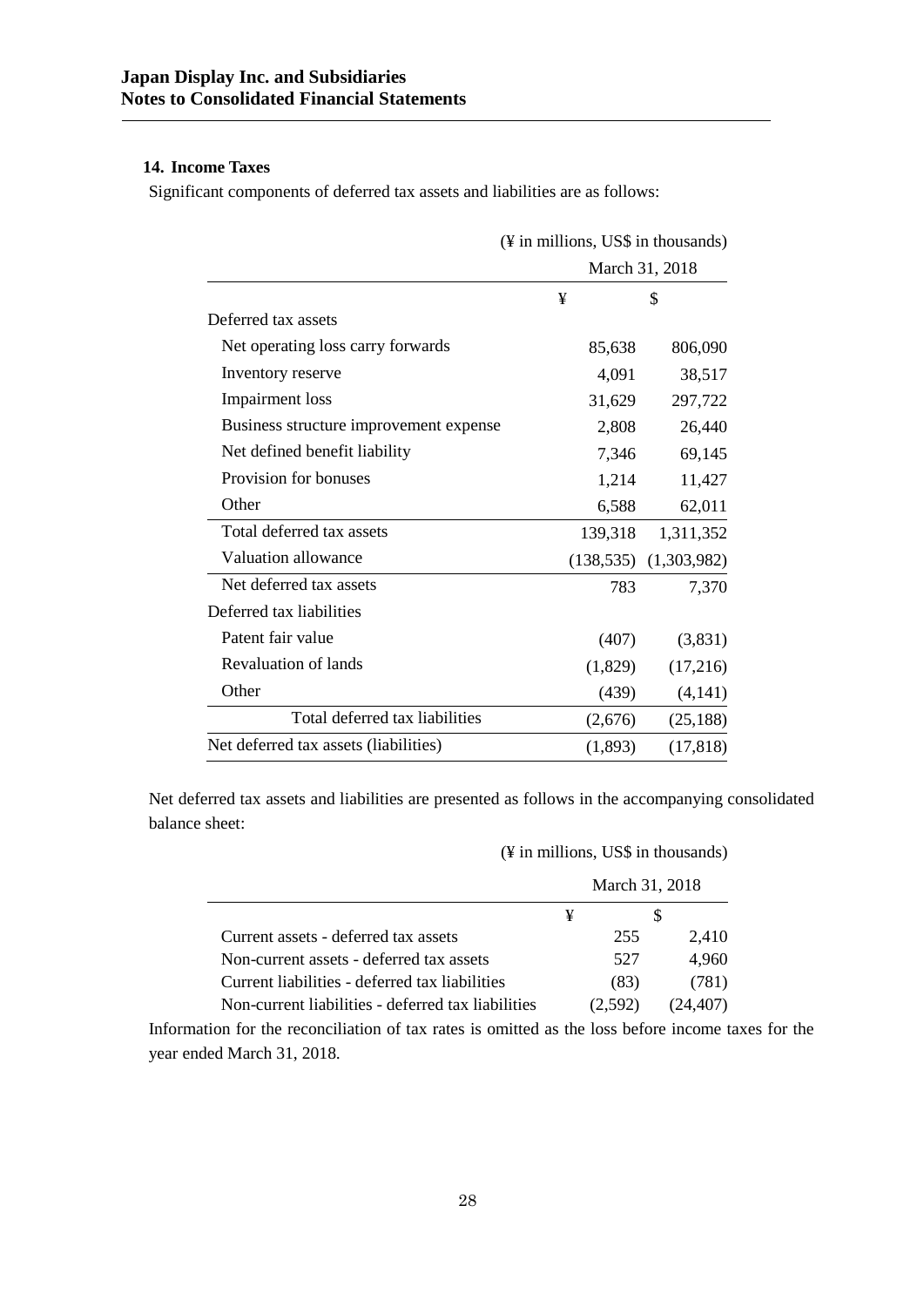# **14. Income Taxes**

Significant components of deferred tax assets and liabilities are as follows:

|                                        | (¥ in millions, US\$ in thousands) |         |                           |
|----------------------------------------|------------------------------------|---------|---------------------------|
|                                        |                                    |         | March 31, 2018            |
|                                        | ¥                                  |         | \$                        |
| Deferred tax assets                    |                                    |         |                           |
| Net operating loss carry forwards      |                                    | 85,638  | 806,090                   |
| Inventory reserve                      |                                    | 4,091   | 38,517                    |
| <b>Impairment</b> loss                 |                                    | 31,629  | 297,722                   |
| Business structure improvement expense |                                    | 2,808   | 26,440                    |
| Net defined benefit liability          |                                    | 7,346   | 69,145                    |
| Provision for bonuses                  |                                    | 1,214   | 11,427                    |
| Other                                  |                                    | 6,588   | 62,011                    |
| Total deferred tax assets              |                                    | 139,318 | 1,311,352                 |
| Valuation allowance                    |                                    |         | $(138,535)$ $(1,303,982)$ |
| Net deferred tax assets                |                                    | 783     | 7,370                     |
| Deferred tax liabilities               |                                    |         |                           |
| Patent fair value                      |                                    | (407)   | (3,831)                   |
| <b>Revaluation of lands</b>            |                                    | (1,829) | (17,216)                  |
| Other                                  |                                    | (439)   | (4,141)                   |
| Total deferred tax liabilities         |                                    | (2,676) | (25, 188)                 |
| Net deferred tax assets (liabilities)  |                                    | (1,893) | (17, 818)                 |

Net deferred tax assets and liabilities are presented as follows in the accompanying consolidated balance sheet:

(¥ in millions, US\$ in thousands)

|                                                    | March 31, 2018 |          |
|----------------------------------------------------|----------------|----------|
|                                                    |                |          |
| Current assets - deferred tax assets               | 255            | 2.410    |
| Non-current assets - deferred tax assets           | 527            | 4,960    |
| Current liabilities - deferred tax liabilities     | (83)           | (781)    |
| Non-current liabilities - deferred tax liabilities | (2,592)        | (24.407) |

Information for the reconciliation of tax rates is omitted as the loss before income taxes for the year ended March 31, 2018.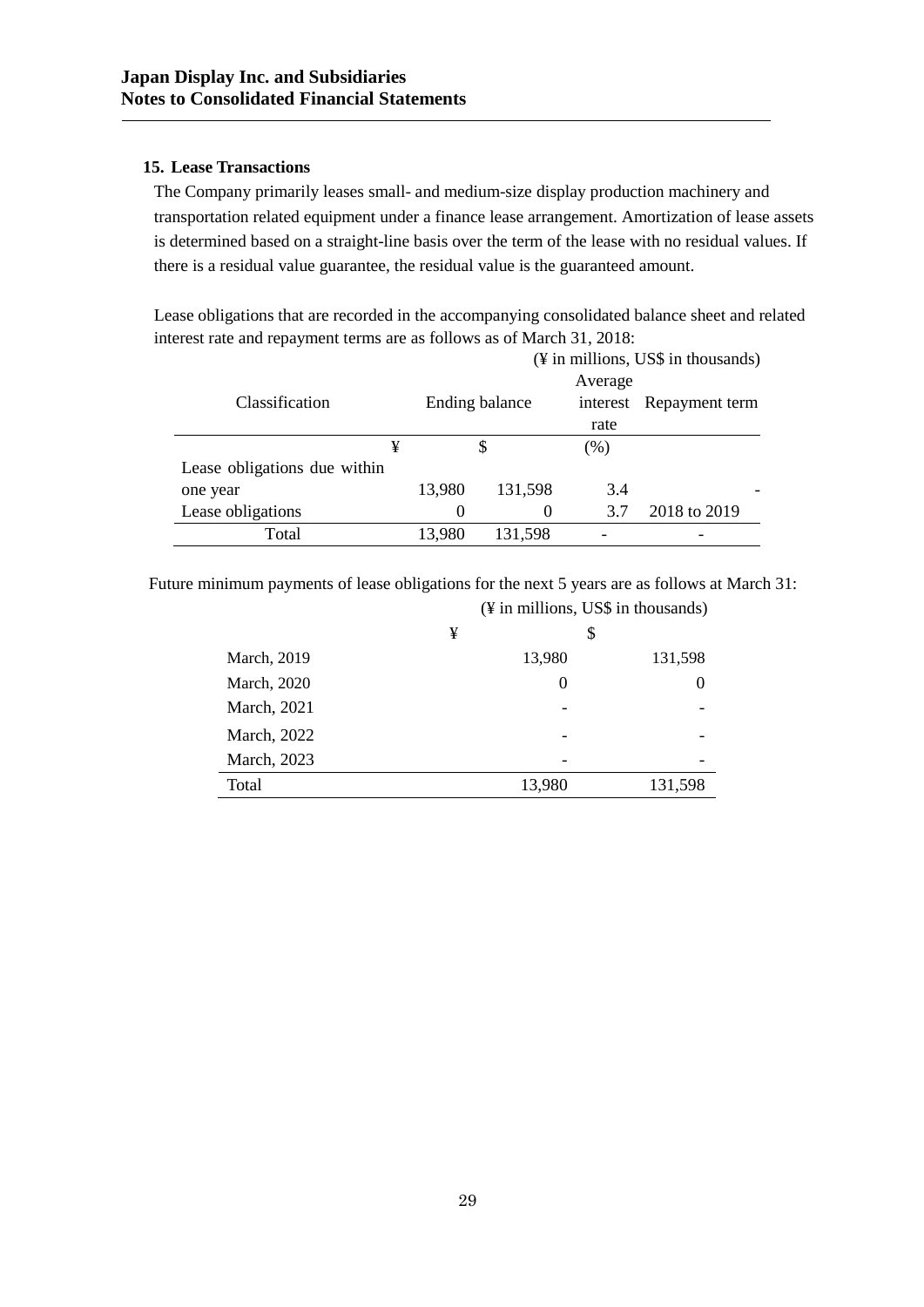# **15. Lease Transactions**

The Company primarily leases small- and medium-size display production machinery and transportation related equipment under a finance lease arrangement. Amortization of lease assets is determined based on a straight-line basis over the term of the lease with no residual values. If there is a residual value guarantee, the residual value is the guaranteed amount.

Lease obligations that are recorded in the accompanying consolidated balance sheet and related interest rate and repayment terms are as follows as of March 31, 2018:

|                              |          |                |          | $(\frac{1}{2})$ in millions, US\$ in thousands) |
|------------------------------|----------|----------------|----------|-------------------------------------------------|
|                              |          |                | Average  |                                                 |
| Classification               |          | Ending balance | interest | Repayment term                                  |
|                              |          |                | rate     |                                                 |
| ¥                            |          |                | (% )     |                                                 |
| Lease obligations due within |          |                |          |                                                 |
| one year                     | 13,980   | 131,598        | 3.4      |                                                 |
| Lease obligations            | $\theta$ | $\theta$       | 3.7      | 2018 to 2019                                    |
| Total                        | 13,980   | 131,598        |          |                                                 |

Future minimum payments of lease obligations for the next 5 years are as follows at March 31:

|                     |   | (¥ in millions, US\$ in thousands) |         |
|---------------------|---|------------------------------------|---------|
|                     | ¥ | \$                                 |         |
| <b>March</b> , 2019 |   | 13,980                             | 131,598 |
| <b>March</b> , 2020 |   | $\theta$                           |         |
| March, 2021         |   |                                    |         |
| March, 2022         |   |                                    |         |
| March, 2023         |   |                                    |         |
| Total               |   | 13,980                             | 131,598 |
|                     |   |                                    |         |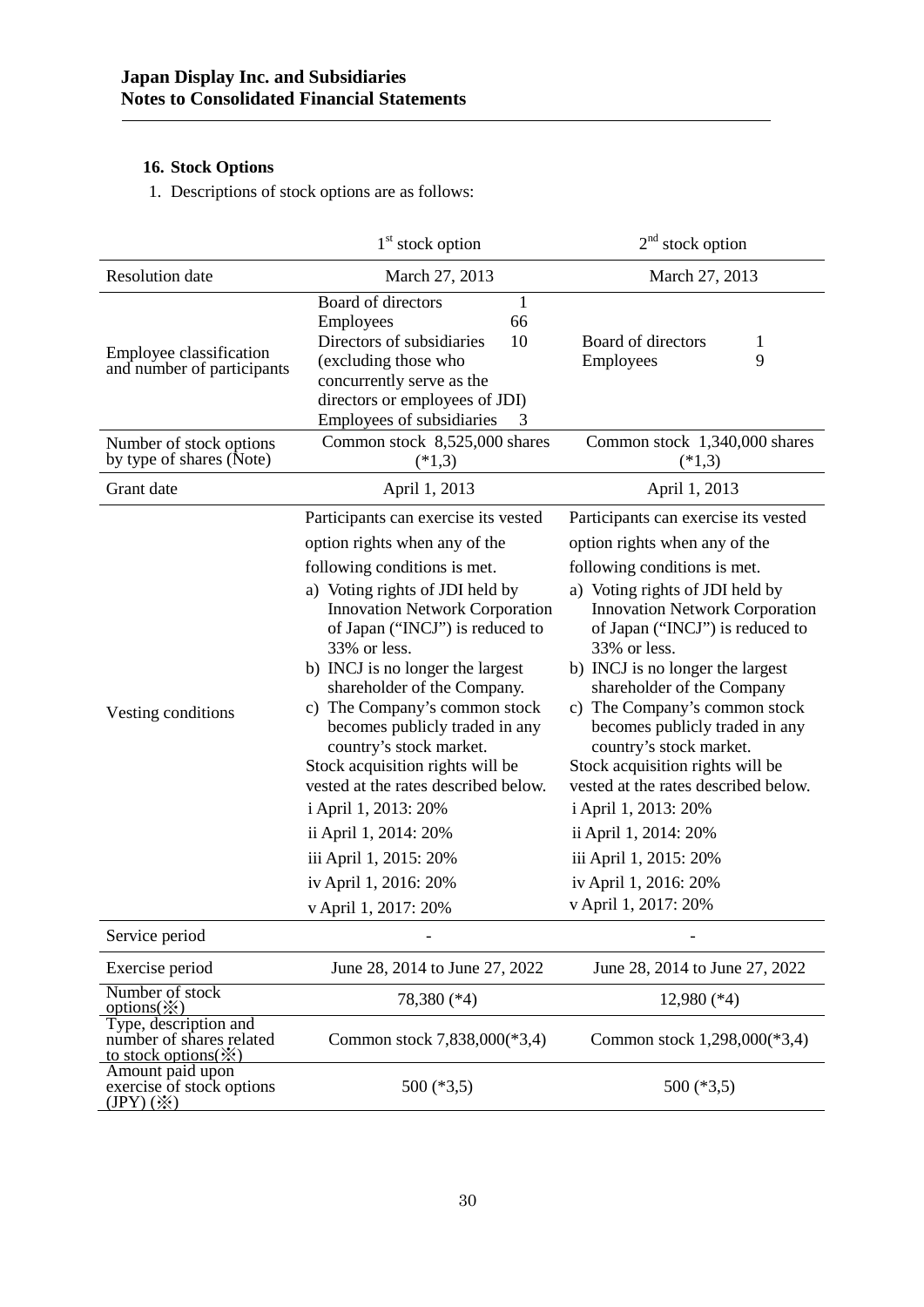# **16. Stock Options**

1. Descriptions of stock options are as follows:

|                                                                                       | $1st$ stock option                                                                                                                                                                                                                                                                                                                                                                                                                                                                                                                                                                                            | $2nd$ stock option                                                                                                                                                                                                                                                                                                                                                                                                                                                                                                                                                                                           |
|---------------------------------------------------------------------------------------|---------------------------------------------------------------------------------------------------------------------------------------------------------------------------------------------------------------------------------------------------------------------------------------------------------------------------------------------------------------------------------------------------------------------------------------------------------------------------------------------------------------------------------------------------------------------------------------------------------------|--------------------------------------------------------------------------------------------------------------------------------------------------------------------------------------------------------------------------------------------------------------------------------------------------------------------------------------------------------------------------------------------------------------------------------------------------------------------------------------------------------------------------------------------------------------------------------------------------------------|
| <b>Resolution</b> date                                                                | March 27, 2013                                                                                                                                                                                                                                                                                                                                                                                                                                                                                                                                                                                                | March 27, 2013                                                                                                                                                                                                                                                                                                                                                                                                                                                                                                                                                                                               |
| Employee classification<br>and number of participants                                 | Board of directors<br>1<br>66<br>Employees<br>10<br>Directors of subsidiaries<br>(excluding those who<br>concurrently serve as the<br>directors or employees of JDI)<br>Employees of subsidiaries<br>3                                                                                                                                                                                                                                                                                                                                                                                                        | Board of directors<br>1<br>9<br>Employees                                                                                                                                                                                                                                                                                                                                                                                                                                                                                                                                                                    |
| Number of stock options<br>by type of shares (Note)                                   | Common stock 8,525,000 shares<br>$(*1,3)$                                                                                                                                                                                                                                                                                                                                                                                                                                                                                                                                                                     | Common stock 1,340,000 shares<br>$(*1,3)$                                                                                                                                                                                                                                                                                                                                                                                                                                                                                                                                                                    |
| Grant date                                                                            | April 1, 2013                                                                                                                                                                                                                                                                                                                                                                                                                                                                                                                                                                                                 | April 1, 2013                                                                                                                                                                                                                                                                                                                                                                                                                                                                                                                                                                                                |
| Vesting conditions                                                                    | Participants can exercise its vested<br>option rights when any of the<br>following conditions is met.<br>a) Voting rights of JDI held by<br><b>Innovation Network Corporation</b><br>of Japan ("INCJ") is reduced to<br>33% or less.<br>b) INCJ is no longer the largest<br>shareholder of the Company.<br>c) The Company's common stock<br>becomes publicly traded in any<br>country's stock market.<br>Stock acquisition rights will be<br>vested at the rates described below.<br>i April 1, 2013: 20%<br>ii April 1, 2014: 20%<br>iii April 1, 2015: 20%<br>iv April 1, 2016: 20%<br>v April 1, 2017: 20% | Participants can exercise its vested<br>option rights when any of the<br>following conditions is met.<br>a) Voting rights of JDI held by<br><b>Innovation Network Corporation</b><br>of Japan ("INCJ") is reduced to<br>33% or less.<br>b) INCJ is no longer the largest<br>shareholder of the Company<br>c) The Company's common stock<br>becomes publicly traded in any<br>country's stock market.<br>Stock acquisition rights will be<br>vested at the rates described below.<br>i April 1, 2013: 20%<br>ii April 1, 2014: 20%<br>iii April 1, 2015: 20%<br>iv April 1, 2016: 20%<br>v April 1, 2017: 20% |
| Service period                                                                        |                                                                                                                                                                                                                                                                                                                                                                                                                                                                                                                                                                                                               |                                                                                                                                                                                                                                                                                                                                                                                                                                                                                                                                                                                                              |
| Exercise period                                                                       | June 28, 2014 to June 27, 2022                                                                                                                                                                                                                                                                                                                                                                                                                                                                                                                                                                                | June 28, 2014 to June 27, 2022                                                                                                                                                                                                                                                                                                                                                                                                                                                                                                                                                                               |
| Number of stock<br>options( $\mathbf{\hat{x}}$ )                                      | 78,380 (*4)                                                                                                                                                                                                                                                                                                                                                                                                                                                                                                                                                                                                   | $12,980$ (*4)                                                                                                                                                                                                                                                                                                                                                                                                                                                                                                                                                                                                |
| Type, description and<br>number of shares related<br>to stock options $(\mathcal{X})$ | Common stock 7,838,000(*3,4)                                                                                                                                                                                                                                                                                                                                                                                                                                                                                                                                                                                  | Common stock 1,298,000(*3,4)                                                                                                                                                                                                                                                                                                                                                                                                                                                                                                                                                                                 |
| Amount paid upon<br>exercise of stock options<br>$(IPY) (\divideontimes)$             | $500$ (*3,5)                                                                                                                                                                                                                                                                                                                                                                                                                                                                                                                                                                                                  | $500$ (*3,5)                                                                                                                                                                                                                                                                                                                                                                                                                                                                                                                                                                                                 |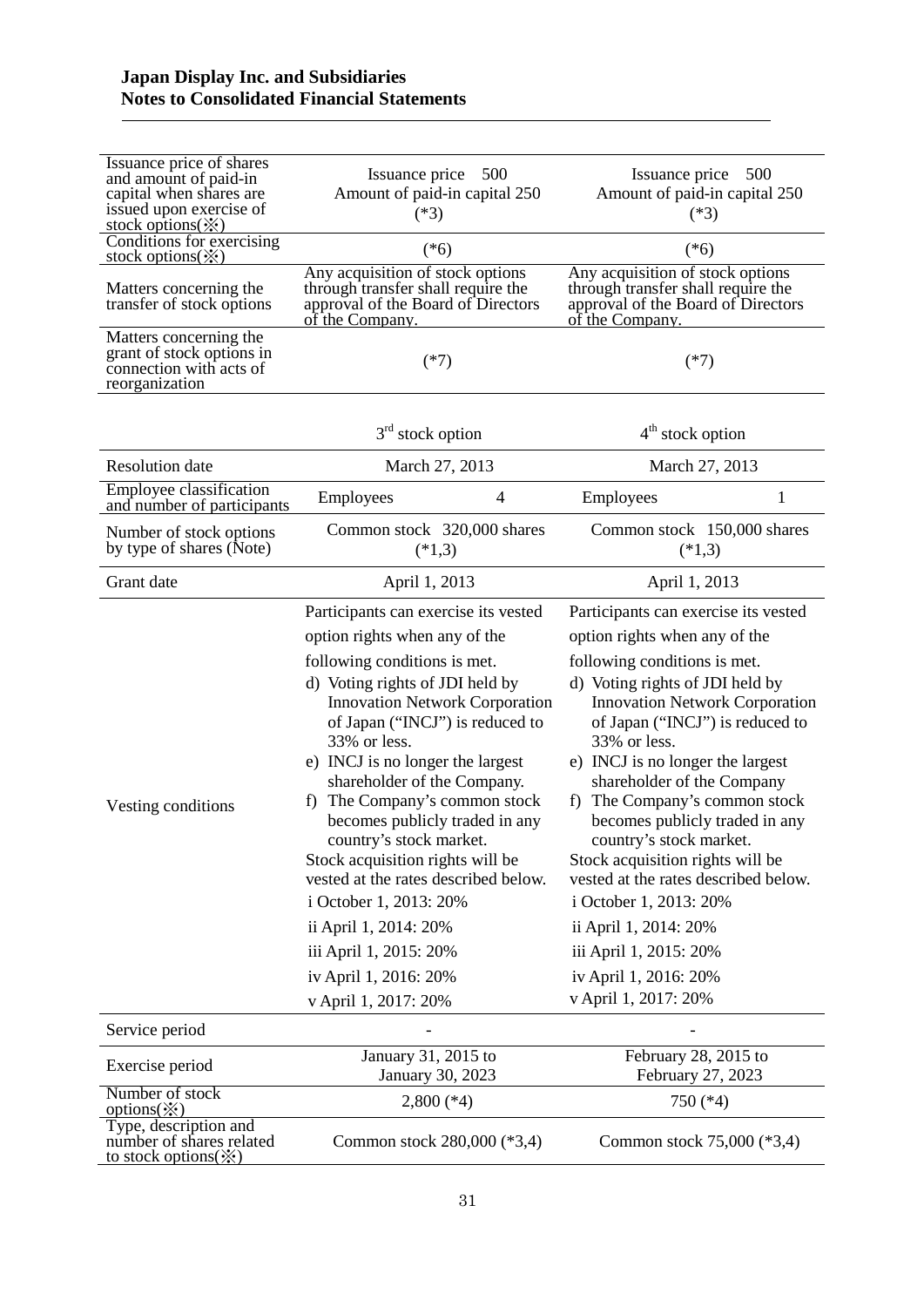| Issuance price of shares<br>and amount of paid-in<br>capital when shares are<br>issued upon exercise of<br>stock options $(\mathbb{X})$ | 500<br>Issuance price<br>Amount of paid-in capital 250<br>$(*3)$                                                                                                                                                                                                                                                                                                                                                                                                                                                                                                                                                   | Issuance price<br>500<br>Amount of paid-in capital 250<br>$(*3)$                                                                                                                                                                                                                                                                                                                                                                                                                                                                                                                                                  |
|-----------------------------------------------------------------------------------------------------------------------------------------|--------------------------------------------------------------------------------------------------------------------------------------------------------------------------------------------------------------------------------------------------------------------------------------------------------------------------------------------------------------------------------------------------------------------------------------------------------------------------------------------------------------------------------------------------------------------------------------------------------------------|-------------------------------------------------------------------------------------------------------------------------------------------------------------------------------------------------------------------------------------------------------------------------------------------------------------------------------------------------------------------------------------------------------------------------------------------------------------------------------------------------------------------------------------------------------------------------------------------------------------------|
| Conditions for exercising<br>stock options $(\mathbb{X})$                                                                               | $(*6)$                                                                                                                                                                                                                                                                                                                                                                                                                                                                                                                                                                                                             | $(*6)$                                                                                                                                                                                                                                                                                                                                                                                                                                                                                                                                                                                                            |
| Matters concerning the<br>transfer of stock options                                                                                     | Any acquisition of stock options<br>through transfer shall require the<br>approval of the Board of Directors<br>of the Company.                                                                                                                                                                                                                                                                                                                                                                                                                                                                                    | Any acquisition of stock options<br>through transfer shall require the<br>approval of the Board of Directors<br>of the Company.                                                                                                                                                                                                                                                                                                                                                                                                                                                                                   |
| Matters concerning the<br>grant of stock options in<br>connection with acts of<br>reorganization                                        | $(*7)$                                                                                                                                                                                                                                                                                                                                                                                                                                                                                                                                                                                                             | $(*7)$                                                                                                                                                                                                                                                                                                                                                                                                                                                                                                                                                                                                            |
|                                                                                                                                         | $3rd$ stock option                                                                                                                                                                                                                                                                                                                                                                                                                                                                                                                                                                                                 | $4th$ stock option                                                                                                                                                                                                                                                                                                                                                                                                                                                                                                                                                                                                |
| <b>Resolution</b> date                                                                                                                  | March 27, 2013                                                                                                                                                                                                                                                                                                                                                                                                                                                                                                                                                                                                     | March 27, 2013                                                                                                                                                                                                                                                                                                                                                                                                                                                                                                                                                                                                    |
| Employee classification<br>and number of participants                                                                                   | Employees<br>4                                                                                                                                                                                                                                                                                                                                                                                                                                                                                                                                                                                                     | Employees<br>1                                                                                                                                                                                                                                                                                                                                                                                                                                                                                                                                                                                                    |
| Number of stock options<br>by type of shares (Note)                                                                                     | Common stock 320,000 shares<br>$(*1,3)$                                                                                                                                                                                                                                                                                                                                                                                                                                                                                                                                                                            | Common stock 150,000 shares<br>$(*1,3)$                                                                                                                                                                                                                                                                                                                                                                                                                                                                                                                                                                           |
| Grant date                                                                                                                              | April 1, 2013                                                                                                                                                                                                                                                                                                                                                                                                                                                                                                                                                                                                      | April 1, 2013                                                                                                                                                                                                                                                                                                                                                                                                                                                                                                                                                                                                     |
| Vesting conditions                                                                                                                      | Participants can exercise its vested<br>option rights when any of the<br>following conditions is met.<br>d) Voting rights of JDI held by<br><b>Innovation Network Corporation</b><br>of Japan ("INCJ") is reduced to<br>33% or less.<br>e) INCJ is no longer the largest<br>shareholder of the Company.<br>The Company's common stock<br>f)<br>becomes publicly traded in any<br>country's stock market.<br>Stock acquisition rights will be<br>vested at the rates described below.<br>i October 1, 2013: 20%<br>ii April 1, 2014: 20%<br>iii April 1, 2015: 20%<br>iv April 1, 2016: 20%<br>v April 1, 2017: 20% | Participants can exercise its vested<br>option rights when any of the<br>following conditions is met.<br>d) Voting rights of JDI held by<br><b>Innovation Network Corporation</b><br>of Japan ("INCJ") is reduced to<br>33% or less.<br>e) INCJ is no longer the largest<br>shareholder of the Company<br>The Company's common stock<br>t)<br>becomes publicly traded in any<br>country's stock market.<br>Stock acquisition rights will be<br>vested at the rates described below.<br>i October 1, 2013: 20%<br>ii April 1, 2014: 20%<br>iii April 1, 2015: 20%<br>iv April 1, 2016: 20%<br>v April 1, 2017: 20% |
| Service period                                                                                                                          |                                                                                                                                                                                                                                                                                                                                                                                                                                                                                                                                                                                                                    |                                                                                                                                                                                                                                                                                                                                                                                                                                                                                                                                                                                                                   |
| Exercise period                                                                                                                         | January 31, 2015 to                                                                                                                                                                                                                                                                                                                                                                                                                                                                                                                                                                                                | February 28, 2015 to                                                                                                                                                                                                                                                                                                                                                                                                                                                                                                                                                                                              |
| Number of stock                                                                                                                         | January 30, 2023<br>$2,800$ (*4)                                                                                                                                                                                                                                                                                                                                                                                                                                                                                                                                                                                   | February 27, 2023<br>750 (*4)                                                                                                                                                                                                                                                                                                                                                                                                                                                                                                                                                                                     |
| options $(\mathcal{X})$<br>Type, description and<br>number of shares related<br>to stock options $(\mathcal{X})$                        | Common stock 280,000 (*3,4)                                                                                                                                                                                                                                                                                                                                                                                                                                                                                                                                                                                        | Common stock 75,000 (*3,4)                                                                                                                                                                                                                                                                                                                                                                                                                                                                                                                                                                                        |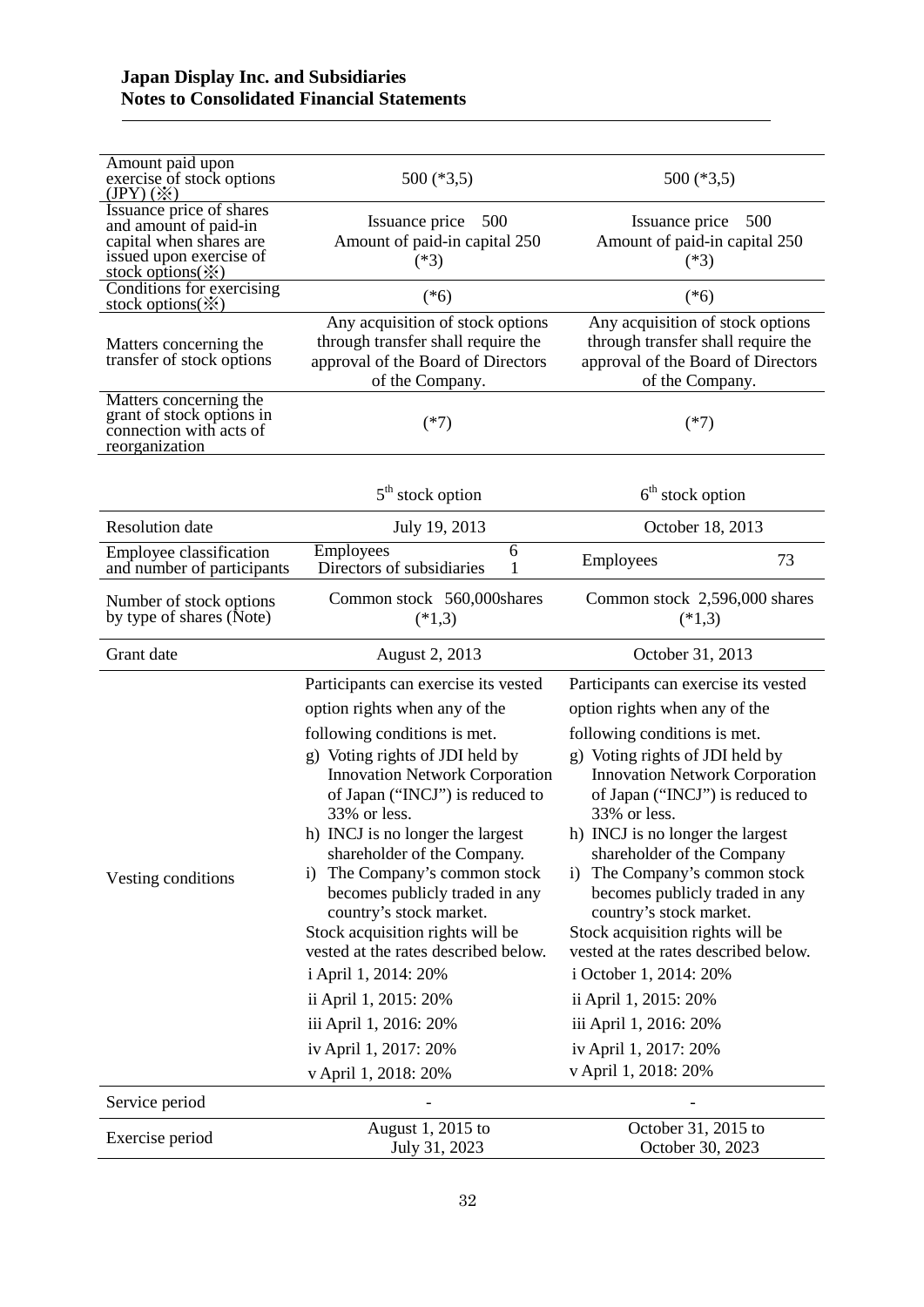# **Japan Display Inc. and Subsidiaries Notes to Consolidated Financial Statements**

| Amount paid upon<br>exercise of stock options<br>$(JPY) (\divideontimes)$                               | $500$ (*3,5)                                                                                                                                                                                                                                                                                                                                                                                                                                                                                                                                                                             | $500$ (*3,5)                                                                                                                                                                                                                                                                                                                                                                                                                                                                                                                                                                           |
|---------------------------------------------------------------------------------------------------------|------------------------------------------------------------------------------------------------------------------------------------------------------------------------------------------------------------------------------------------------------------------------------------------------------------------------------------------------------------------------------------------------------------------------------------------------------------------------------------------------------------------------------------------------------------------------------------------|----------------------------------------------------------------------------------------------------------------------------------------------------------------------------------------------------------------------------------------------------------------------------------------------------------------------------------------------------------------------------------------------------------------------------------------------------------------------------------------------------------------------------------------------------------------------------------------|
| Issuance price of shares<br>and amount of paid-in<br>capital when shares are<br>issued upon exercise of | 500<br>Issuance price<br>Amount of paid-in capital 250<br>$(*3)$                                                                                                                                                                                                                                                                                                                                                                                                                                                                                                                         | 500<br>Issuance price<br>Amount of paid-in capital 250<br>$(*3)$                                                                                                                                                                                                                                                                                                                                                                                                                                                                                                                       |
| stock options(※)<br>Conditions for exercising<br>stock options $(\mathbb{X})$                           | $(*6)$                                                                                                                                                                                                                                                                                                                                                                                                                                                                                                                                                                                   | $(*6)$                                                                                                                                                                                                                                                                                                                                                                                                                                                                                                                                                                                 |
| Matters concerning the<br>transfer of stock options                                                     | Any acquisition of stock options<br>through transfer shall require the<br>approval of the Board of Directors<br>of the Company.                                                                                                                                                                                                                                                                                                                                                                                                                                                          | Any acquisition of stock options<br>through transfer shall require the<br>approval of the Board of Directors<br>of the Company.                                                                                                                                                                                                                                                                                                                                                                                                                                                        |
| Matters concerning the<br>grant of stock options in<br>connection with acts of<br>reorganization        | $(*7)$                                                                                                                                                                                                                                                                                                                                                                                                                                                                                                                                                                                   | $(*7)$                                                                                                                                                                                                                                                                                                                                                                                                                                                                                                                                                                                 |
|                                                                                                         | $5th$ stock option                                                                                                                                                                                                                                                                                                                                                                                                                                                                                                                                                                       | $6th$ stock option                                                                                                                                                                                                                                                                                                                                                                                                                                                                                                                                                                     |
| <b>Resolution</b> date                                                                                  | July 19, 2013                                                                                                                                                                                                                                                                                                                                                                                                                                                                                                                                                                            | October 18, 2013                                                                                                                                                                                                                                                                                                                                                                                                                                                                                                                                                                       |
| Employee classification<br>and number of participants                                                   | Employees<br>6<br>Directors of subsidiaries                                                                                                                                                                                                                                                                                                                                                                                                                                                                                                                                              | 73<br>Employees                                                                                                                                                                                                                                                                                                                                                                                                                                                                                                                                                                        |
| Number of stock options<br>by type of shares (Note)                                                     | Common stock 560,000shares<br>$(*1,3)$                                                                                                                                                                                                                                                                                                                                                                                                                                                                                                                                                   | Common stock 2,596,000 shares<br>$(*1,3)$                                                                                                                                                                                                                                                                                                                                                                                                                                                                                                                                              |
| Grant date                                                                                              | August 2, 2013                                                                                                                                                                                                                                                                                                                                                                                                                                                                                                                                                                           | October 31, 2013                                                                                                                                                                                                                                                                                                                                                                                                                                                                                                                                                                       |
| Vesting conditions                                                                                      | Participants can exercise its vested<br>option rights when any of the<br>following conditions is met.<br>g) Voting rights of JDI held by<br><b>Innovation Network Corporation</b><br>of Japan ("INCJ") is reduced to<br>33% or less.<br>h) INCJ is no longer the largest<br>shareholder of the Company.<br>The Company's common stock<br>1)<br>becomes publicly traded in any<br>country's stock market.<br>Stock acquisition rights will be<br>vested at the rates described below.<br>i April 1, 2014: 20%<br>ii April 1, 2015: 20%<br>iii April 1, 2016: 20%<br>iv April 1, 2017: 20% | Participants can exercise its vested<br>option rights when any of the<br>following conditions is met.<br>g) Voting rights of JDI held by<br><b>Innovation Network Corporation</b><br>of Japan ("INCJ") is reduced to<br>33% or less.<br>h) INCJ is no longer the largest<br>shareholder of the Company<br>i) The Company's common stock<br>becomes publicly traded in any<br>country's stock market.<br>Stock acquisition rights will be<br>vested at the rates described below.<br>i October 1, 2014: 20%<br>ii April 1, 2015: 20%<br>iii April 1, 2016: 20%<br>iv April 1, 2017: 20% |
| Service period                                                                                          | v April 1, 2018: 20%                                                                                                                                                                                                                                                                                                                                                                                                                                                                                                                                                                     | v April 1, 2018: 20%                                                                                                                                                                                                                                                                                                                                                                                                                                                                                                                                                                   |
|                                                                                                         | August 1, 2015 to                                                                                                                                                                                                                                                                                                                                                                                                                                                                                                                                                                        | October 31, 2015 to                                                                                                                                                                                                                                                                                                                                                                                                                                                                                                                                                                    |
| Exercise period                                                                                         | July 31, 2023                                                                                                                                                                                                                                                                                                                                                                                                                                                                                                                                                                            | October 30, 2023                                                                                                                                                                                                                                                                                                                                                                                                                                                                                                                                                                       |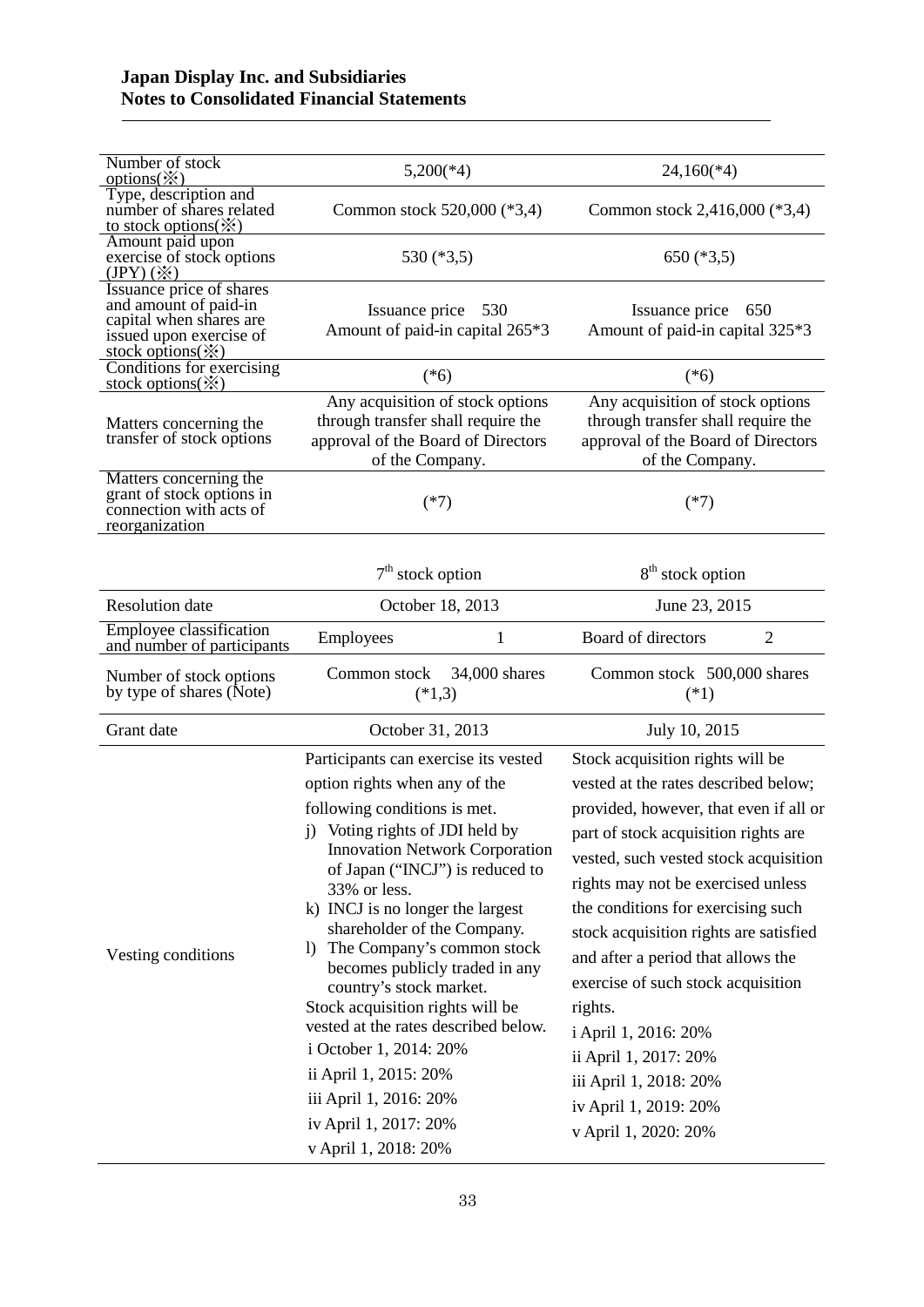| Number of stock                                                                                                                                          |                                                                                                                                                                                                                                                                                                                                                                                                                                                                                                                                                                                                                              |                                                                                                                                                                                                                                                                                                                                                                                                                                                                                                                                              |
|----------------------------------------------------------------------------------------------------------------------------------------------------------|------------------------------------------------------------------------------------------------------------------------------------------------------------------------------------------------------------------------------------------------------------------------------------------------------------------------------------------------------------------------------------------------------------------------------------------------------------------------------------------------------------------------------------------------------------------------------------------------------------------------------|----------------------------------------------------------------------------------------------------------------------------------------------------------------------------------------------------------------------------------------------------------------------------------------------------------------------------------------------------------------------------------------------------------------------------------------------------------------------------------------------------------------------------------------------|
| options $(\mathbf{\times})$                                                                                                                              | $5,200(*4)$                                                                                                                                                                                                                                                                                                                                                                                                                                                                                                                                                                                                                  | $24,160(*4)$                                                                                                                                                                                                                                                                                                                                                                                                                                                                                                                                 |
| Type, description and<br>number of shares related<br>to stock options( $\frac{\cdot}{\cdot}$ )                                                           | Common stock 520,000 (*3,4)                                                                                                                                                                                                                                                                                                                                                                                                                                                                                                                                                                                                  | Common stock 2,416,000 (*3,4)                                                                                                                                                                                                                                                                                                                                                                                                                                                                                                                |
| Amount paid upon<br>exercise of stock options<br>$(JPY) (\divideontimes)$                                                                                | 530 $(*3,5)$                                                                                                                                                                                                                                                                                                                                                                                                                                                                                                                                                                                                                 | $650$ (*3,5)                                                                                                                                                                                                                                                                                                                                                                                                                                                                                                                                 |
| Issuance price of shares<br>and amount of paid-in<br>capital when shares are<br>issued upon exercise of<br>stock options(※)<br>Conditions for exercising | Issuance price 530<br>Amount of paid-in capital 265*3                                                                                                                                                                                                                                                                                                                                                                                                                                                                                                                                                                        | Issuance price 650<br>Amount of paid-in capital 325*3                                                                                                                                                                                                                                                                                                                                                                                                                                                                                        |
| stock options( $\mathbf{\times}$ )                                                                                                                       | $(*6)$                                                                                                                                                                                                                                                                                                                                                                                                                                                                                                                                                                                                                       | $(*6)$                                                                                                                                                                                                                                                                                                                                                                                                                                                                                                                                       |
| Matters concerning the<br>transfer of stock options                                                                                                      | Any acquisition of stock options<br>through transfer shall require the<br>approval of the Board of Directors<br>of the Company.                                                                                                                                                                                                                                                                                                                                                                                                                                                                                              | Any acquisition of stock options<br>through transfer shall require the<br>approval of the Board of Directors<br>of the Company.                                                                                                                                                                                                                                                                                                                                                                                                              |
| Matters concerning the<br>grant of stock options in<br>connection with acts of<br>reorganization                                                         | $(*7)$                                                                                                                                                                                                                                                                                                                                                                                                                                                                                                                                                                                                                       | $(*7)$                                                                                                                                                                                                                                                                                                                                                                                                                                                                                                                                       |
|                                                                                                                                                          | $7th$ stock option                                                                                                                                                                                                                                                                                                                                                                                                                                                                                                                                                                                                           | 8 <sup>th</sup> stock option                                                                                                                                                                                                                                                                                                                                                                                                                                                                                                                 |
| <b>Resolution</b> date                                                                                                                                   | October 18, 2013                                                                                                                                                                                                                                                                                                                                                                                                                                                                                                                                                                                                             | June 23, 2015                                                                                                                                                                                                                                                                                                                                                                                                                                                                                                                                |
| Employee classification<br>and number of participants                                                                                                    | 1<br>Employees                                                                                                                                                                                                                                                                                                                                                                                                                                                                                                                                                                                                               | Board of directors<br>$\overline{2}$                                                                                                                                                                                                                                                                                                                                                                                                                                                                                                         |
| Number of stock options<br>by type of shares (Note)                                                                                                      | Common stock<br>34,000 shares<br>$(*1,3)$                                                                                                                                                                                                                                                                                                                                                                                                                                                                                                                                                                                    | Common stock 500,000 shares<br>$(*1)$                                                                                                                                                                                                                                                                                                                                                                                                                                                                                                        |
| Grant date                                                                                                                                               | October 31, 2013                                                                                                                                                                                                                                                                                                                                                                                                                                                                                                                                                                                                             | July 10, 2015                                                                                                                                                                                                                                                                                                                                                                                                                                                                                                                                |
| Vesting conditions                                                                                                                                       | Participants can exercise its vested<br>option rights when any of the<br>following conditions is met.<br>j) Voting rights of JDI held by<br><b>Innovation Network Corporation</b><br>of Japan ("INCJ") is reduced to<br>33% or less.<br>k) INCJ is no longer the largest<br>shareholder of the Company.<br>The Company's common stock<br>$\mathbf{I}$<br>becomes publicly traded in any<br>country's stock market.<br>Stock acquisition rights will be<br>vested at the rates described below.<br>i October 1, 2014: 20%<br>ii April 1, 2015: 20%<br>iii April 1, 2016: 20%<br>iv April 1, 2017: 20%<br>v April 1, 2018: 20% | Stock acquisition rights will be<br>vested at the rates described below;<br>provided, however, that even if all or<br>part of stock acquisition rights are<br>vested, such vested stock acquisition<br>rights may not be exercised unless<br>the conditions for exercising such<br>stock acquisition rights are satisfied<br>and after a period that allows the<br>exercise of such stock acquisition<br>rights.<br>i April 1, 2016: 20%<br>ii April 1, 2017: 20%<br>iii April 1, 2018: 20%<br>iv April 1, 2019: 20%<br>v April 1, 2020: 20% |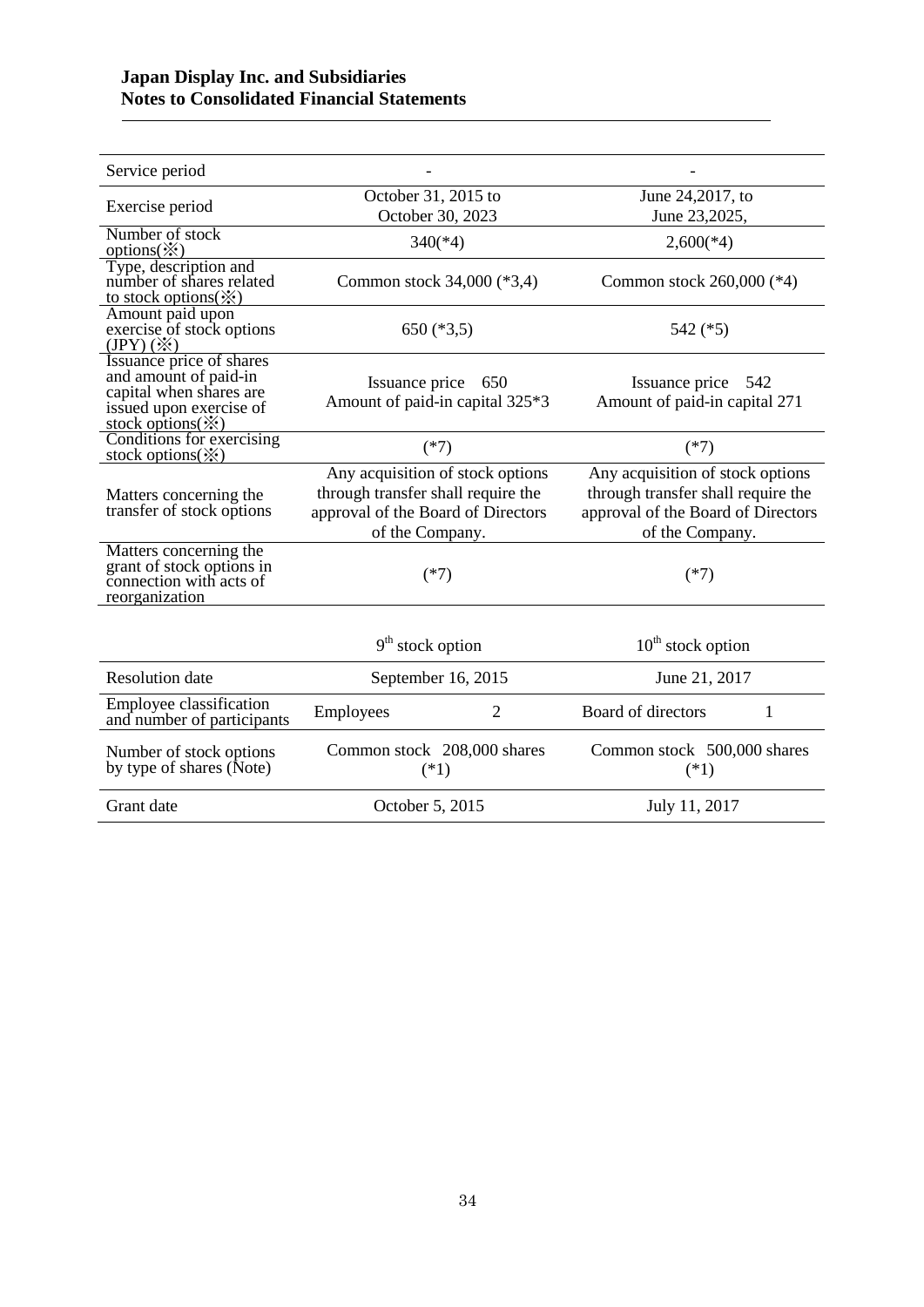| Service period                                                                                                                           |                                                                                                                                 |                                                                                                                                 |
|------------------------------------------------------------------------------------------------------------------------------------------|---------------------------------------------------------------------------------------------------------------------------------|---------------------------------------------------------------------------------------------------------------------------------|
| Exercise period                                                                                                                          | October 31, 2015 to<br>October 30, 2023                                                                                         | June 24,2017, to<br>June 23,2025,                                                                                               |
| Number of stock<br>options $(\mathbb{X})$                                                                                                | $340(*4)$                                                                                                                       | $2,600(*4)$                                                                                                                     |
| Type, description and<br>number of shares related<br>to stock options $(\mathbb{X})$                                                     | Common stock 34,000 (*3,4)                                                                                                      | Common stock 260,000 (*4)                                                                                                       |
| Amount paid upon<br>exercise of stock options<br>$(JPY) (\divideontimes)$                                                                | 650 $(*3,5)$                                                                                                                    | 542 $(*5)$                                                                                                                      |
| Issuance price of shares<br>and amount of paid-in<br>capital when shares are<br>issued upon exercise of<br>stock options $(\mathcal{X})$ | Issuance price<br>650<br>Amount of paid-in capital 325*3                                                                        | Issuance price<br>542<br>Amount of paid-in capital 271                                                                          |
| Conditions for exercising<br>stock options( $\divideontimes$ )                                                                           | $(*7)$                                                                                                                          | $(*7)$                                                                                                                          |
| Matters concerning the<br>transfer of stock options                                                                                      | Any acquisition of stock options<br>through transfer shall require the<br>approval of the Board of Directors<br>of the Company. | Any acquisition of stock options<br>through transfer shall require the<br>approval of the Board of Directors<br>of the Company. |
| Matters concerning the<br>grant of stock options in<br>connection with acts of<br>reorganization                                         | $(*7)$                                                                                                                          | $(*7)$                                                                                                                          |
|                                                                                                                                          | $9th$ stock option                                                                                                              | $10th$ stock option                                                                                                             |
| <b>Resolution</b> date                                                                                                                   | September 16, 2015                                                                                                              | June 21, 2017                                                                                                                   |
| Employee classification<br>and number of participants                                                                                    | Employees<br>2                                                                                                                  | Board of directors<br>1                                                                                                         |
| Number of stock options<br>by type of shares (Note)                                                                                      | Common stock 208,000 shares<br>$(*1)$                                                                                           | Common stock 500,000 shares<br>$(*1)$                                                                                           |
| Grant date                                                                                                                               | October 5, 2015                                                                                                                 | July 11, 2017                                                                                                                   |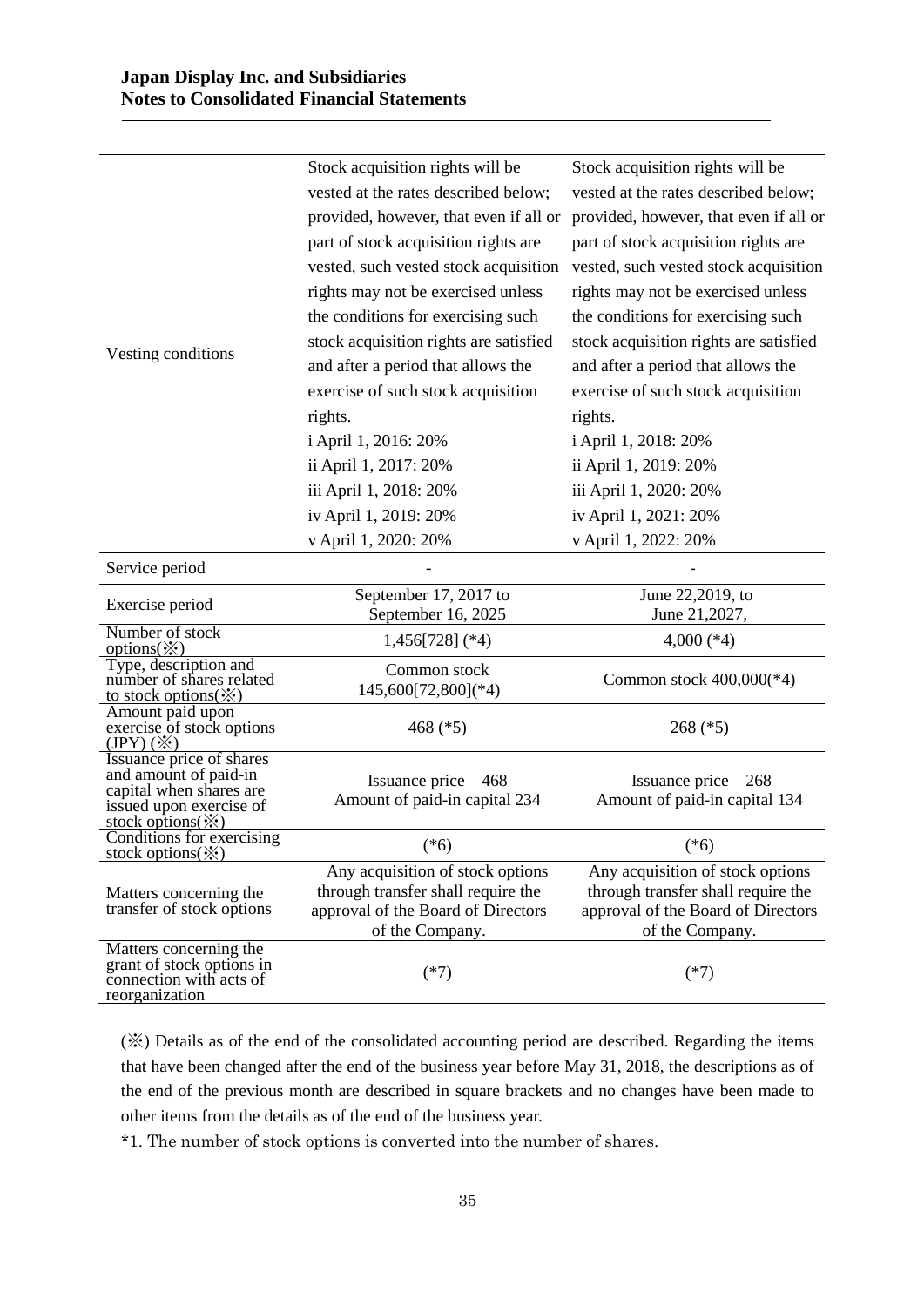|                                                                                                  | Stock acquisition rights will be                                         | Stock acquisition rights will be                                         |
|--------------------------------------------------------------------------------------------------|--------------------------------------------------------------------------|--------------------------------------------------------------------------|
|                                                                                                  | vested at the rates described below;                                     | vested at the rates described below;                                     |
|                                                                                                  | provided, however, that even if all or                                   | provided, however, that even if all or                                   |
|                                                                                                  | part of stock acquisition rights are                                     | part of stock acquisition rights are                                     |
|                                                                                                  | vested, such vested stock acquisition                                    | vested, such vested stock acquisition                                    |
|                                                                                                  |                                                                          |                                                                          |
|                                                                                                  | rights may not be exercised unless                                       | rights may not be exercised unless                                       |
|                                                                                                  | the conditions for exercising such                                       | the conditions for exercising such                                       |
| Vesting conditions                                                                               | stock acquisition rights are satisfied                                   | stock acquisition rights are satisfied                                   |
|                                                                                                  | and after a period that allows the                                       | and after a period that allows the                                       |
|                                                                                                  | exercise of such stock acquisition                                       | exercise of such stock acquisition                                       |
|                                                                                                  | rights.                                                                  | rights.                                                                  |
|                                                                                                  | i April 1, 2016: 20%                                                     | i April 1, 2018: 20%                                                     |
|                                                                                                  | ii April 1, 2017: 20%                                                    | ii April 1, 2019: 20%                                                    |
|                                                                                                  | iii April 1, 2018: 20%                                                   | iii April 1, 2020: 20%                                                   |
|                                                                                                  | iv April 1, 2019: 20%                                                    | iv April 1, 2021: 20%                                                    |
|                                                                                                  | v April 1, 2020: 20%                                                     | v April 1, 2022: 20%                                                     |
| Service period                                                                                   |                                                                          |                                                                          |
| Exercise period                                                                                  | September 17, 2017 to                                                    | June 22,2019, to                                                         |
|                                                                                                  | September 16, 2025                                                       | June 21,2027,                                                            |
| Number of stock<br>options $(\mathbb{X})$                                                        | $1,456[728]$ (*4)                                                        | 4,000 $(*4)$                                                             |
| Type, description and<br>number of shares related                                                | Common stock                                                             |                                                                          |
| to stock options $(\mathcal{X})$                                                                 | 145,600[72,800](*4)                                                      | Common stock $400,000(*4)$                                               |
| Amount paid upon                                                                                 |                                                                          |                                                                          |
| exercise of stock options<br>$(JPY) (\divideontimes)$                                            | 468 $(*5)$                                                               | $268$ (*5)                                                               |
| Issuance price of shares                                                                         |                                                                          |                                                                          |
| and amount of paid-in<br>capital when shares are                                                 | Issuance price<br>468                                                    | Issuance price<br>268                                                    |
| issued upon exercise of                                                                          | Amount of paid-in capital 234                                            | Amount of paid-in capital 134                                            |
| stock options $(\mathbb{X})$<br>Conditions for exercising                                        |                                                                          |                                                                          |
| <u>stock options(<math>\hat{\mathbf{x}}</math>)</u>                                              | $(*6)$                                                                   | $(*6)$                                                                   |
|                                                                                                  | Any acquisition of stock options                                         | Any acquisition of stock options                                         |
| Matters concerning the<br>transfer of stock options                                              | through transfer shall require the<br>approval of the Board of Directors | through transfer shall require the<br>approval of the Board of Directors |
|                                                                                                  | of the Company.                                                          | of the Company.                                                          |
| Matters concerning the<br>grant of stock options in<br>connection with acts of<br>reorganization | $(*7)$                                                                   | $(*7)$                                                                   |

(※) Details as of the end of the consolidated accounting period are described. Regarding the items that have been changed after the end of the business year before May 31, 2018, the descriptions as of the end of the previous month are described in square brackets and no changes have been made to other items from the details as of the end of the business year.

\*1. The number of stock options is converted into the number of shares.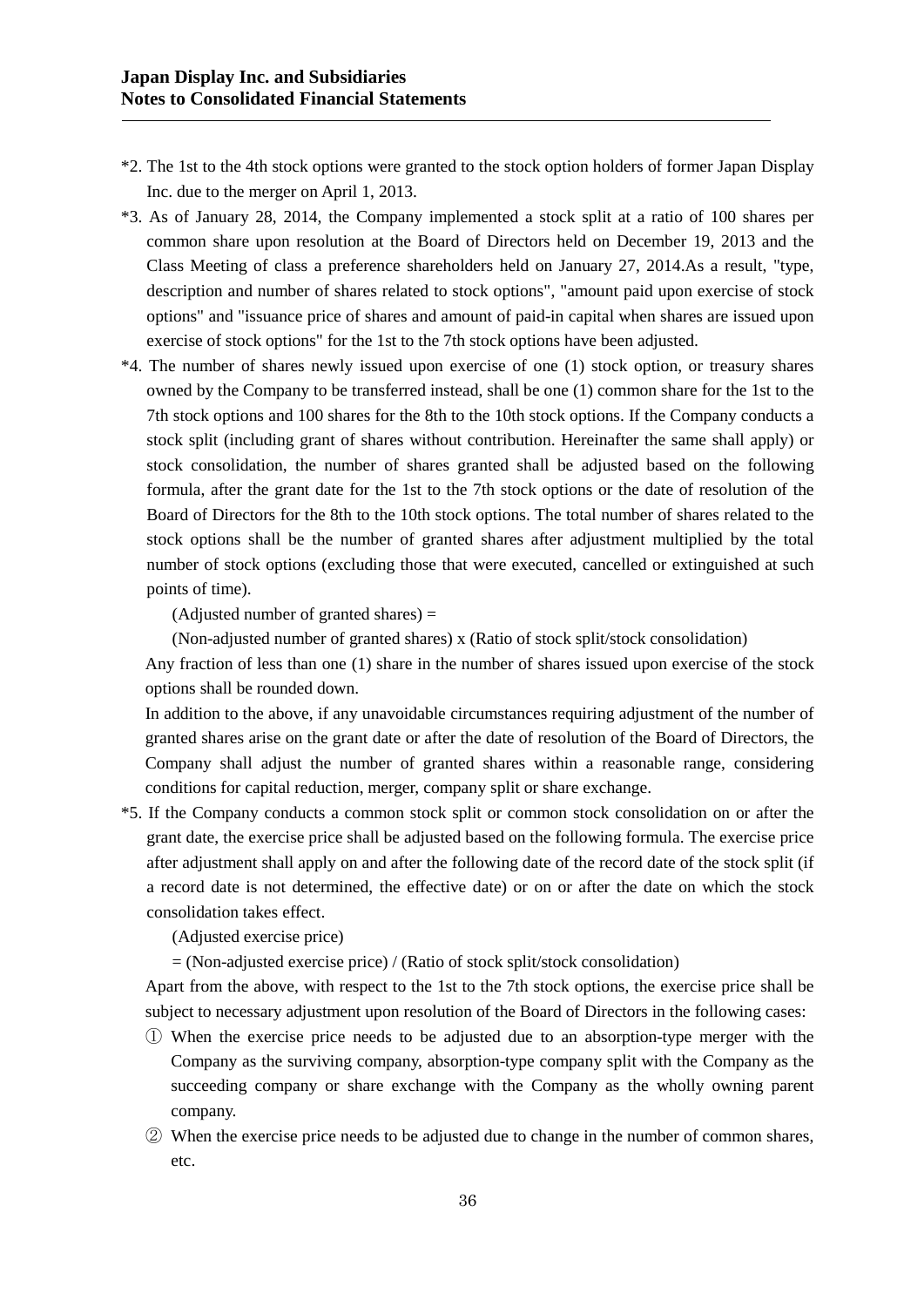- \*2. The 1st to the 4th stock options were granted to the stock option holders of former Japan Display Inc. due to the merger on April 1, 2013.
- \*3. As of January 28, 2014, the Company implemented a stock split at a ratio of 100 shares per common share upon resolution at the Board of Directors held on December 19, 2013 and the Class Meeting of class a preference shareholders held on January 27, 2014.As a result, "type, description and number of shares related to stock options", "amount paid upon exercise of stock options" and "issuance price of shares and amount of paid-in capital when shares are issued upon exercise of stock options" for the 1st to the 7th stock options have been adjusted.
- \*4. The number of shares newly issued upon exercise of one (1) stock option, or treasury shares owned by the Company to be transferred instead, shall be one (1) common share for the 1st to the 7th stock options and 100 shares for the 8th to the 10th stock options. If the Company conducts a stock split (including grant of shares without contribution. Hereinafter the same shall apply) or stock consolidation, the number of shares granted shall be adjusted based on the following formula, after the grant date for the 1st to the 7th stock options or the date of resolution of the Board of Directors for the 8th to the 10th stock options. The total number of shares related to the stock options shall be the number of granted shares after adjustment multiplied by the total number of stock options (excluding those that were executed, cancelled or extinguished at such points of time).

(Adjusted number of granted shares) =

(Non-adjusted number of granted shares) x (Ratio of stock split/stock consolidation)

Any fraction of less than one (1) share in the number of shares issued upon exercise of the stock options shall be rounded down.

In addition to the above, if any unavoidable circumstances requiring adjustment of the number of granted shares arise on the grant date or after the date of resolution of the Board of Directors, the Company shall adjust the number of granted shares within a reasonable range, considering conditions for capital reduction, merger, company split or share exchange.

\*5. If the Company conducts a common stock split or common stock consolidation on or after the grant date, the exercise price shall be adjusted based on the following formula. The exercise price after adjustment shall apply on and after the following date of the record date of the stock split (if a record date is not determined, the effective date) or on or after the date on which the stock consolidation takes effect.

(Adjusted exercise price)

 $=$  (Non-adjusted exercise price) / (Ratio of stock split/stock consolidation)

Apart from the above, with respect to the 1st to the 7th stock options, the exercise price shall be subject to necessary adjustment upon resolution of the Board of Directors in the following cases:

- ① When the exercise price needs to be adjusted due to an absorption-type merger with the Company as the surviving company, absorption-type company split with the Company as the succeeding company or share exchange with the Company as the wholly owning parent company.
- ② When the exercise price needs to be adjusted due to change in the number of common shares, etc.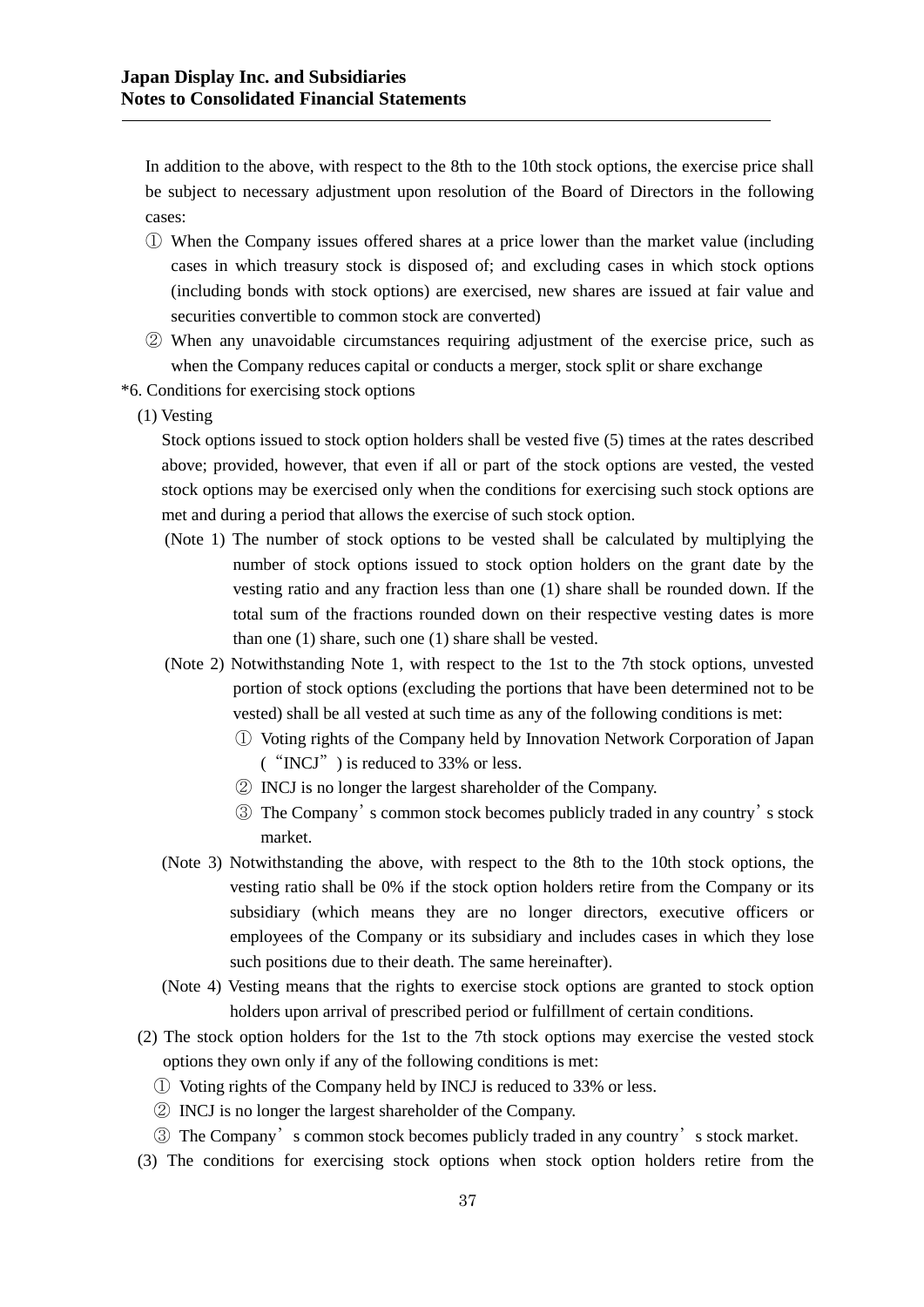In addition to the above, with respect to the 8th to the 10th stock options, the exercise price shall be subject to necessary adjustment upon resolution of the Board of Directors in the following cases:

- ① When the Company issues offered shares at a price lower than the market value (including cases in which treasury stock is disposed of; and excluding cases in which stock options (including bonds with stock options) are exercised, new shares are issued at fair value and securities convertible to common stock are converted)
- ② When any unavoidable circumstances requiring adjustment of the exercise price, such as when the Company reduces capital or conducts a merger, stock split or share exchange
- \*6. Conditions for exercising stock options
	- (1) Vesting

Stock options issued to stock option holders shall be vested five (5) times at the rates described above; provided, however, that even if all or part of the stock options are vested, the vested stock options may be exercised only when the conditions for exercising such stock options are met and during a period that allows the exercise of such stock option.

- (Note 1) The number of stock options to be vested shall be calculated by multiplying the number of stock options issued to stock option holders on the grant date by the vesting ratio and any fraction less than one (1) share shall be rounded down. If the total sum of the fractions rounded down on their respective vesting dates is more than one (1) share, such one (1) share shall be vested.
- (Note 2) Notwithstanding Note 1, with respect to the 1st to the 7th stock options, unvested portion of stock options (excluding the portions that have been determined not to be vested) shall be all vested at such time as any of the following conditions is met:
	- ① Voting rights of the Company held by Innovation Network Corporation of Japan ("INCJ") is reduced to 33% or less.
	- ② INCJ is no longer the largest shareholder of the Company.
	- ③ The Company's common stock becomes publicly traded in any country's stock market.
- (Note 3) Notwithstanding the above, with respect to the 8th to the 10th stock options, the vesting ratio shall be 0% if the stock option holders retire from the Company or its subsidiary (which means they are no longer directors, executive officers or employees of the Company or its subsidiary and includes cases in which they lose such positions due to their death. The same hereinafter).
- (Note 4) Vesting means that the rights to exercise stock options are granted to stock option holders upon arrival of prescribed period or fulfillment of certain conditions.
- (2) The stock option holders for the 1st to the 7th stock options may exercise the vested stock options they own only if any of the following conditions is met:
	- ① Voting rights of the Company held by INCJ is reduced to 33% or less.
	- ② INCJ is no longer the largest shareholder of the Company.
	- ③ The Company's common stock becomes publicly traded in any country's stock market.
- (3) The conditions for exercising stock options when stock option holders retire from the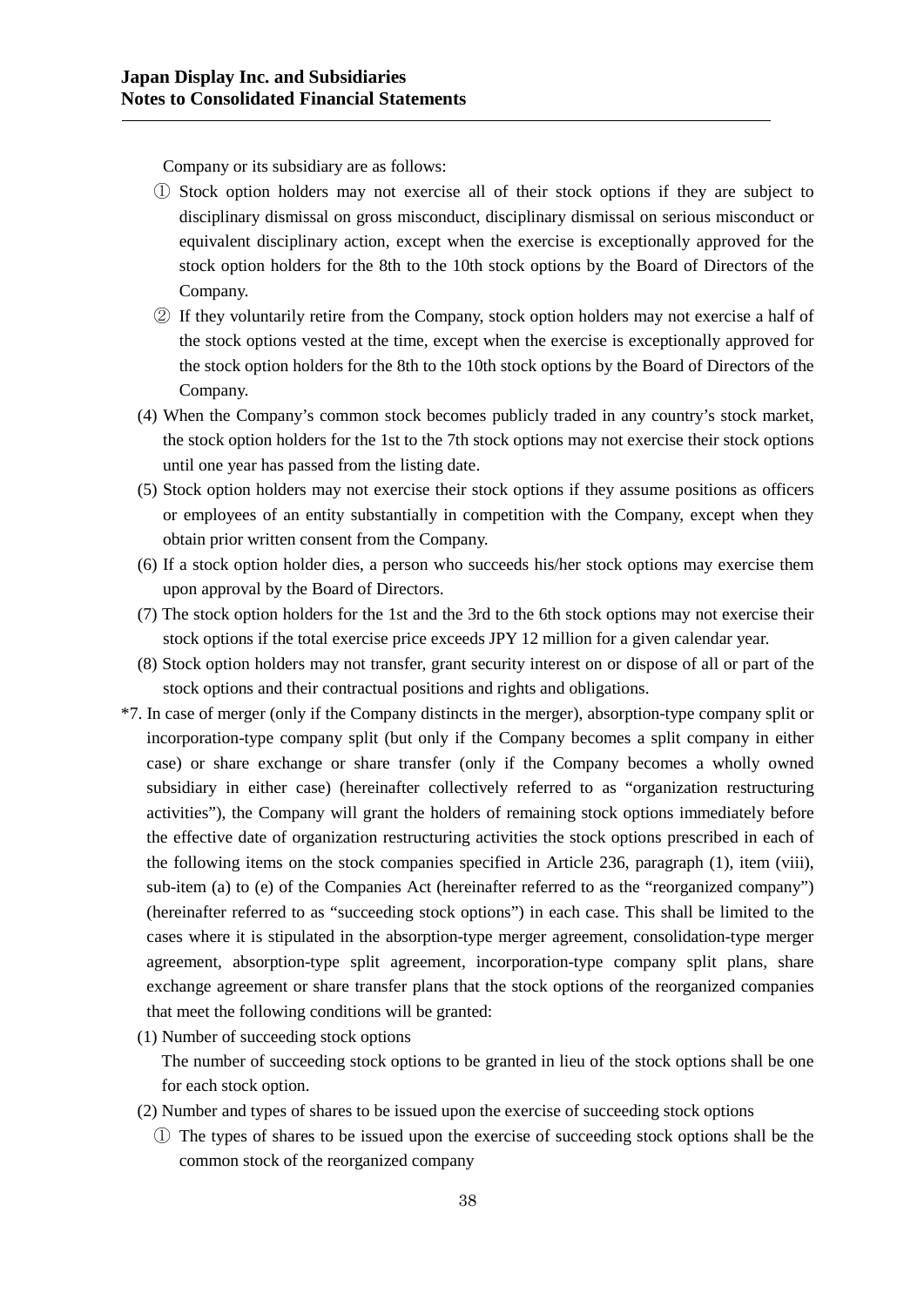Company or its subsidiary are as follows:

- ① Stock option holders may not exercise all of their stock options if they are subject to disciplinary dismissal on gross misconduct, disciplinary dismissal on serious misconduct or equivalent disciplinary action, except when the exercise is exceptionally approved for the stock option holders for the 8th to the 10th stock options by the Board of Directors of the Company.
- ② If they voluntarily retire from the Company, stock option holders may not exercise a half of the stock options vested at the time, except when the exercise is exceptionally approved for the stock option holders for the 8th to the 10th stock options by the Board of Directors of the Company.
- (4) When the Company's common stock becomes publicly traded in any country's stock market, the stock option holders for the 1st to the 7th stock options may not exercise their stock options until one year has passed from the listing date.
- (5) Stock option holders may not exercise their stock options if they assume positions as officers or employees of an entity substantially in competition with the Company, except when they obtain prior written consent from the Company.
- (6) If a stock option holder dies, a person who succeeds his/her stock options may exercise them upon approval by the Board of Directors.
- (7) The stock option holders for the 1st and the 3rd to the 6th stock options may not exercise their stock options if the total exercise price exceeds JPY 12 million for a given calendar year.
- (8) Stock option holders may not transfer, grant security interest on or dispose of all or part of the stock options and their contractual positions and rights and obligations.
- \*7. In case of merger (only if the Company distincts in the merger), absorption-type company split or incorporation-type company split (but only if the Company becomes a split company in either case) or share exchange or share transfer (only if the Company becomes a wholly owned subsidiary in either case) (hereinafter collectively referred to as "organization restructuring activities"), the Company will grant the holders of remaining stock options immediately before the effective date of organization restructuring activities the stock options prescribed in each of the following items on the stock companies specified in Article 236, paragraph (1), item (viii), sub-item (a) to (e) of the Companies Act (hereinafter referred to as the "reorganized company") (hereinafter referred to as "succeeding stock options") in each case. This shall be limited to the cases where it is stipulated in the absorption-type merger agreement, consolidation-type merger agreement, absorption-type split agreement, incorporation-type company split plans, share exchange agreement or share transfer plans that the stock options of the reorganized companies that meet the following conditions will be granted:
	- (1) Number of succeeding stock options

The number of succeeding stock options to be granted in lieu of the stock options shall be one for each stock option.

- (2) Number and types of shares to be issued upon the exercise of succeeding stock options
	- ① The types of shares to be issued upon the exercise of succeeding stock options shall be the common stock of the reorganized company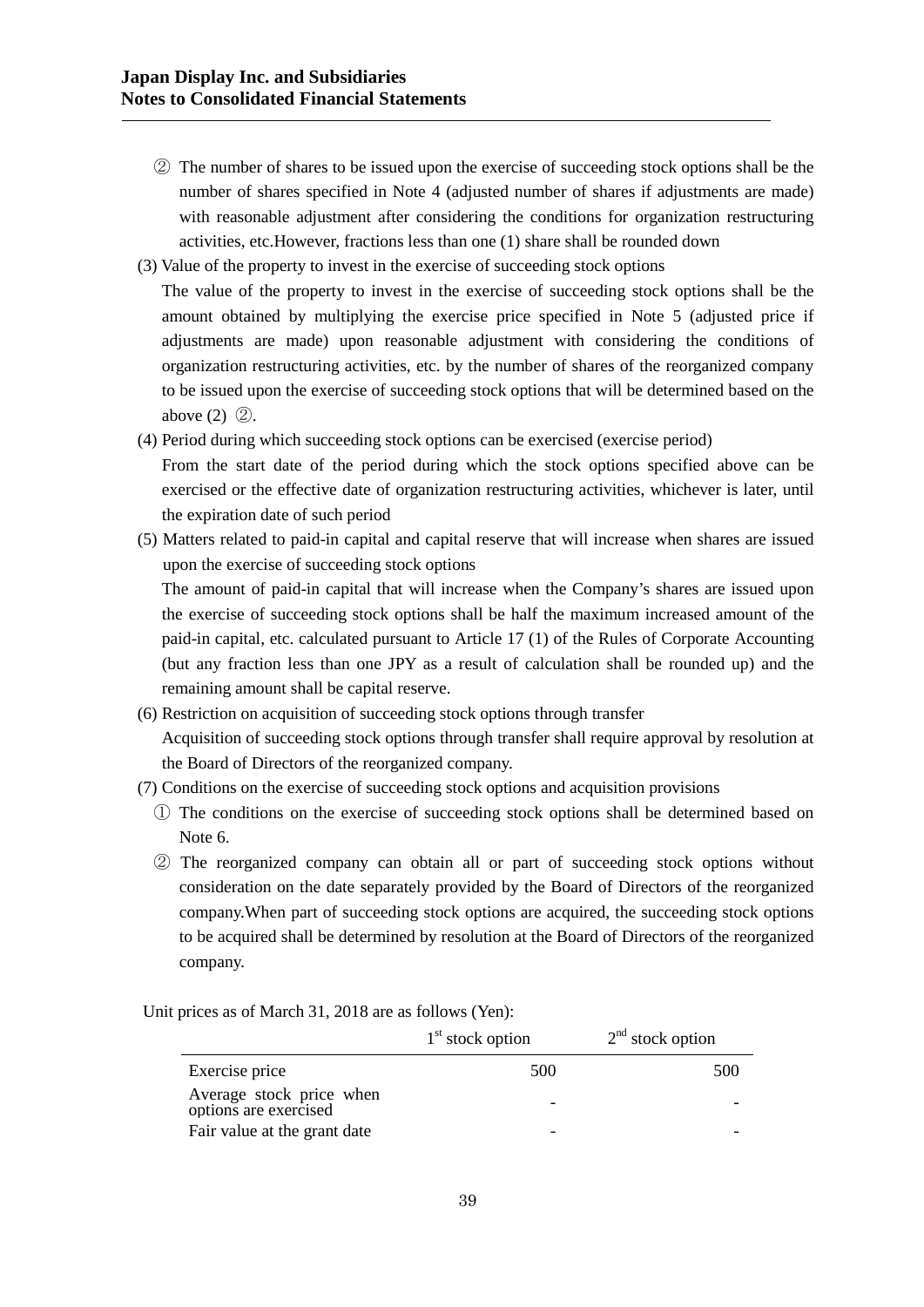- ② The number of shares to be issued upon the exercise of succeeding stock options shall be the number of shares specified in Note 4 (adjusted number of shares if adjustments are made) with reasonable adjustment after considering the conditions for organization restructuring activities, etc.However, fractions less than one (1) share shall be rounded down
- (3) Value of the property to invest in the exercise of succeeding stock options
- The value of the property to invest in the exercise of succeeding stock options shall be the amount obtained by multiplying the exercise price specified in Note 5 (adjusted price if adjustments are made) upon reasonable adjustment with considering the conditions of organization restructuring activities, etc. by the number of shares of the reorganized company to be issued upon the exercise of succeeding stock options that will be determined based on the above (2) ②.
- (4) Period during which succeeding stock options can be exercised (exercise period)

From the start date of the period during which the stock options specified above can be exercised or the effective date of organization restructuring activities, whichever is later, until the expiration date of such period

(5) Matters related to paid-in capital and capital reserve that will increase when shares are issued upon the exercise of succeeding stock options

The amount of paid-in capital that will increase when the Company's shares are issued upon the exercise of succeeding stock options shall be half the maximum increased amount of the paid-in capital, etc. calculated pursuant to Article 17 (1) of the Rules of Corporate Accounting (but any fraction less than one JPY as a result of calculation shall be rounded up) and the remaining amount shall be capital reserve.

- (6) Restriction on acquisition of succeeding stock options through transfer Acquisition of succeeding stock options through transfer shall require approval by resolution at the Board of Directors of the reorganized company.
- (7) Conditions on the exercise of succeeding stock options and acquisition provisions
	- ① The conditions on the exercise of succeeding stock options shall be determined based on Note 6.
	- ② The reorganized company can obtain all or part of succeeding stock options without consideration on the date separately provided by the Board of Directors of the reorganized company.When part of succeeding stock options are acquired, the succeeding stock options to be acquired shall be determined by resolution at the Board of Directors of the reorganized company.

Unit prices as of March 31, 2018 are as follows (Yen):

|                                                   | $1st$ stock option | $2nd$ stock option |
|---------------------------------------------------|--------------------|--------------------|
| Exercise price                                    | 500                | 500                |
| Average stock price when<br>options are exercised |                    |                    |
| Fair value at the grant date                      |                    |                    |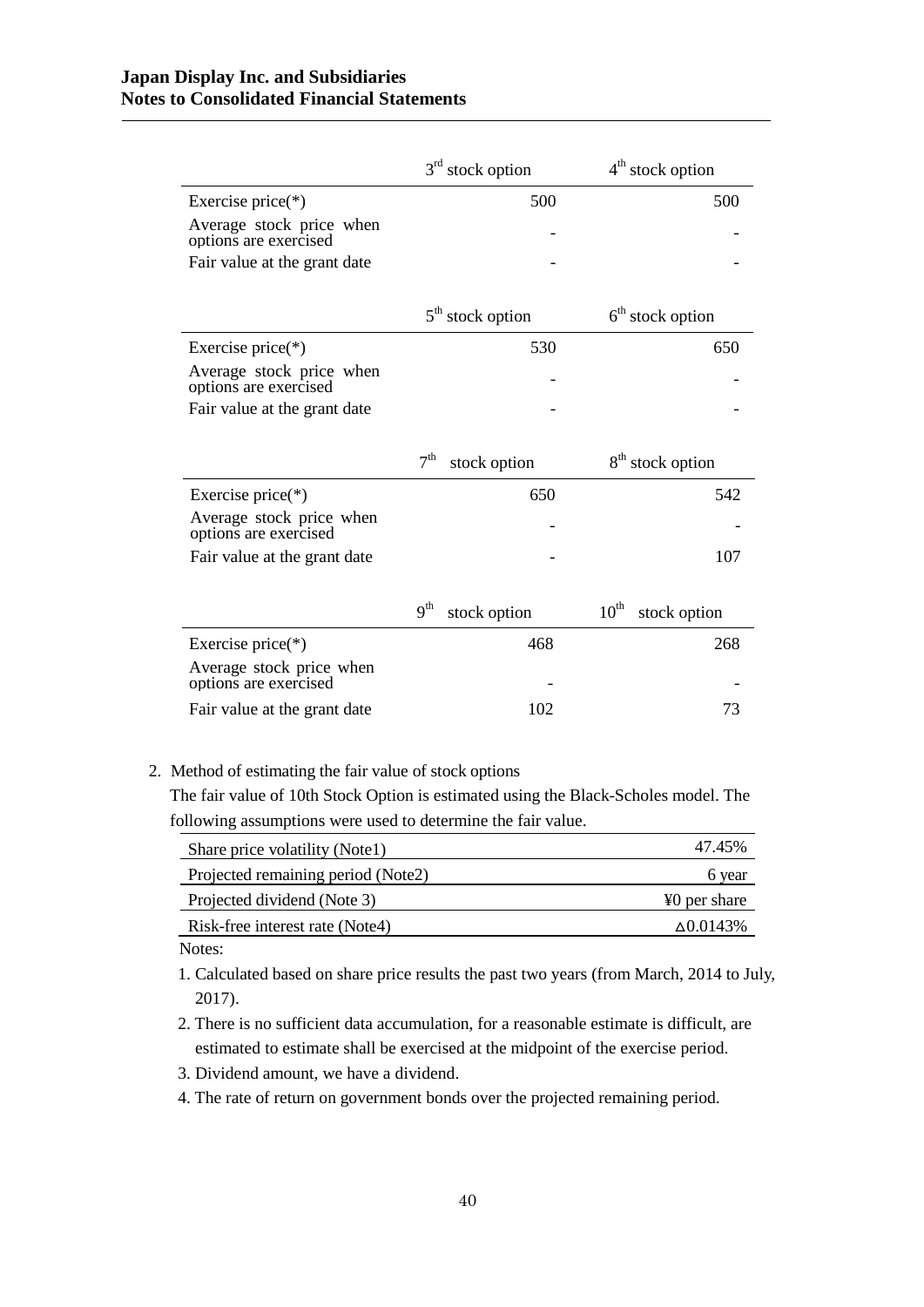|                                                   | $3rd$ stock option              | $4th$ stock option               |
|---------------------------------------------------|---------------------------------|----------------------------------|
| Exercise price $(*)$                              | 500                             | 500                              |
| Average stock price when<br>options are exercised |                                 |                                  |
| Fair value at the grant date                      |                                 |                                  |
|                                                   | $5th$ stock option              | $6th$ stock option               |
|                                                   |                                 |                                  |
| Exercise price $(*)$                              | 530                             | 650                              |
| Average stock price when<br>options are exercised |                                 |                                  |
| Fair value at the grant date                      |                                 |                                  |
|                                                   |                                 |                                  |
|                                                   |                                 |                                  |
|                                                   | 7 <sup>th</sup><br>stock option | 8 <sup>th</sup> stock option     |
| Exercise price $(*)$                              | 650                             | 542                              |
| Average stock price when<br>options are exercised |                                 |                                  |
| Fair value at the grant date                      |                                 | 107                              |
|                                                   |                                 |                                  |
|                                                   | 9 <sup>th</sup><br>stock option | $10^{\text{th}}$<br>stock option |
| Exercise price $(*)$                              | 468                             | 268                              |
| Average stock price when<br>options are exercised |                                 |                                  |
| Fair value at the grant date                      | 102                             | 73                               |

## 2. Method of estimating the fair value of stock options

The fair value of 10th Stock Option is estimated using the Black-Scholes model. The following assumptions were used to determine the fair value.

| Share price volatility (Notel)     | 47.45%            |
|------------------------------------|-------------------|
| Projected remaining period (Note2) | 6 year            |
| Projected dividend (Note 3)        | ¥0 per share      |
| Risk-free interest rate (Note4)    | $\Delta 0.0143\%$ |
|                                    |                   |

Notes:

1. Calculated based on share price results the past two years (from March, 2014 to July, 2017).

- 2. There is no sufficient data accumulation, for a reasonable estimate is difficult, are estimated to estimate shall be exercised at the midpoint of the exercise period.
- 3. Dividend amount, we have a dividend.
- 4. The rate of return on government bonds over the projected remaining period.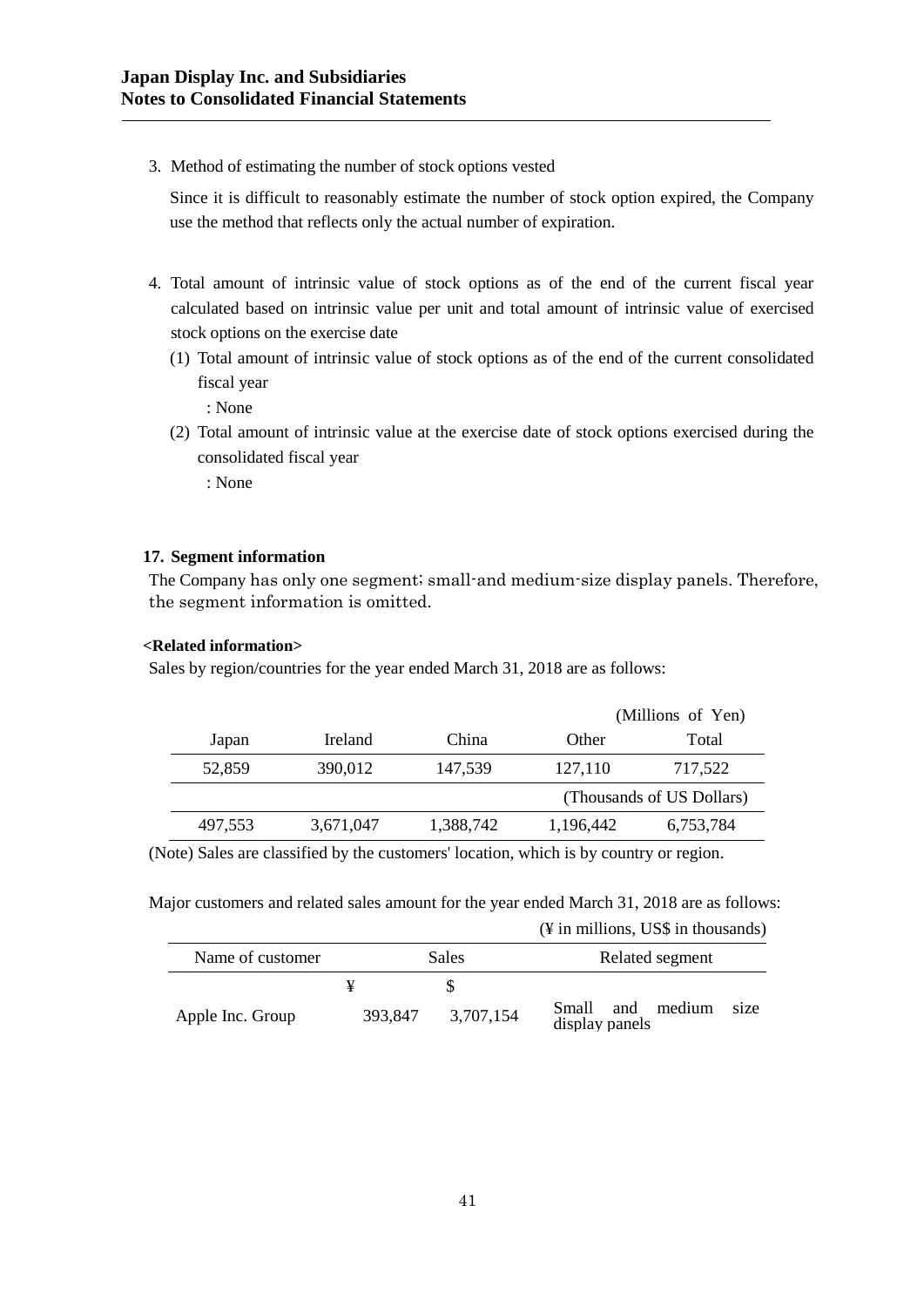3. Method of estimating the number of stock options vested

Since it is difficult to reasonably estimate the number of stock option expired, the Company use the method that reflects only the actual number of expiration.

- 4. Total amount of intrinsic value of stock options as of the end of the current fiscal year calculated based on intrinsic value per unit and total amount of intrinsic value of exercised stock options on the exercise date
	- (1) Total amount of intrinsic value of stock options as of the end of the current consolidated fiscal year

: None

(2) Total amount of intrinsic value at the exercise date of stock options exercised during the consolidated fiscal year

: None

# **17. Segment information**

The Company has only one segment; small-and medium-size display panels. Therefore, the segment information is omitted.

## **<Related information>**

Sales by region/countries for the year ended March 31, 2018 are as follows:

|         |           |           |           | (Millions of Yen)         |
|---------|-----------|-----------|-----------|---------------------------|
| Japan   | Ireland   | China     | Other     | Total                     |
| 52,859  | 390,012   | 147,539   | 127,110   | 717,522                   |
|         |           |           |           | (Thousands of US Dollars) |
| 497,553 | 3,671,047 | 1,388,742 | 1,196,442 | 6,753,784                 |
|         |           |           |           |                           |

(Note) Sales are classified by the customers' location, which is by country or region.

Major customers and related sales amount for the year ended March 31, 2018 are as follows: (¥ in millions, US\$ in thousands)

| Name of customer | <b>Sales</b> |           | Related segment                            |
|------------------|--------------|-----------|--------------------------------------------|
|                  | ¥            |           |                                            |
| Apple Inc. Group | 393,847      | 3,707,154 | Small and medium<br>size<br>display panels |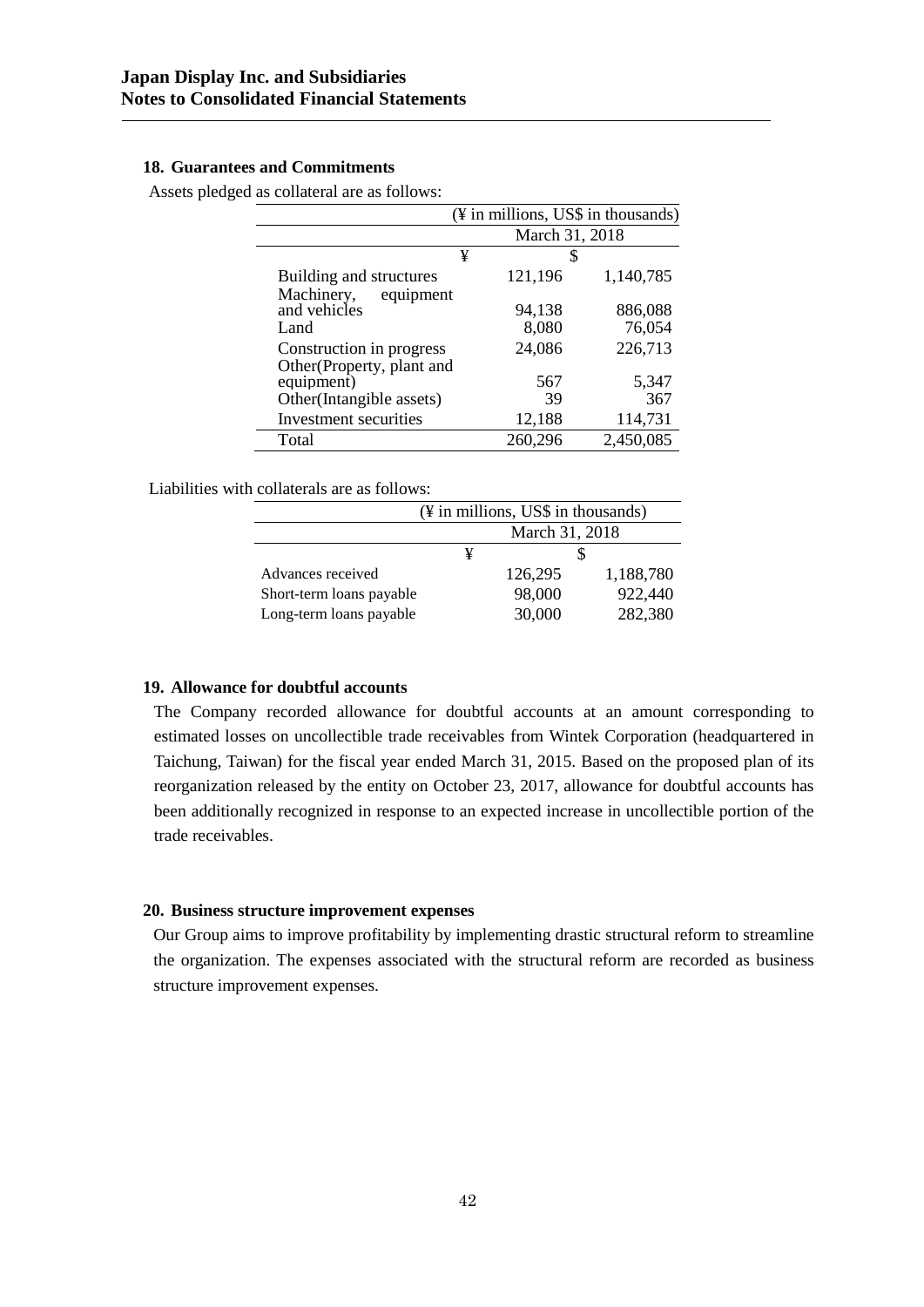# **18. Guarantees and Commitments**

Assets pledged as collateral are as follows:

|                                                                     | (¥ in millions, US\$ in thousands) |                   |  |
|---------------------------------------------------------------------|------------------------------------|-------------------|--|
|                                                                     | March 31, 2018                     |                   |  |
| ¥                                                                   | S                                  |                   |  |
| Building and structures                                             | 121,196                            | 1,140,785         |  |
| Machinery,<br>equipment<br>and vehicles<br>Land                     | 94,138<br>8,080                    | 886,088<br>76,054 |  |
| Construction in progress                                            | 24,086                             | 226,713           |  |
| Other(Property, plant and<br>equipment)<br>Other(Intangible assets) | 567<br>39                          | 5,347<br>367      |  |
| Investment securities                                               | 12,188                             | 114,731           |  |
| Total                                                               | 260,296                            | 2,450,085         |  |

Liabilities with collaterals are as follows:

|                          | $(\frac{1}{2})$ in millions, US\$ in thousands) |         |           |
|--------------------------|-------------------------------------------------|---------|-----------|
|                          | March 31, 2018                                  |         |           |
|                          | ¥                                               |         |           |
| Advances received        |                                                 | 126,295 | 1,188,780 |
| Short-term loans payable |                                                 | 98,000  | 922,440   |
| Long-term loans payable  | 30,000<br>282,380                               |         |           |

## **19. Allowance for doubtful accounts**

The Company recorded allowance for doubtful accounts at an amount corresponding to estimated losses on uncollectible trade receivables from Wintek Corporation (headquartered in Taichung, Taiwan) for the fiscal year ended March 31, 2015. Based on the proposed plan of its reorganization released by the entity on October 23, 2017, allowance for doubtful accounts has been additionally recognized in response to an expected increase in uncollectible portion of the trade receivables.

## **20. Business structure improvement expenses**

Our Group aims to improve profitability by implementing drastic structural reform to streamline the organization. The expenses associated with the structural reform are recorded as business structure improvement expenses.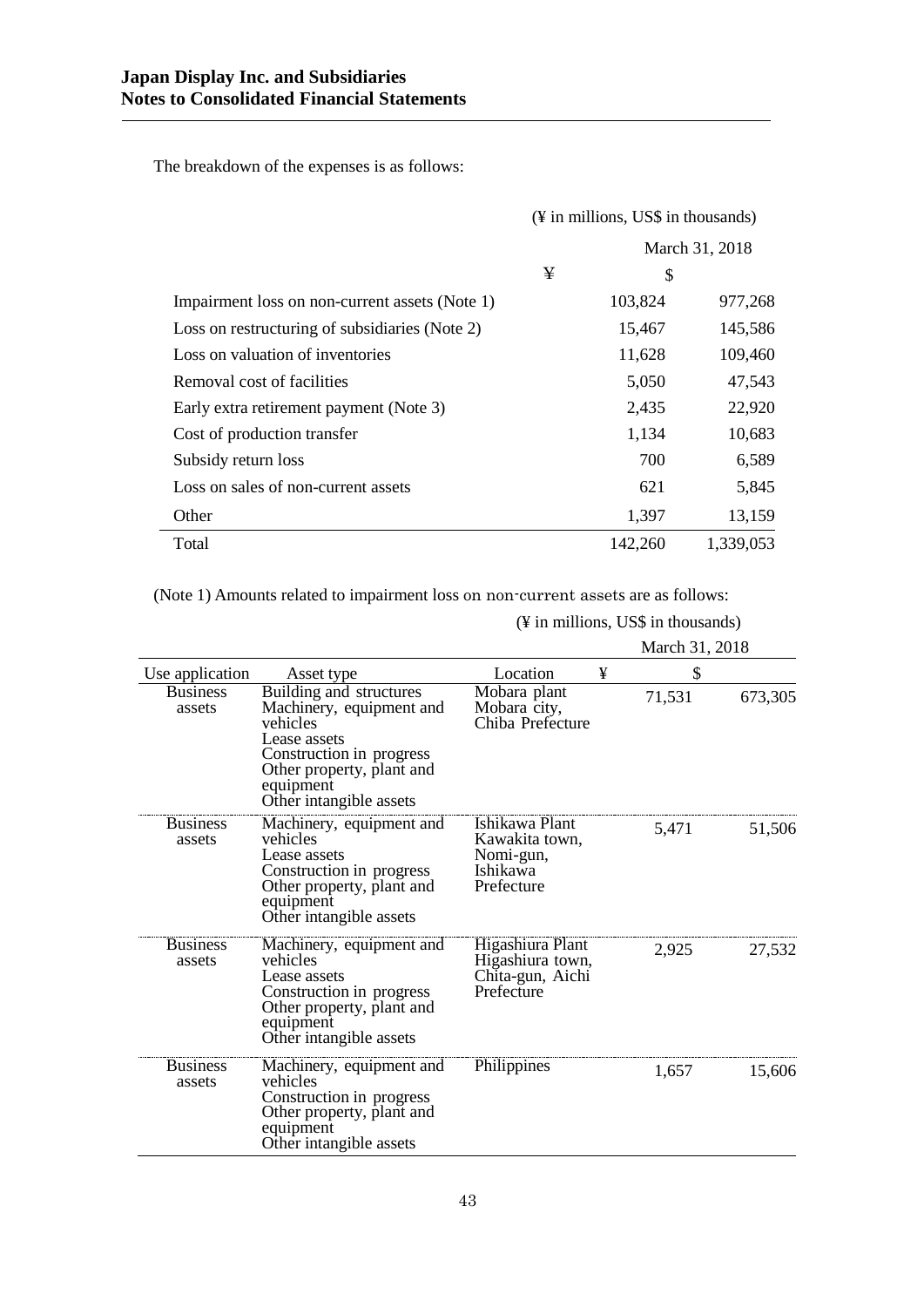The breakdown of the expenses is as follows:

|                                                | (¥ in millions, US\$ in thousands) |         |                |
|------------------------------------------------|------------------------------------|---------|----------------|
|                                                |                                    |         | March 31, 2018 |
|                                                | ¥                                  | \$      |                |
| Impairment loss on non-current assets (Note 1) |                                    | 103,824 | 977,268        |
| Loss on restructuring of subsidiaries (Note 2) |                                    | 15,467  | 145,586        |
| Loss on valuation of inventories               |                                    | 11,628  | 109,460        |
| Removal cost of facilities                     |                                    | 5,050   | 47,543         |
| Early extra retirement payment (Note 3)        |                                    | 2,435   | 22,920         |
| Cost of production transfer                    |                                    | 1,134   | 10,683         |
| Subsidy return loss                            |                                    | 700     | 6,589          |
| Loss on sales of non-current assets            |                                    | 621     | 5,845          |
| Other                                          |                                    | 1,397   | 13,159         |
| Total                                          |                                    | 142,260 | 1,339,053      |

(Note 1) Amounts related to impairment loss on non-current assets are as follows:

(¥ in millions, US\$ in thousands)

|                           |                                                                                                                                                                                  |                                                                         |   | March 31, 2018 |         |
|---------------------------|----------------------------------------------------------------------------------------------------------------------------------------------------------------------------------|-------------------------------------------------------------------------|---|----------------|---------|
| Use application           | Asset type                                                                                                                                                                       | Location                                                                | ¥ | \$             |         |
| <b>Business</b><br>assets | Building and structures<br>Machinery, equipment and<br>vehicles<br>Lease assets<br>Construction in progress<br>Other property, plant and<br>equipment<br>Other intangible assets | Mobara plant<br>Mobara city,<br>Chiba Prefecture                        |   | 71,531         | 673,305 |
| <b>Business</b><br>assets | Machinery, equipment and<br>vehicles<br>Lease assets<br>Construction in progress<br>Other property, plant and<br>equipment<br>Other intangible assets                            | Ishikawa Plant<br>Kawakita town,<br>Nomi-gun,<br>Ishikawa<br>Prefecture |   | 5,471          | 51,506  |
| <b>Business</b><br>assets | Machinery, equipment and<br>vehicles<br>Lease assets<br>Construction in progress<br>Other property, plant and<br>equipment<br>Other intangible assets                            | Higashiura Plant<br>Higashiura town,<br>Chita-gun, Aichi<br>Prefecture  |   | 2,925          | 27,532  |
| <b>Business</b><br>assets | Machinery, equipment and<br>vehicles<br>Construction in progress<br>Other property, plant and<br>equipment<br>Other intangible assets                                            | Philippines                                                             |   | 1,657          | 15,606  |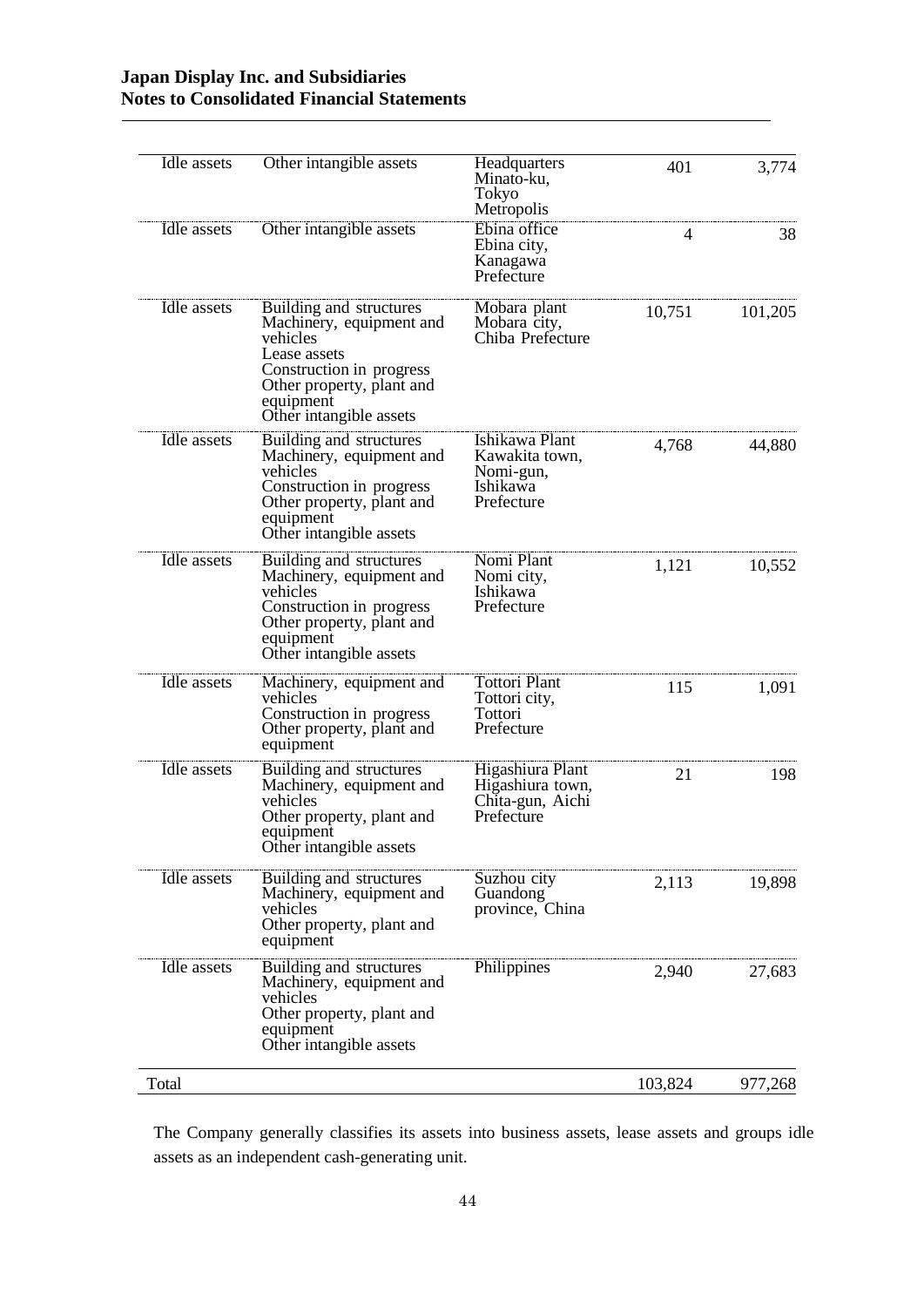| Idle assets | Other intangible assets                                                                                                                                                          | Headquarters<br>Minato-ku,<br>Tokyo<br>Metropolis                       | 401     | 3,774   |
|-------------|----------------------------------------------------------------------------------------------------------------------------------------------------------------------------------|-------------------------------------------------------------------------|---------|---------|
| Idle assets | Other intangible assets                                                                                                                                                          | Ebina office<br>Ebina city,<br>Kanagawa<br>Prefecture                   | 4       | 38      |
| Idle assets | Building and structures<br>Machinery, equipment and<br>vehicles<br>Lease assets<br>Construction in progress<br>Other property, plant and<br>equipment<br>Other intangible assets | Mobara plant<br>Mobara city,<br>Chiba Prefecture                        | 10,751  | 101,205 |
| Idle assets | Building and structures<br>Machinery, equipment and<br>vehicles<br>Construction in progress<br>Other property, plant and<br>equipment<br>Other intangible assets                 | Ishikawa Plant<br>Kawakita town,<br>Nomi-gun,<br>Ishikawa<br>Prefecture | 4,768   | 44,880  |
| Idle assets | Building and structures<br>Machinery, equipment and<br>vehicles<br>Construction in progress<br>Other property, plant and<br>equipment<br>Other intangible assets                 | Nomi Plant<br>Nomi city,<br>Ishikawa<br>Prefecture                      | 1,121   | 10,552  |
| Idle assets | Machinery, equipment and<br>vehicles<br>Construction in progress<br>Other property, plant and<br>equipment                                                                       | Tottori Plant<br>Tottori city,<br>Tottori<br>Prefecture                 | 115     | 1,091   |
| Idle assets | Building and structures<br>Machinery, equipment and<br>vehicles<br>Other property, plant and<br>equipment<br>Other intangible assets                                             | Higashiura Plant<br>Higashiura town,<br>Chita-gun, Aichi<br>Prefecture  | 21      | 198     |
| Idle assets | Building and structures<br>Machinery, equipment and<br>vehicles<br>Other property, plant and<br>equipment                                                                        | Suzhou city<br>Guandong<br>province, China                              | 2,113   | 19,898  |
| Idle assets | Building and structures<br>Machinery, equipment and<br>vehicles<br>Other property, plant and<br>equipment<br>Other intangible assets                                             | Philippines                                                             | 2,940   | 27,683  |
| Total       |                                                                                                                                                                                  |                                                                         | 103,824 | 977,268 |

The Company generally classifies its assets into business assets, lease assets and groups idle assets as an independent cash-generating unit.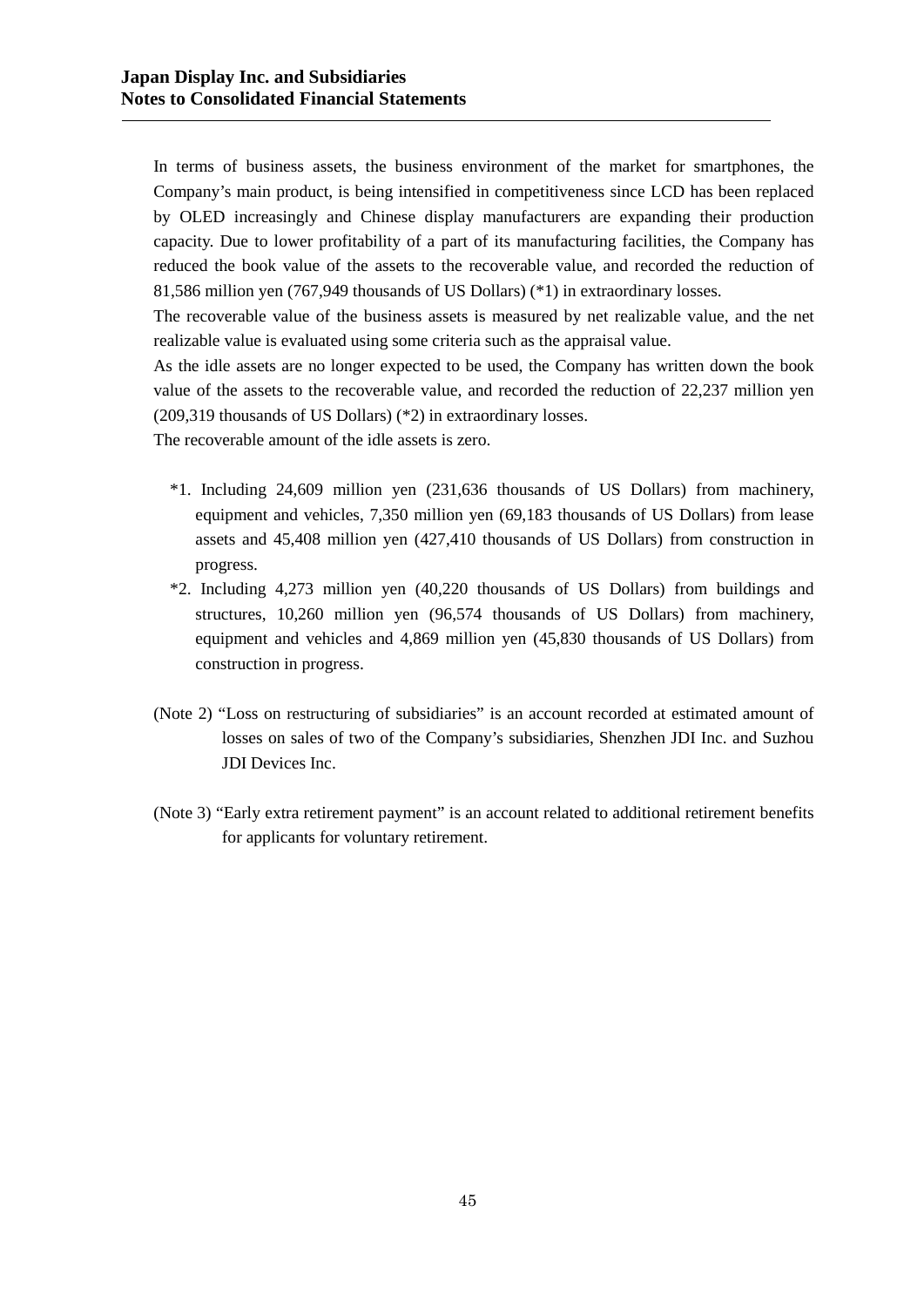In terms of business assets, the business environment of the market for smartphones, the Company's main product, is being intensified in competitiveness since LCD has been replaced by OLED increasingly and Chinese display manufacturers are expanding their production capacity. Due to lower profitability of a part of its manufacturing facilities, the Company has reduced the book value of the assets to the recoverable value, and recorded the reduction of 81,586 million yen (767,949 thousands of US Dollars) (\*1) in extraordinary losses.

The recoverable value of the business assets is measured by net realizable value, and the net realizable value is evaluated using some criteria such as the appraisal value.

As the idle assets are no longer expected to be used, the Company has written down the book value of the assets to the recoverable value, and recorded the reduction of 22,237 million yen (209,319 thousands of US Dollars) (\*2) in extraordinary losses.

The recoverable amount of the idle assets is zero.

- \*1. Including 24,609 million yen (231,636 thousands of US Dollars) from machinery, equipment and vehicles, 7,350 million yen (69,183 thousands of US Dollars) from lease assets and 45,408 million yen (427,410 thousands of US Dollars) from construction in progress.
- \*2. Including 4,273 million yen (40,220 thousands of US Dollars) from buildings and structures, 10,260 million yen (96,574 thousands of US Dollars) from machinery, equipment and vehicles and 4,869 million yen (45,830 thousands of US Dollars) from construction in progress.
- (Note 2) "Loss on restructuring of subsidiaries" is an account recorded at estimated amount of losses on sales of two of the Company's subsidiaries, Shenzhen JDI Inc. and Suzhou JDI Devices Inc.
- (Note 3) "Early extra retirement payment" is an account related to additional retirement benefits for applicants for voluntary retirement.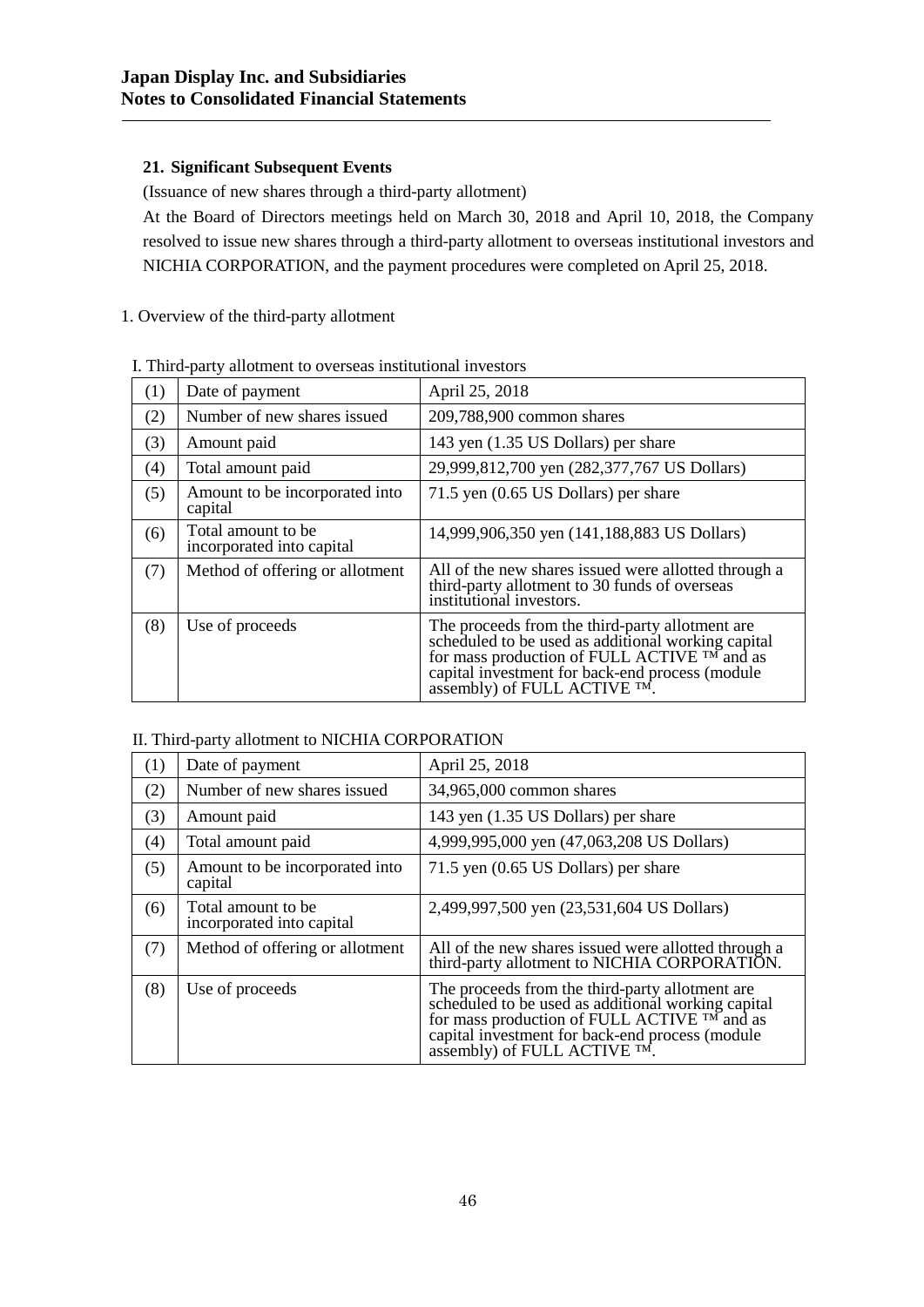# **21. Significant Subsequent Events**

(Issuance of new shares through a third-party allotment)

At the Board of Directors meetings held on March 30, 2018 and April 10, 2018, the Company resolved to issue new shares through a third-party allotment to overseas institutional investors and NICHIA CORPORATION, and the payment procedures were completed on April 25, 2018.

# 1. Overview of the third-party allotment

|     | 1. Thing party anothiont to overseas mistitutional investors |                                                                                                                                                                                                                                         |  |  |
|-----|--------------------------------------------------------------|-----------------------------------------------------------------------------------------------------------------------------------------------------------------------------------------------------------------------------------------|--|--|
| (1) | Date of payment                                              | April 25, 2018                                                                                                                                                                                                                          |  |  |
| (2) | Number of new shares issued                                  | 209,788,900 common shares                                                                                                                                                                                                               |  |  |
| (3) | Amount paid                                                  | 143 yen (1.35 US Dollars) per share                                                                                                                                                                                                     |  |  |
| (4) | Total amount paid                                            | 29,999,812,700 yen (282,377,767 US Dollars)                                                                                                                                                                                             |  |  |
| (5) | Amount to be incorporated into<br>capital                    | 71.5 yen (0.65 US Dollars) per share                                                                                                                                                                                                    |  |  |
| (6) | Total amount to be<br>incorporated into capital              | 14,999,906,350 yen (141,188,883 US Dollars)                                                                                                                                                                                             |  |  |
| (7) | Method of offering or allotment                              | All of the new shares issued were allotted through a<br>third-party allotment to 30 funds of overseas<br>institutional investors.                                                                                                       |  |  |
| (8) | Use of proceeds                                              | The proceeds from the third-party allotment are<br>scheduled to be used as additional working capital<br>for mass production of FULL ACTIVE TM and as<br>capital investment for back-end process (module<br>assembly) of FULL ACTIVE TM |  |  |

## I. Third-party allotment to overseas institutional investors

# II. Third-party allotment to NICHIA CORPORATION

| $\left(1\right)$ | Date of payment                                  | April 25, 2018                                                                                                                                                                                                                              |
|------------------|--------------------------------------------------|---------------------------------------------------------------------------------------------------------------------------------------------------------------------------------------------------------------------------------------------|
| (2)              | Number of new shares issued                      | 34,965,000 common shares                                                                                                                                                                                                                    |
| (3)              | Amount paid                                      | 143 yen (1.35 US Dollars) per share                                                                                                                                                                                                         |
| (4)              | Total amount paid                                | 4,999,995,000 yen (47,063,208 US Dollars)                                                                                                                                                                                                   |
| (5)              | Amount to be incorporated into<br>capital        | 71.5 yen (0.65 US Dollars) per share                                                                                                                                                                                                        |
| (6)              | Total amount to be.<br>incorporated into capital | 2,499,997,500 yen (23,531,604 US Dollars)                                                                                                                                                                                                   |
| (7)              | Method of offering or allotment                  | All of the new shares issued were allotted through a<br>third-party allotment to NICHIA CORPORATION.                                                                                                                                        |
| (8)              | Use of proceeds                                  | The proceeds from the third-party allotment are<br>scheduled to be used as additional working capital<br>for mass production of FULL ACTIVE TM and as<br>capital investment for back-end process (module<br>assembly) of FULL ACTIVE $TM$ . |